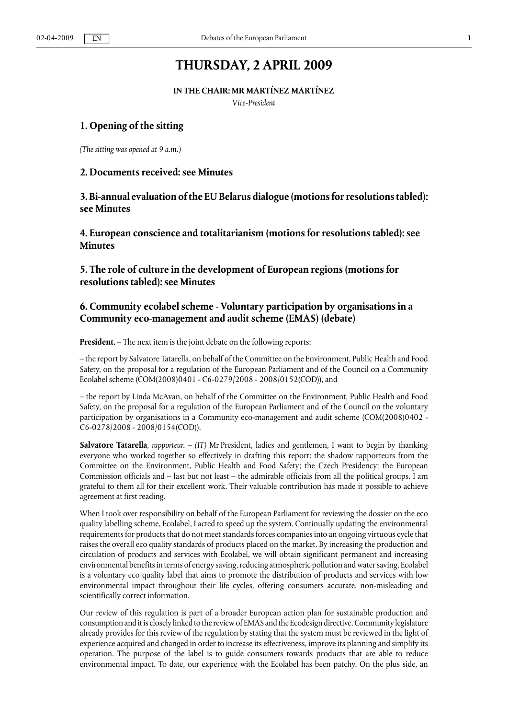# **THURSDAY, 2 APRIL 2009**

**IN THE CHAIR: MR MARTÍNEZ MARTÍNEZ**

*Vice-President*

### **1. Opening of the sitting**

*(The sitting was opened at 9 a.m.)*

### **2. Documents received: see Minutes**

**3. Bi-annual evaluation of the EU Belarus dialogue (motions for resolutions tabled): see Minutes**

**4. European conscience and totalitarianism (motions for resolutions tabled): see Minutes**

**5. The role of culture in the development of European regions (motions for resolutions tabled): see Minutes**

# **6. Community ecolabel scheme - Voluntary participation by organisations in a Community eco-management and audit scheme (EMAS) (debate)**

**President.** – The next item is the joint debate on the following reports:

– the report by Salvatore Tatarella, on behalf of the Committee on the Environment, Public Health and Food Safety, on the proposal for a regulation of the European Parliament and of the Council on a Community Ecolabel scheme (COM(2008)0401 - C6-0279/2008 - 2008/0152(COD)), and

– the report by Linda McAvan, on behalf of the Committee on the Environment, Public Health and Food Safety, on the proposal for a regulation of the European Parliament and of the Council on the voluntary participation by organisations in a Community eco-management and audit scheme (COM(2008)0402 - C6-0278/2008 - 2008/0154(COD)).

**Salvatore Tatarella**, *rapporteur.* – *(IT)* Mr President, ladies and gentlemen, I want to begin by thanking everyone who worked together so effectively in drafting this report: the shadow rapporteurs from the Committee on the Environment, Public Health and Food Safety; the Czech Presidency; the European Commission officials and – last but not least – the admirable officials from all the political groups. I am grateful to them all for their excellent work. Their valuable contribution has made it possible to achieve agreement at first reading.

When I took over responsibility on behalf of the European Parliament for reviewing the dossier on the eco quality labelling scheme, Ecolabel, I acted to speed up the system. Continually updating the environmental requirements for products that do not meet standards forces companies into an ongoing virtuous cycle that raises the overall eco quality standards of products placed on the market. By increasing the production and circulation of products and services with Ecolabel, we will obtain significant permanent and increasing environmental benefits in terms of energy saving, reducing atmospheric pollution and water saving. Ecolabel is a voluntary eco quality label that aims to promote the distribution of products and services with low environmental impact throughout their life cycles, offering consumers accurate, non-misleading and scientifically correct information.

Our review of this regulation is part of a broader European action plan for sustainable production and consumption and it is closely linked to the review of EMAS and the Ecodesign directive. Community legislature already provides for this review of the regulation by stating that the system must be reviewed in the light of experience acquired and changed in order to increase its effectiveness, improve its planning and simplify its operation. The purpose of the label is to guide consumers towards products that are able to reduce environmental impact. To date, our experience with the Ecolabel has been patchy. On the plus side, an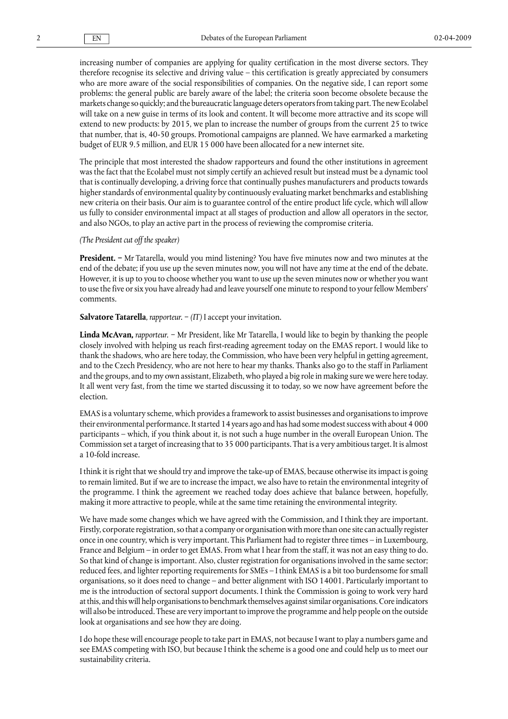increasing number of companies are applying for quality certification in the most diverse sectors. They therefore recognise its selective and driving value – this certification is greatly appreciated by consumers who are more aware of the social responsibilities of companies. On the negative side, I can report some problems: the general public are barely aware of the label; the criteria soon become obsolete because the markets change so quickly; and the bureaucratic language deters operators from taking part. The new Ecolabel will take on a new guise in terms of its look and content. It will become more attractive and its scope will extend to new products: by 2015, we plan to increase the number of groups from the current 25 to twice that number, that is, 40-50 groups. Promotional campaigns are planned. We have earmarked a marketing budget of EUR 9.5 million, and EUR 15 000 have been allocated for a new internet site.

The principle that most interested the shadow rapporteurs and found the other institutions in agreement was the fact that the Ecolabel must not simply certify an achieved result but instead must be a dynamic tool that is continually developing, a driving force that continually pushes manufacturers and products towards higher standards of environmental quality by continuously evaluating market benchmarks and establishing new criteria on their basis. Our aim is to guarantee control of the entire product life cycle, which will allow us fully to consider environmental impact at all stages of production and allow all operators in the sector, and also NGOs, to play an active part in the process of reviewing the compromise criteria.

#### *(The President cut off the speaker)*

**President. −** Mr Tatarella, would you mind listening? You have five minutes now and two minutes at the end of the debate; if you use up the seven minutes now, you will not have any time at the end of the debate. However, it is up to you to choose whether you want to use up the seven minutes now or whether you want to use the five or six you have already had and leave yourself one minute to respond to your fellow Members' comments.

**Salvatore Tatarella**, *rapporteur.* − *(IT)* I accept your invitation.

**Linda McAvan,** *rapporteur.* − Mr President, like Mr Tatarella, I would like to begin by thanking the people closely involved with helping us reach first-reading agreement today on the EMAS report. I would like to thank the shadows, who are here today, the Commission, who have been very helpful in getting agreement, and to the Czech Presidency, who are not here to hear my thanks. Thanks also go to the staff in Parliament and the groups, and to my own assistant, Elizabeth, who played a big role in making sure we were here today. It all went very fast, from the time we started discussing it to today, so we now have agreement before the election.

EMAS is a voluntary scheme, which provides a framework to assist businesses and organisations to improve their environmental performance. It started 14 years ago and has had some modest success with about 4 000 participants – which, if you think about it, is not such a huge number in the overall European Union. The Commission set a target of increasing that to 35 000 participants. That is a very ambitious target. It is almost a 10-fold increase.

I think it is right that we should try and improve the take-up of EMAS, because otherwise its impact is going to remain limited. But if we are to increase the impact, we also have to retain the environmental integrity of the programme. I think the agreement we reached today does achieve that balance between, hopefully, making it more attractive to people, while at the same time retaining the environmental integrity.

We have made some changes which we have agreed with the Commission, and I think they are important. Firstly, corporate registration, so that a company or organisation with more than one site can actually register once in one country, which is very important. This Parliament had to register three times – in Luxembourg, France and Belgium – in order to get EMAS. From what I hear from the staff, it was not an easy thing to do. So that kind of change is important. Also, cluster registration for organisations involved in the same sector; reduced fees, and lighter reporting requirements for SMEs – I think EMAS is a bit too burdensome for small organisations, so it does need to change – and better alignment with ISO 14001. Particularly important to me is the introduction of sectoral support documents. I think the Commission is going to work very hard at this, and this will help organisations to benchmark themselves against similar organisations. Core indicators will also be introduced. These are very important to improve the programme and help people on the outside look at organisations and see how they are doing.

I do hope these will encourage people to take part in EMAS, not because I want to play a numbers game and see EMAS competing with ISO, but because I think the scheme is a good one and could help us to meet our sustainability criteria.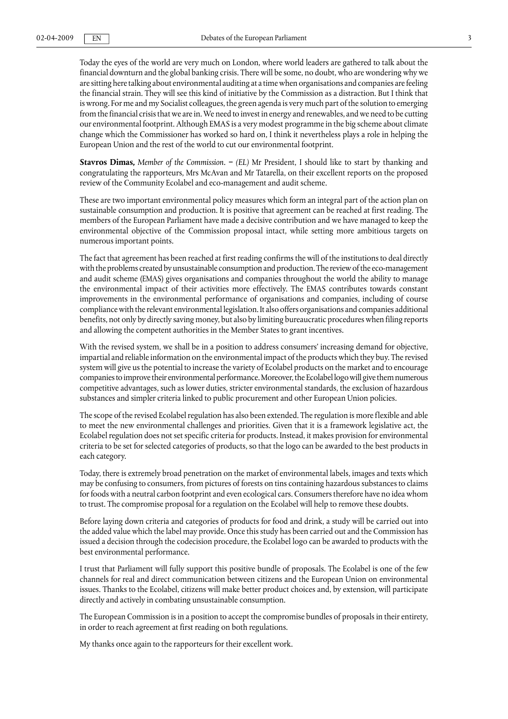Today the eyes of the world are very much on London, where world leaders are gathered to talk about the financial downturn and the global banking crisis. There will be some, no doubt, who are wondering why we are sitting here talking about environmental auditing at a time when organisations and companies are feeling the financial strain. They will see this kind of initiative by the Commission as a distraction. But I think that is wrong. For me and my Socialist colleagues, the green agenda is very much part of the solution to emerging from the financial crisis that we are in. We need to invest in energy and renewables, and we need to be cutting our environmental footprint. Although EMAS is a very modest programme in the big scheme about climate change which the Commissioner has worked so hard on, I think it nevertheless plays a role in helping the European Union and the rest of the world to cut our environmental footprint.

**Stavros Dimas,** *Μember of the Commission.* **−** *(EL)* Mr President, I should like to start by thanking and congratulating the rapporteurs, Mrs McAvan and Mr Tatarella, on their excellent reports on the proposed review of the Community Ecolabel and eco-management and audit scheme.

These are two important environmental policy measures which form an integral part of the action plan on sustainable consumption and production. It is positive that agreement can be reached at first reading. The members of the European Parliament have made a decisive contribution and we have managed to keep the environmental objective of the Commission proposal intact, while setting more ambitious targets on numerous important points.

The fact that agreement has been reached at first reading confirms the will of the institutions to deal directly with the problems created by unsustainable consumption and production. The review of the eco-management and audit scheme (ΕΜΑS) gives organisations and companies throughout the world the ability to manage the environmental impact of their activities more effectively. The ΕΜΑS contributes towards constant improvements in the environmental performance of organisations and companies, including of course compliance with the relevant environmental legislation. It also offers organisations and companies additional benefits, not only by directly saving money, but also by limiting bureaucratic procedures when filing reports and allowing the competent authorities in the Member States to grant incentives.

With the revised system, we shall be in a position to address consumers' increasing demand for objective, impartial and reliable information on the environmental impact of the products which they buy. The revised system will give us the potential to increase the variety of Ecolabel products on the market and to encourage companies to improve their environmental performance. Moreover, the Ecolabel logo will give them numerous competitive advantages, such as lower duties, stricter environmental standards, the exclusion of hazardous substances and simpler criteria linked to public procurement and other European Union policies.

The scope of the revised Ecolabel regulation has also been extended. The regulation is more flexible and able to meet the new environmental challenges and priorities. Given that it is a framework legislative act, the Ecolabel regulation does not set specific criteria for products. Instead, it makes provision for environmental criteria to be set for selected categories of products, so that the logo can be awarded to the best products in each category.

Today, there is extremely broad penetration on the market of environmental labels, images and texts which may be confusing to consumers, from pictures of forests on tins containing hazardous substances to claims for foods with a neutral carbon footprint and even ecological cars. Consumers therefore have no idea whom to trust. The compromise proposal for a regulation on the Ecolabel will help to remove these doubts.

Before laying down criteria and categories of products for food and drink, a study will be carried out into the added value which the label may provide. Once this study has been carried out and the Commission has issued a decision through the codecision procedure, the Ecolabel logo can be awarded to products with the best environmental performance.

I trust that Parliament will fully support this positive bundle of proposals. The Ecolabel is one of the few channels for real and direct communication between citizens and the European Union on environmental issues. Thanks to the Ecolabel, citizens will make better product choices and, by extension, will participate directly and actively in combating unsustainable consumption.

The European Commission is in a position to accept the compromise bundles of proposals in their entirety, in order to reach agreement at first reading on both regulations.

My thanks once again to the rapporteurs for their excellent work.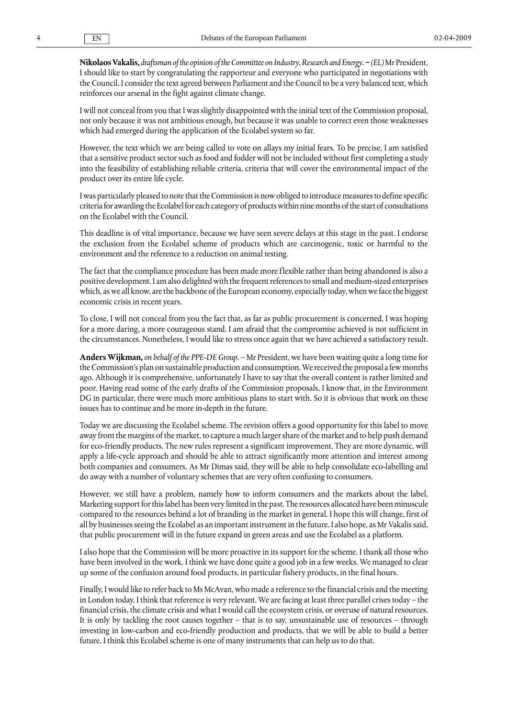**Nikolaos Vakalis,** *draftsman of the opinion of the Committee on Industry, Research and Energy.* **−** *(EL)* Mr President, I should like to start by congratulating the rapporteur and everyone who participated in negotiations with the Council. I consider the text agreed between Parliament and the Council to be a very balanced text, which reinforces our arsenal in the fight against climate change.

I will not conceal from you that I was slightly disappointed with the initial text of the Commission proposal, not only because it was not ambitious enough, but because it was unable to correct even those weaknesses which had emerged during the application of the Ecolabel system so far.

However, the text which we are being called to vote on allays my initial fears. To be precise, I am satisfied that a sensitive product sector such as food and fodder will not be included without first completing a study into the feasibility of establishing reliable criteria, criteria that will cover the environmental impact of the product over its entire life cycle.

I was particularly pleased to note that the Commission is now obliged to introduce measures to define specific criteria for awarding the Ecolabel for each category of products within nine months of the start of consultations on the Ecolabel with the Council.

This deadline is of vital importance, because we have seen severe delays at this stage in the past. I endorse the exclusion from the Ecolabel scheme of products which are carcinogenic, toxic or harmful to the environment and the reference to a reduction on animal testing.

The fact that the compliance procedure has been made more flexible rather than being abandoned is also a positive development. I am also delighted with the frequent references to small and medium-sized enterprises which, as we all know, are the backbone of the European economy, especially today, when we face the biggest economic crisis in recent years.

To close, I will not conceal from you the fact that, as far as public procurement is concerned, I was hoping for a more daring, a more courageous stand. I am afraid that the compromise achieved is not sufficient in the circumstances. Nonetheless, I would like to stress once again that we have achieved a satisfactory result.

**Anders Wijkman,** *on behalf of the PPE-DE Group.* – Mr President, we have been waiting quite a long time for the Commission's plan on sustainable production and consumption. We received the proposal a few months ago. Although it is comprehensive, unfortunately I have to say that the overall content is rather limited and poor. Having read some of the early drafts of the Commission proposals, I know that, in the Environment DG in particular, there were much more ambitious plans to start with. So it is obvious that work on these issues has to continue and be more in-depth in the future.

Today we are discussing the Ecolabel scheme. The revision offers a good opportunity for this label to move away from the margins of the market, to capture a much larger share of the market and to help push demand for eco-friendly products. The new rules represent a significant improvement. They are more dynamic, will apply a life-cycle approach and should be able to attract significantly more attention and interest among both companies and consumers. As Mr Dimas said, they will be able to help consolidate eco-labelling and do away with a number of voluntary schemes that are very often confusing to consumers.

However, we still have a problem, namely how to inform consumers and the markets about the label. Marketing support for this label has been very limited in the past. The resources allocated have been minuscule compared to the resources behind a lot of branding in the market in general. I hope this will change, first of all by businesses seeing the Ecolabel as an important instrument in the future. I also hope, as Mr Vakalis said, that public procurement will in the future expand in green areas and use the Ecolabel as a platform.

I also hope that the Commission will be more proactive in its support for the scheme. I thank all those who have been involved in the work. I think we have done quite a good job in a few weeks. We managed to clear up some of the confusion around food products, in particular fishery products, in the final hours.

Finally, I would like to refer back to Ms McAvan, who made a reference to the financial crisis and the meeting in London today. I think that reference is very relevant. We are facing at least three parallel crises today – the financial crisis, the climate crisis and what I would call the ecosystem crisis, or overuse of natural resources. It is only by tackling the root causes together – that is to say, unsustainable use of resources – through investing in low-carbon and eco-friendly production and products, that we will be able to build a better future. I think this Ecolabel scheme is one of many instruments that can help us to do that.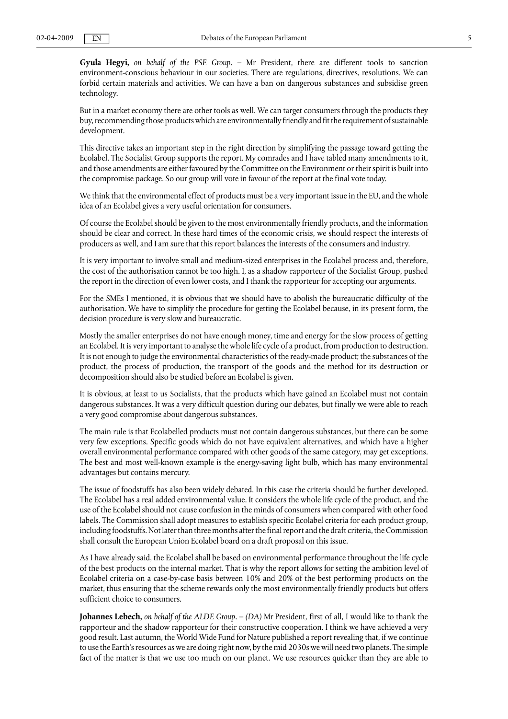**Gyula Hegyi,** *on behalf of the PSE Group.* – Mr President, there are different tools to sanction environment-conscious behaviour in our societies. There are regulations, directives, resolutions. We can forbid certain materials and activities. We can have a ban on dangerous substances and subsidise green technology.

But in a market economy there are other tools as well. We can target consumers through the products they buy, recommending those products which are environmentally friendly and fit the requirement of sustainable development.

This directive takes an important step in the right direction by simplifying the passage toward getting the Ecolabel. The Socialist Group supports the report. My comrades and I have tabled many amendments to it, and those amendments are either favoured by the Committee on the Environment or their spirit is built into the compromise package. So our group will vote in favour of the report at the final vote today.

We think that the environmental effect of products must be a very important issue in the EU, and the whole idea of an Ecolabel gives a very useful orientation for consumers.

Of course the Ecolabel should be given to the most environmentally friendly products, and the information should be clear and correct. In these hard times of the economic crisis, we should respect the interests of producers as well, and I am sure that this report balances the interests of the consumers and industry.

It is very important to involve small and medium-sized enterprises in the Ecolabel process and, therefore, the cost of the authorisation cannot be too high. I, as a shadow rapporteur of the Socialist Group, pushed the report in the direction of even lower costs, and I thank the rapporteur for accepting our arguments.

For the SMEs I mentioned, it is obvious that we should have to abolish the bureaucratic difficulty of the authorisation. We have to simplify the procedure for getting the Ecolabel because, in its present form, the decision procedure is very slow and bureaucratic.

Mostly the smaller enterprises do not have enough money, time and energy for the slow process of getting an Ecolabel. It is very important to analyse the whole life cycle of a product, from production to destruction. It is not enough to judge the environmental characteristics of the ready-made product; the substances of the product, the process of production, the transport of the goods and the method for its destruction or decomposition should also be studied before an Ecolabel is given.

It is obvious, at least to us Socialists, that the products which have gained an Ecolabel must not contain dangerous substances. It was a very difficult question during our debates, but finally we were able to reach a very good compromise about dangerous substances.

The main rule is that Ecolabelled products must not contain dangerous substances, but there can be some very few exceptions. Specific goods which do not have equivalent alternatives, and which have a higher overall environmental performance compared with other goods of the same category, may get exceptions. The best and most well-known example is the energy-saving light bulb, which has many environmental advantages but contains mercury.

The issue of foodstuffs has also been widely debated. In this case the criteria should be further developed. The Ecolabel has a real added environmental value. It considers the whole life cycle of the product, and the use of the Ecolabel should not cause confusion in the minds of consumers when compared with other food labels. The Commission shall adopt measures to establish specific Ecolabel criteria for each product group, including foodstuffs. Not later than three months after the final report and the draft criteria, the Commission shall consult the European Union Ecolabel board on a draft proposal on this issue.

As I have already said, the Ecolabel shall be based on environmental performance throughout the life cycle of the best products on the internal market. That is why the report allows for setting the ambition level of Ecolabel criteria on a case-by-case basis between 10% and 20% of the best performing products on the market, thus ensuring that the scheme rewards only the most environmentally friendly products but offers sufficient choice to consumers.

**Johannes Lebech,** *on behalf of the ALDE Group.* – *(DA)* Mr President, first of all, I would like to thank the rapporteur and the shadow rapporteur for their constructive cooperation. I think we have achieved a very good result. Last autumn, the World Wide Fund for Nature published a report revealing that, if we continue to use the Earth's resources as we are doing right now, by the mid 2030s we will need two planets. The simple fact of the matter is that we use too much on our planet. We use resources quicker than they are able to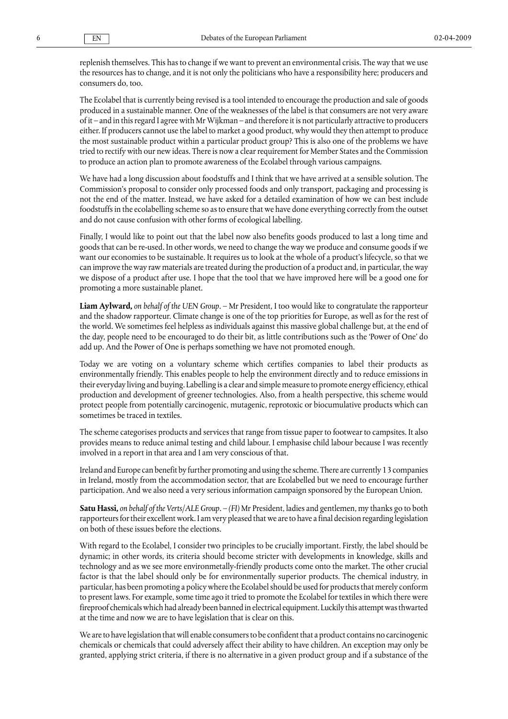replenish themselves. This has to change if we want to prevent an environmental crisis. The way that we use the resources has to change, and it is not only the politicians who have a responsibility here; producers and consumers do, too.

The Ecolabel that is currently being revised is a tool intended to encourage the production and sale of goods produced in a sustainable manner. One of the weaknesses of the label is that consumers are not very aware of it – and in this regard I agree with Mr Wijkman – and therefore it is not particularly attractive to producers either. If producers cannot use the label to market a good product, why would they then attempt to produce the most sustainable product within a particular product group? This is also one of the problems we have tried to rectify with our new ideas. There is now a clear requirement for Member States and the Commission to produce an action plan to promote awareness of the Ecolabel through various campaigns.

We have had a long discussion about foodstuffs and I think that we have arrived at a sensible solution. The Commission's proposal to consider only processed foods and only transport, packaging and processing is not the end of the matter. Instead, we have asked for a detailed examination of how we can best include foodstuffs in the ecolabelling scheme so as to ensure that we have done everything correctly from the outset and do not cause confusion with other forms of ecological labelling.

Finally, I would like to point out that the label now also benefits goods produced to last a long time and goods that can be re-used. In other words, we need to change the way we produce and consume goods if we want our economies to be sustainable. It requires us to look at the whole of a product's lifecycle, so that we can improve the way raw materials are treated during the production of a product and, in particular, the way we dispose of a product after use. I hope that the tool that we have improved here will be a good one for promoting a more sustainable planet.

**Liam Aylward,** *on behalf of the UEN Group.* – Mr President, I too would like to congratulate the rapporteur and the shadow rapporteur. Climate change is one of the top priorities for Europe, as well as for the rest of the world. We sometimes feel helpless as individuals against this massive global challenge but, at the end of the day, people need to be encouraged to do their bit, as little contributions such as the 'Power of One' do add up. And the Power of One is perhaps something we have not promoted enough.

Today we are voting on a voluntary scheme which certifies companies to label their products as environmentally friendly. This enables people to help the environment directly and to reduce emissions in their everyday living and buying. Labelling is a clear and simple measure to promote energy efficiency, ethical production and development of greener technologies. Also, from a health perspective, this scheme would protect people from potentially carcinogenic, mutagenic, reprotoxic or biocumulative products which can sometimes be traced in textiles.

The scheme categorises products and services that range from tissue paper to footwear to campsites. It also provides means to reduce animal testing and child labour. I emphasise child labour because I was recently involved in a report in that area and I am very conscious of that.

Ireland and Europe can benefit by further promoting and using the scheme. There are currently 13 companies in Ireland, mostly from the accommodation sector, that are Ecolabelled but we need to encourage further participation. And we also need a very serious information campaign sponsored by the European Union.

**Satu Hassi,** *on behalf of the Verts/ALE Group.* – *(FI)* Mr President, ladies and gentlemen, my thanks go to both rapporteurs for their excellent work. I am very pleased that we are to have a final decision regarding legislation on both of these issues before the elections.

With regard to the Ecolabel, I consider two principles to be crucially important. Firstly, the label should be dynamic; in other words, its criteria should become stricter with developments in knowledge, skills and technology and as we see more environmetally-friendly products come onto the market. The other crucial factor is that the label should only be for environmentally superior products. The chemical industry, in particular, has been promoting a policy where the Ecolabel should be used for products that merely conform to present laws. For example, some time ago it tried to promote the Ecolabel for textiles in which there were fireproof chemicals which had already been banned in electrical equipment. Luckily this attempt was thwarted at the time and now we are to have legislation that is clear on this.

We are to have legislation that will enable consumers to be confident that a product contains no carcinogenic chemicals or chemicals that could adversely affect their ability to have children. An exception may only be granted, applying strict criteria, if there is no alternative in a given product group and if a substance of the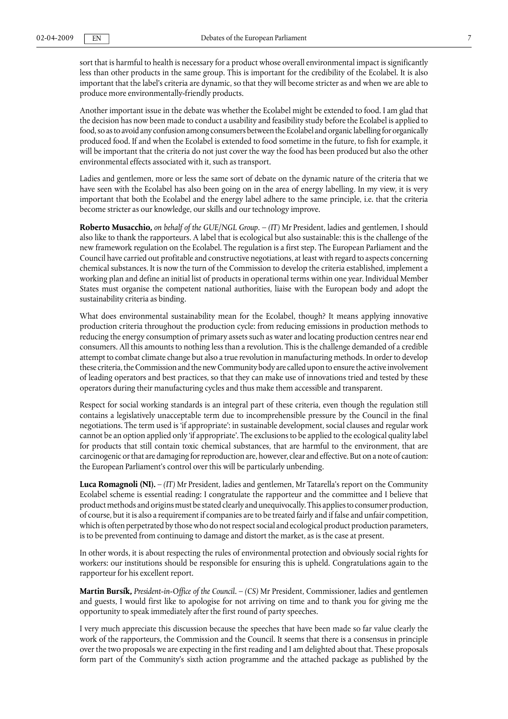sort that is harmful to health is necessary for a product whose overall environmental impact is significantly less than other products in the same group. This is important for the credibility of the Ecolabel. It is also important that the label's criteria are dynamic, so that they will become stricter as and when we are able to produce more environmentally-friendly products.

Another important issue in the debate was whether the Ecolabel might be extended to food. I am glad that the decision has now been made to conduct a usability and feasibility study before the Ecolabel is applied to food, so as to avoid any confusion among consumers between the Ecolabel and organic labelling for organically produced food. If and when the Ecolabel is extended to food sometime in the future, to fish for example, it will be important that the criteria do not just cover the way the food has been produced but also the other environmental effects associated with it, such as transport.

Ladies and gentlemen, more or less the same sort of debate on the dynamic nature of the criteria that we have seen with the Ecolabel has also been going on in the area of energy labelling. In my view, it is very important that both the Ecolabel and the energy label adhere to the same principle, i.e. that the criteria become stricter as our knowledge, our skills and our technology improve.

**Roberto Musacchio,** *on behalf of the GUE/NGL Group. – (IT)* Mr President, ladies and gentlemen, I should also like to thank the rapporteurs. A label that is ecological but also sustainable: this is the challenge of the new framework regulation on the Ecolabel. The regulation is a first step. The European Parliament and the Council have carried out profitable and constructive negotiations, at least with regard to aspects concerning chemical substances. It is now the turn of the Commission to develop the criteria established, implement a working plan and define an initial list of products in operational terms within one year. Individual Member States must organise the competent national authorities, liaise with the European body and adopt the sustainability criteria as binding.

What does environmental sustainability mean for the Ecolabel, though? It means applying innovative production criteria throughout the production cycle: from reducing emissions in production methods to reducing the energy consumption of primary assets such as water and locating production centres near end consumers. All this amounts to nothing less than a revolution. This is the challenge demanded of a credible attempt to combat climate change but also a true revolution in manufacturing methods. In order to develop these criteria, the Commission and the new Community body are called upon to ensure the active involvement of leading operators and best practices, so that they can make use of innovations tried and tested by these operators during their manufacturing cycles and thus make them accessible and transparent.

Respect for social working standards is an integral part of these criteria, even though the regulation still contains a legislatively unacceptable term due to incomprehensible pressure by the Council in the final negotiations. The term used is 'if appropriate': in sustainable development, social clauses and regular work cannot be an option applied only 'if appropriate'. The exclusions to be applied to the ecological quality label for products that still contain toxic chemical substances, that are harmful to the environment, that are carcinogenic or that are damaging for reproduction are, however, clear and effective. But on a note of caution: the European Parliament's control over this will be particularly unbending.

**Luca Romagnoli (NI).** – *(IT)* Mr President, ladies and gentlemen, Mr Tatarella's report on the Community Ecolabel scheme is essential reading: I congratulate the rapporteur and the committee and I believe that product methods and origins must be stated clearly and unequivocally. This applies to consumer production, of course, but it is also a requirement if companies are to be treated fairly and if false and unfair competition, which is often perpetrated by those who do not respect social and ecological product production parameters, is to be prevented from continuing to damage and distort the market, as is the case at present.

In other words, it is about respecting the rules of environmental protection and obviously social rights for workers: our institutions should be responsible for ensuring this is upheld. Congratulations again to the rapporteur for his excellent report.

**Martin Bursík,** *President-in-Office of the Council.* – *(CS)* Mr President, Commissioner, ladies and gentlemen and guests, I would first like to apologise for not arriving on time and to thank you for giving me the opportunity to speak immediately after the first round of party speeches.

I very much appreciate this discussion because the speeches that have been made so far value clearly the work of the rapporteurs, the Commission and the Council. It seems that there is a consensus in principle over the two proposals we are expecting in the first reading and I am delighted about that. These proposals form part of the Community's sixth action programme and the attached package as published by the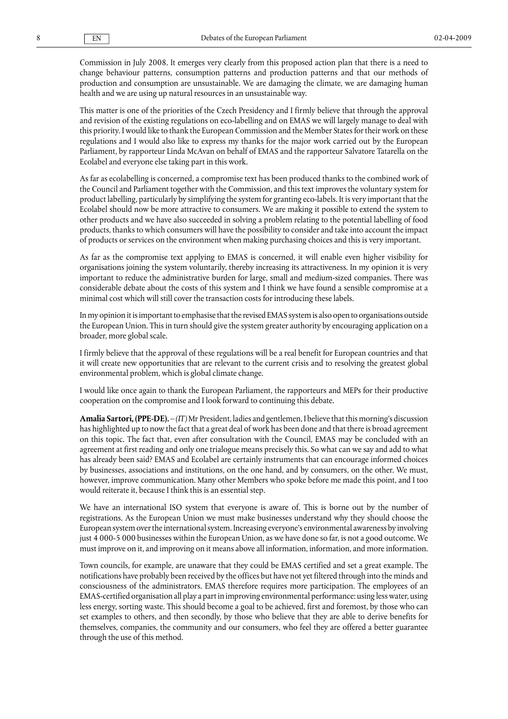Commission in July 2008. It emerges very clearly from this proposed action plan that there is a need to change behaviour patterns, consumption patterns and production patterns and that our methods of production and consumption are unsustainable. We are damaging the climate, we are damaging human health and we are using up natural resources in an unsustainable way.

This matter is one of the priorities of the Czech Presidency and I firmly believe that through the approval and revision of the existing regulations on eco-labelling and on EMAS we will largely manage to deal with this priority. I would like to thank the European Commission and the Member States for their work on these regulations and I would also like to express my thanks for the major work carried out by the European Parliament, by rapporteur Linda McAvan on behalf of EMAS and the rapporteur Salvatore Tatarella on the Ecolabel and everyone else taking part in this work.

As far as ecolabelling is concerned, a compromise text has been produced thanks to the combined work of the Council and Parliament together with the Commission, and this text improves the voluntary system for product labelling, particularly by simplifying the system for granting eco-labels. It is very important that the Ecolabel should now be more attractive to consumers. We are making it possible to extend the system to other products and we have also succeeded in solving a problem relating to the potential labelling of food products, thanks to which consumers will have the possibility to consider and take into account the impact of products or services on the environment when making purchasing choices and this is very important.

As far as the compromise text applying to EMAS is concerned, it will enable even higher visibility for organisations joining the system voluntarily, thereby increasing its attractiveness. In my opinion it is very important to reduce the administrative burden for large, small and medium-sized companies. There was considerable debate about the costs of this system and I think we have found a sensible compromise at a minimal cost which will still cover the transaction costs for introducing these labels.

In my opinion it is important to emphasise that the revised EMAS system is also open to organisations outside the European Union. This in turn should give the system greater authority by encouraging application on a broader, more global scale.

I firmly believe that the approval of these regulations will be a real benefit for European countries and that it will create new opportunities that are relevant to the current crisis and to resolving the greatest global environmental problem, which is global climate change.

I would like once again to thank the European Parliament, the rapporteurs and MEPs for their productive cooperation on the compromise and I look forward to continuing this debate.

**Amalia Sartori, (PPE-DE).** – *(IT)* Mr President, ladies and gentlemen, I believe that this morning's discussion has highlighted up to now the fact that a great deal of work has been done and that there is broad agreement on this topic. The fact that, even after consultation with the Council, EMAS may be concluded with an agreement at first reading and only one trialogue means precisely this. So what can we say and add to what has already been said? EMAS and Ecolabel are certainly instruments that can encourage informed choices by businesses, associations and institutions, on the one hand, and by consumers, on the other. We must, however, improve communication. Many other Members who spoke before me made this point, and I too would reiterate it, because I think this is an essential step.

We have an international ISO system that everyone is aware of. This is borne out by the number of registrations. As the European Union we must make businesses understand why they should choose the European system over the international system. Increasing everyone's environmental awareness by involving just 4 000-5 000 businesses within the European Union, as we have done so far, is not a good outcome. We must improve on it, and improving on it means above all information, information, and more information.

Town councils, for example, are unaware that they could be EMAS certified and set a great example. The notifications have probably been received by the offices but have not yet filtered through into the minds and consciousness of the administrators. EMAS therefore requires more participation. The employees of an EMAS-certified organisation all play a part in improving environmental performance: using less water, using less energy, sorting waste. This should become a goal to be achieved, first and foremost, by those who can set examples to others, and then secondly, by those who believe that they are able to derive benefits for themselves, companies, the community and our consumers, who feel they are offered a better guarantee through the use of this method.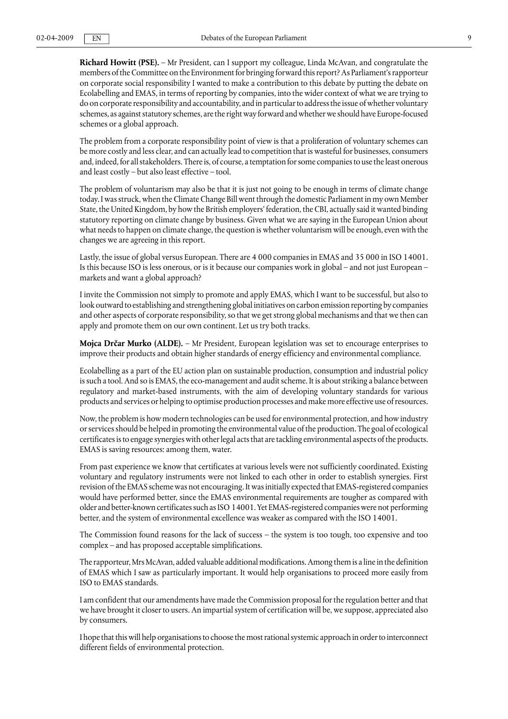**Richard Howitt (PSE).** – Mr President, can I support my colleague, Linda McAvan, and congratulate the members of the Committee on the Environment for bringing forward this report? As Parliament's rapporteur on corporate social responsibility I wanted to make a contribution to this debate by putting the debate on Ecolabelling and EMAS, in terms of reporting by companies, into the wider context of what we are trying to do on corporate responsibility and accountability, and in particular to address the issue of whether voluntary schemes, as against statutory schemes, are the right way forward and whether we should have Europe-focused schemes or a global approach.

The problem from a corporate responsibility point of view is that a proliferation of voluntary schemes can be more costly and less clear, and can actually lead to competition that is wasteful for businesses, consumers and, indeed, for all stakeholders. There is, of course, a temptation for some companies to use the least onerous and least costly – but also least effective – tool.

The problem of voluntarism may also be that it is just not going to be enough in terms of climate change today. I was struck, when the Climate Change Bill went through the domestic Parliament in my own Member State, the United Kingdom, by how the British employers' federation, the CBI, actually said it wanted binding statutory reporting on climate change by business. Given what we are saying in the European Union about what needs to happen on climate change, the question is whether voluntarism will be enough, even with the changes we are agreeing in this report.

Lastly, the issue of global versus European. There are 4 000 companies in EMAS and 35 000 in ISO 14001. Is this because ISO is less onerous, or is it because our companies work in global – and not just European – markets and want a global approach?

I invite the Commission not simply to promote and apply EMAS, which I want to be successful, but also to look outward to establishing and strengthening global initiatives on carbon emission reporting by companies and other aspects of corporate responsibility, so that we get strong global mechanisms and that we then can apply and promote them on our own continent. Let us try both tracks.

**Mojca Drčar Murko (ALDE).** – Mr President, European legislation was set to encourage enterprises to improve their products and obtain higher standards of energy efficiency and environmental compliance.

Ecolabelling as a part of the EU action plan on sustainable production, consumption and industrial policy is such a tool. And so is EMAS, the eco-management and audit scheme. It is about striking a balance between regulatory and market-based instruments, with the aim of developing voluntary standards for various products and services or helping to optimise production processes and make more effective use of resources.

Now, the problem is how modern technologies can be used for environmental protection, and how industry or services should be helped in promoting the environmental value of the production. The goal of ecological certificates is to engage synergies with other legal acts that are tackling environmental aspects of the products. EMAS is saving resources: among them, water.

From past experience we know that certificates at various levels were not sufficiently coordinated. Existing voluntary and regulatory instruments were not linked to each other in order to establish synergies. First revision of the EMAS scheme was not encouraging. It was initially expected that EMAS-registered companies would have performed better, since the EMAS environmental requirements are tougher as compared with older and better-known certificates such as ISO 14001. Yet EMAS-registered companies were not performing better, and the system of environmental excellence was weaker as compared with the ISO 14001.

The Commission found reasons for the lack of success – the system is too tough, too expensive and too complex – and has proposed acceptable simplifications.

The rapporteur, Mrs McAvan, added valuable additional modifications. Among them is a line in the definition of EMAS which I saw as particularly important. It would help organisations to proceed more easily from ISO to EMAS standards.

I am confident that our amendments have made the Commission proposal for the regulation better and that we have brought it closer to users. An impartial system of certification will be, we suppose, appreciated also by consumers.

I hope that this will help organisations to choose the most rational systemic approach in order to interconnect different fields of environmental protection.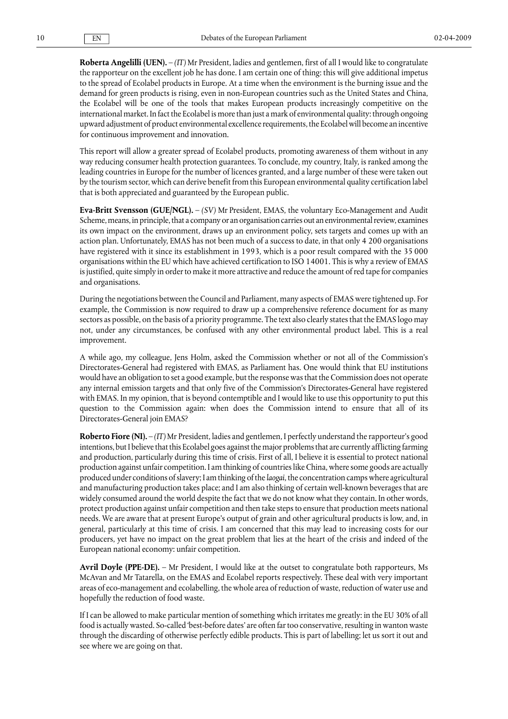**Roberta Angelilli (UEN).** – *(IT)* Mr President, ladies and gentlemen, first of all I would like to congratulate the rapporteur on the excellent job he has done. I am certain one of thing: this will give additional impetus to the spread of Ecolabel products in Europe. At a time when the environment is the burning issue and the demand for green products is rising, even in non-European countries such as the United States and China, the Ecolabel will be one of the tools that makes European products increasingly competitive on the international market. In fact the Ecolabel is more than just a mark of environmental quality: through ongoing upward adjustment of product environmental excellence requirements, the Ecolabel will become an incentive for continuous improvement and innovation.

This report will allow a greater spread of Ecolabel products, promoting awareness of them without in any way reducing consumer health protection guarantees. To conclude, my country, Italy, is ranked among the leading countries in Europe for the number of licences granted, and a large number of these were taken out by the tourism sector, which can derive benefit from this European environmental quality certification label that is both appreciated and guaranteed by the European public.

**Eva-Britt Svensson (GUE/NGL).** – *(SV)* Mr President, EMAS, the voluntary Eco-Management and Audit Scheme, means, in principle, that a company or an organisation carries out an environmental review, examines its own impact on the environment, draws up an environment policy, sets targets and comes up with an action plan. Unfortunately, EMAS has not been much of a success to date, in that only 4 200 organisations have registered with it since its establishment in 1993, which is a poor result compared with the 35 000 organisations within the EU which have achieved certification to ISO 14001. This is why a review of EMAS is justified, quite simply in order to make it more attractive and reduce the amount of red tape for companies and organisations.

During the negotiations between the Council and Parliament, many aspects of EMAS were tightened up. For example, the Commission is now required to draw up a comprehensive reference document for as many sectors as possible, on the basis of a priority programme. The text also clearly states that the EMAS logo may not, under any circumstances, be confused with any other environmental product label. This is a real improvement.

A while ago, my colleague, Jens Holm, asked the Commission whether or not all of the Commission's Directorates-General had registered with EMAS, as Parliament has. One would think that EU institutions would have an obligation to set a good example, but the response was that the Commission does not operate any internal emission targets and that only five of the Commission's Directorates-General have registered with EMAS. In my opinion, that is beyond contemptible and I would like to use this opportunity to put this question to the Commission again: when does the Commission intend to ensure that all of its Directorates-General join EMAS?

**Roberto Fiore (NI).** – *(IT)* Mr President, ladies and gentlemen, I perfectly understand the rapporteur's good intentions, but I believe that this Ecolabel goes against the major problems that are currently afflicting farming and production, particularly during this time of crisis. First of all, I believe it is essential to protect national production against unfair competition. I am thinking of countries like China, where some goods are actually produced under conditions of slavery; I am thinking of the *laogai,* the concentration camps where agricultural and manufacturing production takes place; and I am also thinking of certain well-known beverages that are widely consumed around the world despite the fact that we do not know what they contain. In other words, protect production against unfair competition and then take steps to ensure that production meets national needs. We are aware that at present Europe's output of grain and other agricultural products is low, and, in general, particularly at this time of crisis. I am concerned that this may lead to increasing costs for our producers, yet have no impact on the great problem that lies at the heart of the crisis and indeed of the European national economy: unfair competition.

**Avril Doyle (PPE-DE).** – Mr President, I would like at the outset to congratulate both rapporteurs, Ms McAvan and Mr Tatarella, on the EMAS and Ecolabel reports respectively. These deal with very important areas of eco-management and ecolabelling, the whole area of reduction of waste, reduction of water use and hopefully the reduction of food waste.

If I can be allowed to make particular mention of something which irritates me greatly: in the EU 30% of all food is actually wasted. So-called 'best-before dates' are often far too conservative, resulting in wanton waste through the discarding of otherwise perfectly edible products. This is part of labelling; let us sort it out and see where we are going on that.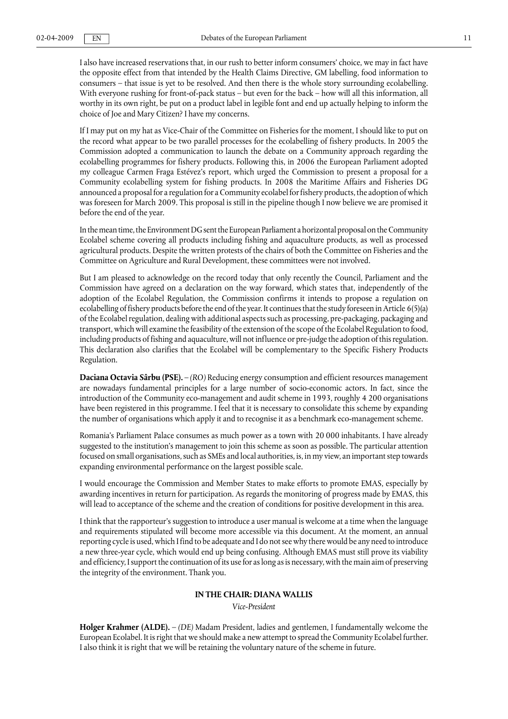I also have increased reservations that, in our rush to better inform consumers' choice, we may in fact have the opposite effect from that intended by the Health Claims Directive, GM labelling, food information to consumers – that issue is yet to be resolved. And then there is the whole story surrounding ecolabelling. With everyone rushing for front-of-pack status – but even for the back – how will all this information, all worthy in its own right, be put on a product label in legible font and end up actually helping to inform the choice of Joe and Mary Citizen? I have my concerns.

If I may put on my hat as Vice-Chair of the Committee on Fisheries for the moment, I should like to put on the record what appear to be two parallel processes for the ecolabelling of fishery products. In 2005 the Commission adopted a communication to launch the debate on a Community approach regarding the ecolabelling programmes for fishery products. Following this, in 2006 the European Parliament adopted my colleague Carmen Fraga Estévez's report, which urged the Commission to present a proposal for a Community ecolabelling system for fishing products. In 2008 the Maritime Affairs and Fisheries DG announced a proposal for a regulation for a Community ecolabel for fishery products, the adoption of which was foreseen for March 2009. This proposal is still in the pipeline though I now believe we are promised it before the end of the year.

In the mean time, the Environment DG sent the European Parliament a horizontal proposal on the Community Ecolabel scheme covering all products including fishing and aquaculture products, as well as processed agricultural products. Despite the written protests of the chairs of both the Committee on Fisheries and the Committee on Agriculture and Rural Development, these committees were not involved.

But I am pleased to acknowledge on the record today that only recently the Council, Parliament and the Commission have agreed on a declaration on the way forward, which states that, independently of the adoption of the Ecolabel Regulation, the Commission confirms it intends to propose a regulation on ecolabelling of fishery products before the end of the year. It continues that the study foreseen in Article 6(5)(a) of the Ecolabel regulation, dealing with additional aspects such as processing, pre-packaging, packaging and transport, which will examine the feasibility of the extension of the scope of the Ecolabel Regulation to food, including products of fishing and aquaculture, will not influence or pre-judge the adoption of this regulation. This declaration also clarifies that the Ecolabel will be complementary to the Specific Fishery Products Regulation.

**Daciana Octavia Sârbu (PSE).** – *(RO)* Reducing energy consumption and efficient resources management are nowadays fundamental principles for a large number of socio-economic actors. In fact, since the introduction of the Community eco-management and audit scheme in 1993, roughly 4 200 organisations have been registered in this programme. I feel that it is necessary to consolidate this scheme by expanding the number of organisations which apply it and to recognise it as a benchmark eco-management scheme.

Romania's Parliament Palace consumes as much power as a town with 20 000 inhabitants. I have already suggested to the institution's management to join this scheme as soon as possible. The particular attention focused on small organisations, such as SMEs and local authorities, is, in my view, an important step towards expanding environmental performance on the largest possible scale.

I would encourage the Commission and Member States to make efforts to promote EMAS, especially by awarding incentives in return for participation. As regards the monitoring of progress made by EMAS, this will lead to acceptance of the scheme and the creation of conditions for positive development in this area.

I think that the rapporteur's suggestion to introduce a user manual is welcome at a time when the language and requirements stipulated will become more accessible via this document. At the moment, an annual reporting cycle is used, which I find to be adequate and I do not see why there would be any need to introduce a new three-year cycle, which would end up being confusing. Although EMAS must still prove its viability and efficiency, I support the continuation of its use for as long as is necessary, with the main aim of preserving the integrity of the environment. Thank you.

#### **IN THE CHAIR: DIANA WALLIS**

*Vice-President*

**Holger Krahmer (ALDE).** – *(DE)* Madam President, ladies and gentlemen, I fundamentally welcome the European Ecolabel. It is right that we should make a new attempt to spread the Community Ecolabel further. I also think it is right that we will be retaining the voluntary nature of the scheme in future.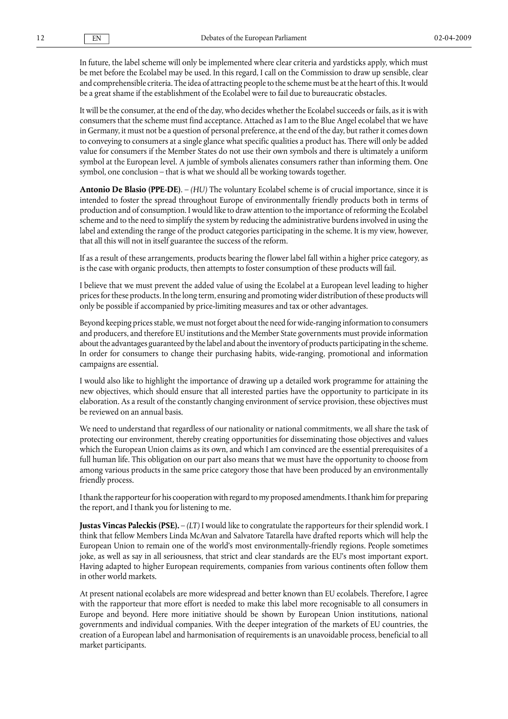In future, the label scheme will only be implemented where clear criteria and yardsticks apply, which must be met before the Ecolabel may be used. In this regard, I call on the Commission to draw up sensible, clear and comprehensible criteria. The idea of attracting people to the scheme must be at the heart of this. It would be a great shame if the establishment of the Ecolabel were to fail due to bureaucratic obstacles.

It will be the consumer, at the end of the day, who decides whether the Ecolabel succeeds or fails, as it is with consumers that the scheme must find acceptance. Attached as I am to the Blue Angel ecolabel that we have in Germany, it must not be a question of personal preference, at the end of the day, but rather it comes down to conveying to consumers at a single glance what specific qualities a product has. There will only be added value for consumers if the Member States do not use their own symbols and there is ultimately a uniform symbol at the European level. A jumble of symbols alienates consumers rather than informing them. One symbol, one conclusion – that is what we should all be working towards together.

**Antonio De Blasio (PPE-DE)**. – *(HU)* The voluntary Ecolabel scheme is of crucial importance, since it is intended to foster the spread throughout Europe of environmentally friendly products both in terms of production and of consumption. I would like to draw attention to the importance of reforming the Ecolabel scheme and to the need to simplify the system by reducing the administrative burdens involved in using the label and extending the range of the product categories participating in the scheme. It is my view, however, that all this will not in itself guarantee the success of the reform.

If as a result of these arrangements, products bearing the flower label fall within a higher price category, as is the case with organic products, then attempts to foster consumption of these products will fail.

I believe that we must prevent the added value of using the Ecolabel at a European level leading to higher prices for these products. In the long term, ensuring and promoting wider distribution of these products will only be possible if accompanied by price-limiting measures and tax or other advantages.

Beyond keeping prices stable, we must not forget about the need for wide-ranging information to consumers and producers, and therefore EU institutions and the Member State governments must provide information about the advantages guaranteed by the label and about the inventory of products participating in the scheme. In order for consumers to change their purchasing habits, wide-ranging, promotional and information campaigns are essential.

I would also like to highlight the importance of drawing up a detailed work programme for attaining the new objectives, which should ensure that all interested parties have the opportunity to participate in its elaboration. As a result of the constantly changing environment of service provision, these objectives must be reviewed on an annual basis.

We need to understand that regardless of our nationality or national commitments, we all share the task of protecting our environment, thereby creating opportunities for disseminating those objectives and values which the European Union claims as its own, and which I am convinced are the essential prerequisites of a full human life. This obligation on our part also means that we must have the opportunity to choose from among various products in the same price category those that have been produced by an environmentally friendly process.

I thank the rapporteur for his cooperation with regard to my proposed amendments. I thank him for preparing the report, and I thank you for listening to me.

**Justas Vincas Paleckis (PSE).** – *(LT)* I would like to congratulate the rapporteurs for their splendid work. I think that fellow Members Linda McAvan and Salvatore Tatarella have drafted reports which will help the European Union to remain one of the world's most environmentally-friendly regions. People sometimes joke, as well as say in all seriousness, that strict and clear standards are the EU's most important export. Having adapted to higher European requirements, companies from various continents often follow them in other world markets.

At present national ecolabels are more widespread and better known than EU ecolabels. Therefore, I agree with the rapporteur that more effort is needed to make this label more recognisable to all consumers in Europe and beyond. Here more initiative should be shown by European Union institutions, national governments and individual companies. With the deeper integration of the markets of EU countries, the creation of a European label and harmonisation of requirements is an unavoidable process, beneficial to all market participants.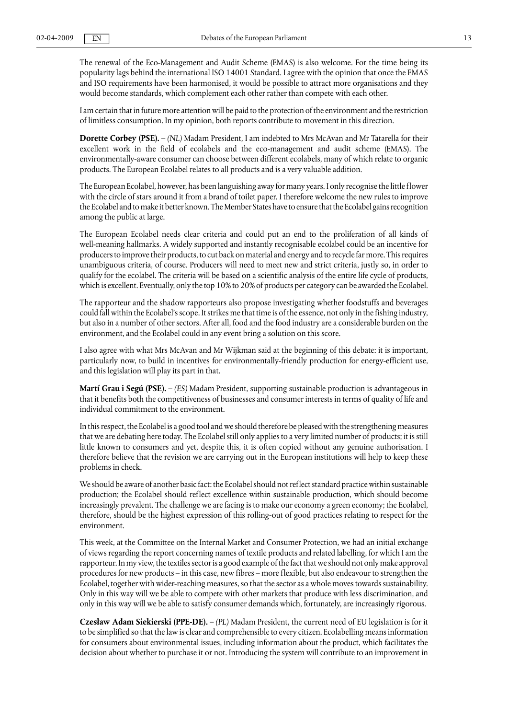The renewal of the Eco-Management and Audit Scheme (EMAS) is also welcome. For the time being its popularity lags behind the international ISO 14001 Standard. I agree with the opinion that once the EMAS and ISO requirements have been harmonised, it would be possible to attract more organisations and they would become standards, which complement each other rather than compete with each other.

I am certain that in future more attention will be paid to the protection of the environment and the restriction of limitless consumption. In my opinion, both reports contribute to movement in this direction.

**Dorette Corbey (PSE).** – *(NL)* Madam President, I am indebted to Mrs McAvan and Mr Tatarella for their excellent work in the field of ecolabels and the eco-management and audit scheme (EMAS). The environmentally-aware consumer can choose between different ecolabels, many of which relate to organic products. The European Ecolabel relates to all products and is a very valuable addition.

The European Ecolabel, however, has been languishing away for many years. I only recognise the little flower with the circle of stars around it from a brand of toilet paper. I therefore welcome the new rules to improve the Ecolabel and to make it better known. The Member States have to ensure that the Ecolabel gains recognition among the public at large.

The European Ecolabel needs clear criteria and could put an end to the proliferation of all kinds of well-meaning hallmarks. A widely supported and instantly recognisable ecolabel could be an incentive for producers to improve their products, to cut back on material and energy and to recycle far more. This requires unambiguous criteria, of course. Producers will need to meet new and strict criteria, justly so, in order to qualify for the ecolabel. The criteria will be based on a scientific analysis of the entire life cycle of products, which is excellent. Eventually, only the top 10% to 20% of products per category can be awarded the Ecolabel.

The rapporteur and the shadow rapporteurs also propose investigating whether foodstuffs and beverages could fall within the Ecolabel's scope. It strikes me that time is of the essence, not only in the fishing industry, but also in a number of other sectors. After all, food and the food industry are a considerable burden on the environment, and the Ecolabel could in any event bring a solution on this score.

I also agree with what Mrs McAvan and Mr Wijkman said at the beginning of this debate: it is important, particularly now, to build in incentives for environmentally-friendly production for energy-efficient use, and this legislation will play its part in that.

**Martí Grau i Segú (PSE).** – *(ES)* Madam President, supporting sustainable production is advantageous in that it benefits both the competitiveness of businesses and consumer interests in terms of quality of life and individual commitment to the environment.

In this respect, the Ecolabel is a good tool and we should therefore be pleased with the strengthening measures that we are debating here today. The Ecolabel still only applies to a very limited number of products; it is still little known to consumers and yet, despite this, it is often copied without any genuine authorisation. I therefore believe that the revision we are carrying out in the European institutions will help to keep these problems in check.

We should be aware of another basic fact: the Ecolabel should not reflect standard practice within sustainable production; the Ecolabel should reflect excellence within sustainable production, which should become increasingly prevalent. The challenge we are facing is to make our economy a green economy; the Ecolabel, therefore, should be the highest expression of this rolling-out of good practices relating to respect for the environment.

This week, at the Committee on the Internal Market and Consumer Protection, we had an initial exchange of views regarding the report concerning names of textile products and related labelling, for which I am the rapporteur. In my view, the textiles sector is a good example of the fact that we should not only make approval procedures for new products – in this case, new fibres – more flexible, but also endeavour to strengthen the Ecolabel, together with wider-reaching measures, so that the sector as a whole moves towards sustainability. Only in this way will we be able to compete with other markets that produce with less discrimination, and only in this way will we be able to satisfy consumer demands which, fortunately, are increasingly rigorous.

**Czesław Adam Siekierski (PPE-DE).** – *(PL)* Madam President, the current need of EU legislation is for it to be simplified so that the law is clear and comprehensible to every citizen. Ecolabelling means information for consumers about environmental issues, including information about the product, which facilitates the decision about whether to purchase it or not. Introducing the system will contribute to an improvement in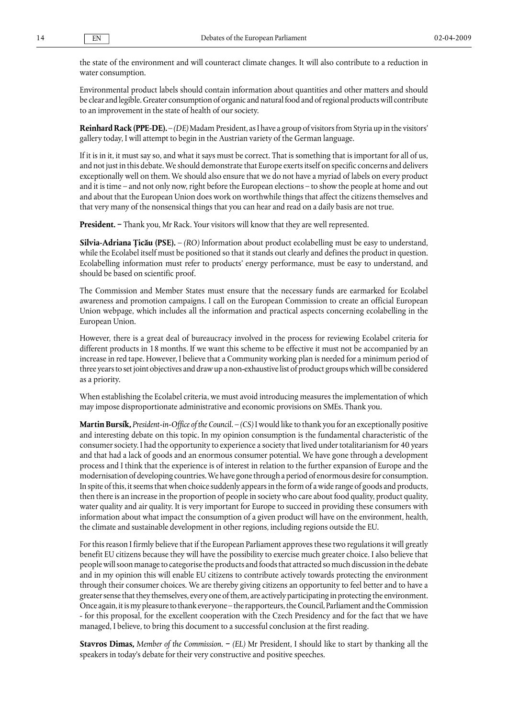the state of the environment and will counteract climate changes. It will also contribute to a reduction in water consumption.

Environmental product labels should contain information about quantities and other matters and should be clear and legible. Greater consumption of organic and natural food and of regional products will contribute to an improvement in the state of health of our society.

**Reinhard Rack (PPE-DE).** – *(DE)* Madam President, as I have a group of visitors from Styria up in the visitors' gallery today, I will attempt to begin in the Austrian variety of the German language.

If it is in it, it must say so, and what it says must be correct. That is something that is important for all of us, and not just in this debate. We should demonstrate that Europe exerts itself on specific concerns and delivers exceptionally well on them. We should also ensure that we do not have a myriad of labels on every product and it is time – and not only now, right before the European elections – to show the people at home and out and about that the European Union does work on worthwhile things that affect the citizens themselves and that very many of the nonsensical things that you can hear and read on a daily basis are not true.

**President. −** Thank you, Mr Rack. Your visitors will know that they are well represented.

**Silvia-Adriana Ţicău (PSE).** – *(RO)* Information about product ecolabelling must be easy to understand, while the Ecolabel itself must be positioned so that it stands out clearly and defines the product in question. Ecolabelling information must refer to products' energy performance, must be easy to understand, and should be based on scientific proof.

The Commission and Member States must ensure that the necessary funds are earmarked for Ecolabel awareness and promotion campaigns. I call on the European Commission to create an official European Union webpage, which includes all the information and practical aspects concerning ecolabelling in the European Union.

However, there is a great deal of bureaucracy involved in the process for reviewing Ecolabel criteria for different products in 18 months. If we want this scheme to be effective it must not be accompanied by an increase in red tape. However, I believe that a Community working plan is needed for a minimum period of three years to set joint objectives and draw up a non-exhaustive list of product groups which will be considered as a priority.

When establishing the Ecolabel criteria, we must avoid introducing measures the implementation of which may impose disproportionate administrative and economic provisions on SMEs. Thank you.

**Martin Bursík,** *President-in-Office of the Council.* – *(CS)* I would like to thank you for an exceptionally positive and interesting debate on this topic. In my opinion consumption is the fundamental characteristic of the consumer society. I had the opportunity to experience a society that lived under totalitarianism for 40 years and that had a lack of goods and an enormous consumer potential. We have gone through a development process and I think that the experience is of interest in relation to the further expansion of Europe and the modernisation of developing countries. We have gone through a period of enormous desire for consumption. In spite of this, it seems that when choice suddenly appears in the form of a wide range of goods and products, then there is an increase in the proportion of people in society who care about food quality, product quality, water quality and air quality. It is very important for Europe to succeed in providing these consumers with information about what impact the consumption of a given product will have on the environment, health, the climate and sustainable development in other regions, including regions outside the EU.

For this reason I firmly believe that if the European Parliament approves these two regulations it will greatly benefit EU citizens because they will have the possibility to exercise much greater choice. I also believe that people will soon manage to categorise the products and foods that attracted so much discussion in the debate and in my opinion this will enable EU citizens to contribute actively towards protecting the environment through their consumer choices. We are thereby giving citizens an opportunity to feel better and to have a greater sense that they themselves, every one of them, are actively participating in protecting the environment. Once again, it is my pleasure to thank everyone – the rapporteurs, the Council, Parliament and the Commission - for this proposal, for the excellent cooperation with the Czech Presidency and for the fact that we have managed, I believe, to bring this document to a successful conclusion at the first reading.

**Stavros Dimas,** *Member of the Commission.* **−** *(EL)* Mr President, I should like to start by thanking all the speakers in today's debate for their very constructive and positive speeches.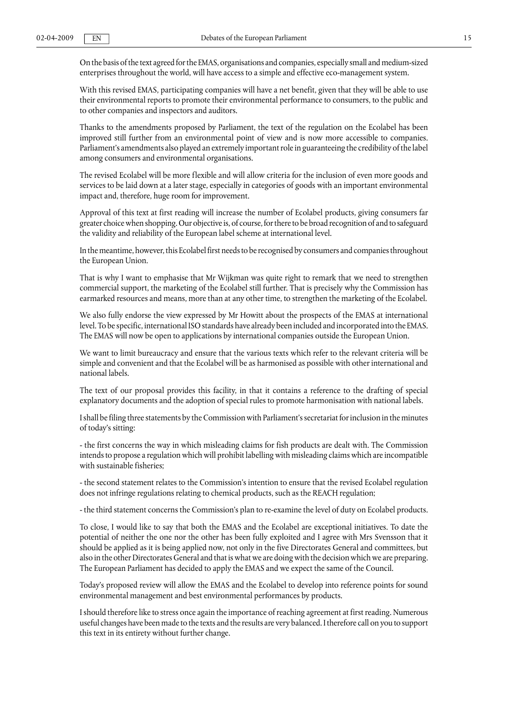On the basis of the text agreed for the ΕΜΑS, organisations and companies, especially small and medium-sized enterprises throughout the world, will have access to a simple and effective eco-management system.

With this revised ΕΜΑS, participating companies will have a net benefit, given that they will be able to use their environmental reports to promote their environmental performance to consumers, to the public and to other companies and inspectors and auditors.

Thanks to the amendments proposed by Parliament, the text of the regulation on the Ecolabel has been improved still further from an environmental point of view and is now more accessible to companies. Parliament's amendments also played an extremely important role in guaranteeing the credibility of the label among consumers and environmental organisations.

The revised Ecolabel will be more flexible and will allow criteria for the inclusion of even more goods and services to be laid down at a later stage, especially in categories of goods with an important environmental impact and, therefore, huge room for improvement.

Approval of this text at first reading will increase the number of Ecolabel products, giving consumers far greater choice when shopping. Our objective is, of course, for there to be broad recognition of and to safeguard the validity and reliability of the European label scheme at international level.

In the meantime, however, this Ecolabel first needs to be recognised by consumers and companies throughout the European Union.

That is why I want to emphasise that Mr Wijkman was quite right to remark that we need to strengthen commercial support, the marketing of the Ecolabel still further. That is precisely why the Commission has earmarked resources and means, more than at any other time, to strengthen the marketing of the Ecolabel.

We also fully endorse the view expressed by Mr Howitt about the prospects of the ΕΜΑS at international level. To be specific, international ISO standards have already been included and incorporated into the ΕΜΑS. The ΕΜΑS will now be open to applications by international companies outside the European Union.

We want to limit bureaucracy and ensure that the various texts which refer to the relevant criteria will be simple and convenient and that the Ecolabel will be as harmonised as possible with other international and national labels.

The text of our proposal provides this facility, in that it contains a reference to the drafting of special explanatory documents and the adoption of special rules to promote harmonisation with national labels.

I shall be filing three statements by the Commission with Parliament's secretariat for inclusion in the minutes of today's sitting:

- the first concerns the way in which misleading claims for fish products are dealt with. The Commission intends to propose a regulation which will prohibit labelling with misleading claims which are incompatible with sustainable fisheries;

- the second statement relates to the Commission's intention to ensure that the revised Ecolabel regulation does not infringe regulations relating to chemical products, such as the REACH regulation;

- the third statement concerns the Commission's plan to re-examine the level of duty on Ecolabel products.

To close, I would like to say that both the ΕΜΑS and the Ecolabel are exceptional initiatives. To date the potential of neither the one nor the other has been fully exploited and I agree with Mrs Svensson that it should be applied as it is being applied now, not only in the five Directorates General and committees, but also in the other Directorates General and that is what we are doing with the decision which we are preparing. The European Parliament has decided to apply the ΕΜΑS and we expect the same of the Council.

Today's proposed review will allow the ΕΜΑS and the Ecolabel to develop into reference points for sound environmental management and best environmental performances by products.

I should therefore like to stress once again the importance of reaching agreement at first reading. Numerous useful changes have been made to the texts and the results are very balanced. I therefore call on you to support this text in its entirety without further change.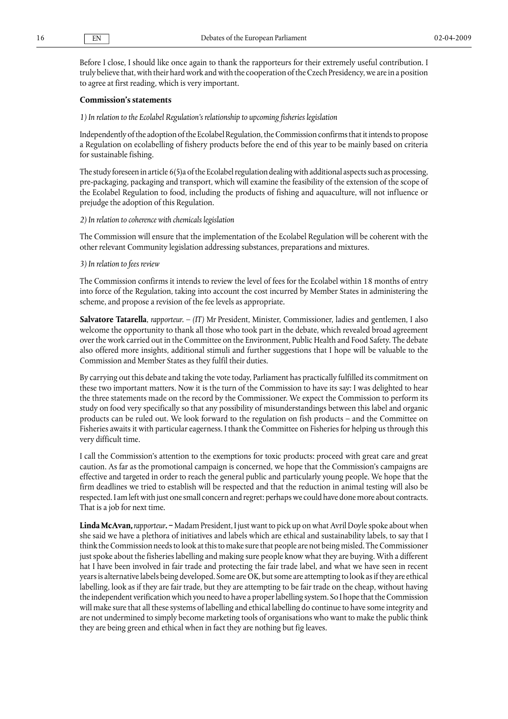Before I close, I should like once again to thank the rapporteurs for their extremely useful contribution. I truly believe that, with their hard work and with the cooperation of the Czech Presidency, we are in a position to agree at first reading, which is very important.

#### **Commission's statements**

#### *1) In relation to the Ecolabel Regulation's relationship to upcoming fisheries legislation*

Independently of the adoption of the Ecolabel Regulation, the Commission confirms that it intends to propose a Regulation on ecolabelling of fishery products before the end of this year to be mainly based on criteria for sustainable fishing.

The study foreseen in article 6(5)a of the Ecolabel regulation dealing with additional aspects such as processing, pre-packaging, packaging and transport, which will examine the feasibility of the extension of the scope of the Ecolabel Regulation to food, including the products of fishing and aquaculture, will not influence or prejudge the adoption of this Regulation.

#### *2) In relation to coherence with chemicals legislation*

The Commission will ensure that the implementation of the Ecolabel Regulation will be coherent with the other relevant Community legislation addressing substances, preparations and mixtures.

#### *3) In relation to fees review*

The Commission confirms it intends to review the level of fees for the Ecolabel within 18 months of entry into force of the Regulation, taking into account the cost incurred by Member States in administering the scheme, and propose a revision of the fee levels as appropriate.

**Salvatore Tatarella**, *rapporteur.* – *(IT)* Mr President, Minister, Commissioner, ladies and gentlemen, I also welcome the opportunity to thank all those who took part in the debate, which revealed broad agreement over the work carried out in the Committee on the Environment, Public Health and Food Safety. The debate also offered more insights, additional stimuli and further suggestions that I hope will be valuable to the Commission and Member States as they fulfil their duties.

By carrying out this debate and taking the vote today, Parliament has practically fulfilled its commitment on these two important matters. Now it is the turn of the Commission to have its say: I was delighted to hear the three statements made on the record by the Commissioner. We expect the Commission to perform its study on food very specifically so that any possibility of misunderstandings between this label and organic products can be ruled out. We look forward to the regulation on fish products – and the Committee on Fisheries awaits it with particular eagerness. I thank the Committee on Fisheries for helping us through this very difficult time.

I call the Commission's attention to the exemptions for toxic products: proceed with great care and great caution. As far as the promotional campaign is concerned, we hope that the Commission's campaigns are effective and targeted in order to reach the general public and particularly young people. We hope that the firm deadlines we tried to establish will be respected and that the reduction in animal testing will also be respected. I am left with just one small concern and regret: perhaps we could have done more about contracts. That is a job for next time.

**Linda McAvan,** *rapporteur***. −**Madam President, I just want to pick up on what Avril Doyle spoke about when she said we have a plethora of initiatives and labels which are ethical and sustainability labels, to say that I think the Commission needs to look at this to make sure that people are not being misled. The Commissioner just spoke about the fisheries labelling and making sure people know what they are buying. With a different hat I have been involved in fair trade and protecting the fair trade label, and what we have seen in recent years is alternative labels being developed. Some are OK, but some are attempting to look as if they are ethical labelling, look as if they are fair trade, but they are attempting to be fair trade on the cheap, without having the independent verification which you need to have a proper labelling system. So I hope that the Commission will make sure that all these systems of labelling and ethical labelling do continue to have some integrity and are not undermined to simply become marketing tools of organisations who want to make the public think they are being green and ethical when in fact they are nothing but fig leaves.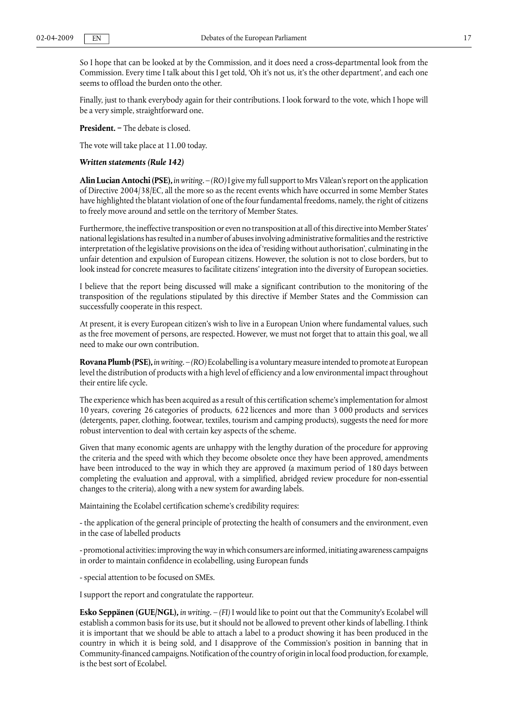So I hope that can be looked at by the Commission, and it does need a cross-departmental look from the Commission. Every time I talk about this I get told, 'Oh it's not us, it's the other department', and each one seems to offload the burden onto the other.

Finally, just to thank everybody again for their contributions. I look forward to the vote, which I hope will be a very simple, straightforward one.

**President. −** The debate is closed.

The vote will take place at 11.00 today.

#### *Written statements (Rule 142)*

**Alin Lucian Antochi (PSE),** *in writing.* – *(RO)* I give my full support to Mrs Vălean's report on the application of Directive 2004/38/EC, all the more so as the recent events which have occurred in some Member States have highlighted the blatant violation of one of the four fundamental freedoms, namely, the right of citizens to freely move around and settle on the territory of Member States.

Furthermore, the ineffective transposition or even no transposition at all of this directive into Member States' national legislations has resulted in a number of abuses involving administrative formalities and the restrictive interpretation of the legislative provisions on the idea of 'residing without authorisation', culminating in the unfair detention and expulsion of European citizens. However, the solution is not to close borders, but to look instead for concrete measures to facilitate citizens' integration into the diversity of European societies.

I believe that the report being discussed will make a significant contribution to the monitoring of the transposition of the regulations stipulated by this directive if Member States and the Commission can successfully cooperate in this respect.

At present, it is every European citizen's wish to live in a European Union where fundamental values, such as the free movement of persons, are respected. However, we must not forget that to attain this goal, we all need to make our own contribution.

**Rovana Plumb (PSE),** *in writing.* – *(RO)* Ecolabelling is a voluntary measure intended to promote at European level the distribution of products with a high level of efficiency and a low environmental impact throughout their entire life cycle.

The experience which has been acquired as a result of this certification scheme's implementation for almost 10 years, covering 26 categories of products, 622 licences and more than 3 000 products and services (detergents, paper, clothing, footwear, textiles, tourism and camping products), suggests the need for more robust intervention to deal with certain key aspects of the scheme.

Given that many economic agents are unhappy with the lengthy duration of the procedure for approving the criteria and the speed with which they become obsolete once they have been approved, amendments have been introduced to the way in which they are approved (a maximum period of 180 days between completing the evaluation and approval, with a simplified, abridged review procedure for non-essential changes to the criteria), along with a new system for awarding labels.

Maintaining the Ecolabel certification scheme's credibility requires:

- the application of the general principle of protecting the health of consumers and the environment, even in the case of labelled products

- promotional activities: improving the way in which consumers are informed, initiating awareness campaigns in order to maintain confidence in ecolabelling, using European funds

- special attention to be focused on SMEs.

I support the report and congratulate the rapporteur.

**Esko Seppänen (GUE/NGL),** *in writing.* – *(FI)* I would like to point out that the Community's Ecolabel will establish a common basis for its use, but it should not be allowed to prevent other kinds of labelling. I think it is important that we should be able to attach a label to a product showing it has been produced in the country in which it is being sold, and I disapprove of the Commission's position in banning that in Community-financed campaigns. Notification of the country of origin in local food production, for example, is the best sort of Ecolabel.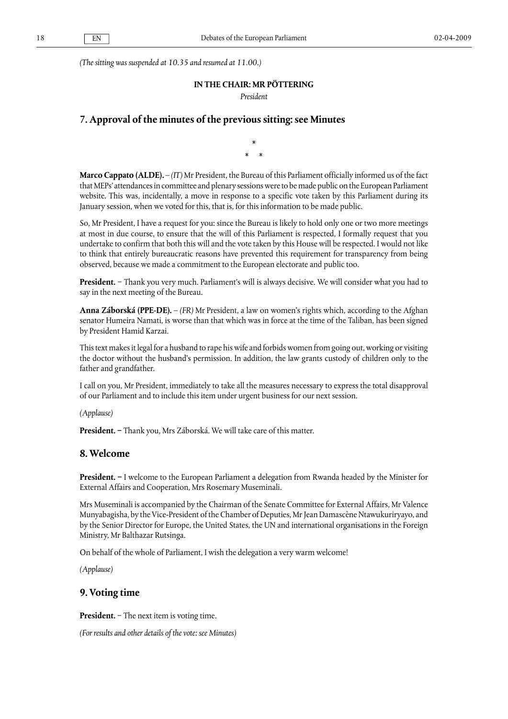*(The sitting was suspended at 10.35 and resumed at 11.00.)*

### **IN THE CHAIR: MR PÖTTERING**

*President*

### **7. Approval of the minutes of the previous sitting: see Minutes**

\*  $*$ 

**Marco Cappato (ALDE).** – *(IT)* Mr President, the Bureau of this Parliament officially informed us of the fact that MEPs' attendances in committee and plenary sessions were to be made public on the European Parliament website. This was, incidentally, a move in response to a specific vote taken by this Parliament during its January session, when we voted for this, that is, for this information to be made public.

So, Mr President, I have a request for you: since the Bureau is likely to hold only one or two more meetings at most in due course, to ensure that the will of this Parliament is respected, I formally request that you undertake to confirm that both this will and the vote taken by this House will be respected. I would not like to think that entirely bureaucratic reasons have prevented this requirement for transparency from being observed, because we made a commitment to the European electorate and public too.

**President.** − Thank you very much. Parliament's will is always decisive. We will consider what you had to say in the next meeting of the Bureau.

**Anna Záborská (PPE-DE).** – *(FR)* Mr President, a law on women's rights which, according to the Afghan senator Humeira Namati, is worse than that which was in force at the time of the Taliban, has been signed by President Hamid Karzai.

This text makes it legal for a husband to rape his wife and forbids women from going out, working or visiting the doctor without the husband's permission. In addition, the law grants custody of children only to the father and grandfather.

I call on you, Mr President, immediately to take all the measures necessary to express the total disapproval of our Parliament and to include this item under urgent business for our next session.

*(Applause)*

**President. −** Thank you, Mrs Záborská. We will take care of this matter.

### **8. Welcome**

**President. −** I welcome to the European Parliament a delegation from Rwanda headed by the Minister for External Affairs and Cooperation, Mrs Rosemary Museminali.

Mrs Museminali is accompanied by the Chairman of the Senate Committee for External Affairs, Mr Valence Munyabagisha, by the Vice-President of the Chamber of Deputies, Mr Jean Damascène Ntawukuriryayo, and by the Senior Director for Europe, the United States, the UN and international organisations in the Foreign Ministry, Mr Balthazar Rutsinga.

On behalf of the whole of Parliament, I wish the delegation a very warm welcome!

*(Applause)*

# **9. Voting time**

**President.** − The next item is voting time.

*(For results and other details of the vote: see Minutes)*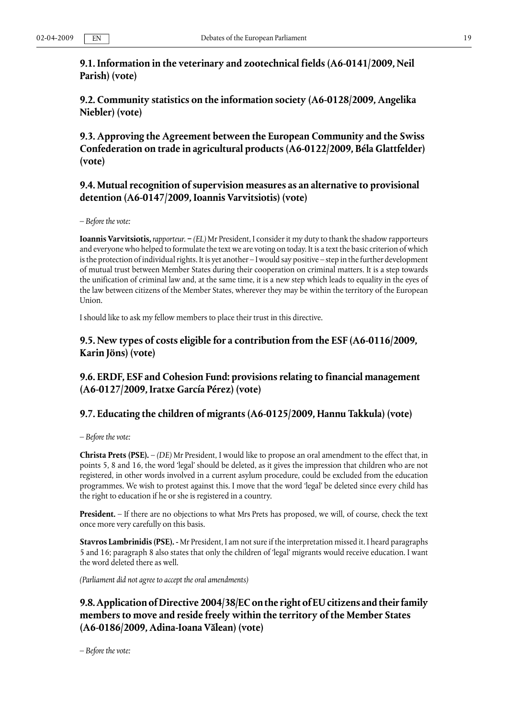**9.1. Information in the veterinary and zootechnical fields (A6-0141/2009, Neil Parish) (vote)**

**9.2. Community statistics on the information society (A6-0128/2009, Angelika Niebler) (vote)**

**9.3. Approving the Agreement between the European Community and the Swiss Confederation on trade in agricultural products (A6-0122/2009, Béla Glattfelder) (vote)**

# **9.4. Mutual recognition of supervision measures as an alternative to provisional detention (A6-0147/2009, Ioannis Varvitsiotis) (vote)**

*– Before the vote:*

**Ioannis Varvitsiotis,** *rapporteur.* **−** *(EL)* Mr President, I consider it my duty to thank the shadow rapporteurs and everyone who helped to formulate the text we are voting on today. It is a text the basic criterion of which is the protection of individual rights. It is yet another – I would say positive – step in the further development of mutual trust between Member States during their cooperation on criminal matters. It is a step towards the unification of criminal law and, at the same time, it is a new step which leads to equality in the eyes of the law between citizens of the Member States, wherever they may be within the territory of the European Union.

I should like to ask my fellow members to place their trust in this directive.

# **9.5. New types of costs eligible for a contribution from the ESF (A6-0116/2009, Karin Jöns) (vote)**

# **9.6. ERDF, ESF and Cohesion Fund: provisions relating to financial management (A6-0127/2009, Iratxe García Pérez) (vote)**

# **9.7. Educating the children of migrants (A6-0125/2009, Hannu Takkula) (vote)**

*– Before the vote:*

**Christa Prets (PSE).** – *(DE)* Mr President, I would like to propose an oral amendment to the effect that, in points 5, 8 and 16, the word 'legal' should be deleted, as it gives the impression that children who are not registered, in other words involved in a current asylum procedure, could be excluded from the education programmes. We wish to protest against this. I move that the word 'legal' be deleted since every child has the right to education if he or she is registered in a country.

**President.** – If there are no objections to what Mrs Prets has proposed, we will, of course, check the text once more very carefully on this basis.

**Stavros Lambrinidis (PSE). -** Mr President, I am not sure if the interpretation missed it. I heard paragraphs 5 and 16; paragraph 8 also states that only the children of 'legal' migrants would receive education. I want the word deleted there as well.

*(Parliament did not agree to accept the oral amendments)*

# **9.8. Application of Directive 2004/38/EC on the right of EU citizens and their family members to move and reside freely within the territory of the Member States (A6-0186/2009, Adina-Ioana Vălean) (vote)**

*– Before the vote:*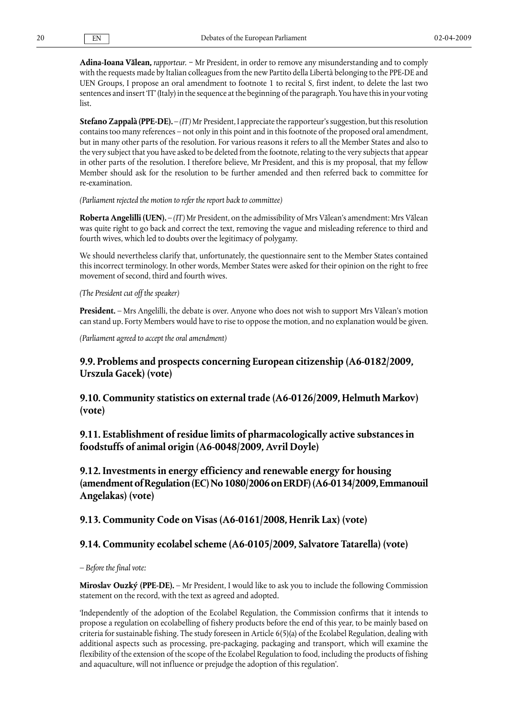**Adina-Ioana Vălean,** *rapporteur.* − Mr President, in order to remove any misunderstanding and to comply with the requests made by Italian colleagues from the new Partito della Libertà belonging to the PPE-DE and UEN Groups, I propose an oral amendment to footnote 1 to recital S, first indent, to delete the last two sentences and insert 'IT' (Italy) in the sequence at the beginning of the paragraph. You have this in your voting list.

**Stefano Zappalà (PPE-DE).** – *(IT)* Mr President, I appreciate the rapporteur's suggestion, but this resolution contains too many references – not only in this point and in this footnote of the proposed oral amendment, but in many other parts of the resolution. For various reasons it refers to all the Member States and also to the very subject that you have asked to be deleted from the footnote, relating to the very subjects that appear in other parts of the resolution. I therefore believe, Mr President, and this is my proposal, that my fellow Member should ask for the resolution to be further amended and then referred back to committee for re-examination.

#### *(Parliament rejected the motion to refer the report back to committee)*

**Roberta Angelilli (UEN).** – *(IT)* Mr President, on the admissibility of Mrs Vălean's amendment: Mrs Vălean was quite right to go back and correct the text, removing the vague and misleading reference to third and fourth wives, which led to doubts over the legitimacy of polygamy.

We should nevertheless clarify that, unfortunately, the questionnaire sent to the Member States contained this incorrect terminology. In other words, Member States were asked for their opinion on the right to free movement of second, third and fourth wives.

*(The President cut off the speaker)*

**President.** – Mrs Angelilli, the debate is over. Anyone who does not wish to support Mrs Vălean's motion can stand up. Forty Members would have to rise to oppose the motion, and no explanation would be given.

*(Parliament agreed to accept the oral amendment)*

# **9.9. Problems and prospects concerning European citizenship (A6-0182/2009, Urszula Gacek) (vote)**

**9.10. Community statistics on external trade (A6-0126/2009, Helmuth Markov) (vote)**

**9.11. Establishment of residue limits of pharmacologically active substances in foodstuffs of animal origin (A6-0048/2009, Avril Doyle)**

**9.12. Investments in energy efficiency and renewable energy for housing (amendment of Regulation (EC) No 1080/2006 on ERDF) (A6-0134/2009, Emmanouil Angelakas) (vote)**

### **9.13. Community Code on Visas (A6-0161/2008, Henrik Lax) (vote)**

# **9.14. Community ecolabel scheme (A6-0105/2009, Salvatore Tatarella) (vote)**

*– Before the final vote:*

**Miroslav Ouzký (PPE-DE).** – Mr President, I would like to ask you to include the following Commission statement on the record, with the text as agreed and adopted.

'Independently of the adoption of the Ecolabel Regulation, the Commission confirms that it intends to propose a regulation on ecolabelling of fishery products before the end of this year, to be mainly based on criteria for sustainable fishing. The study foreseen in Article 6(5)(a) of the Ecolabel Regulation, dealing with additional aspects such as processing, pre-packaging, packaging and transport, which will examine the flexibility of the extension of the scope of the Ecolabel Regulation to food, including the products of fishing and aquaculture, will not influence or prejudge the adoption of this regulation'.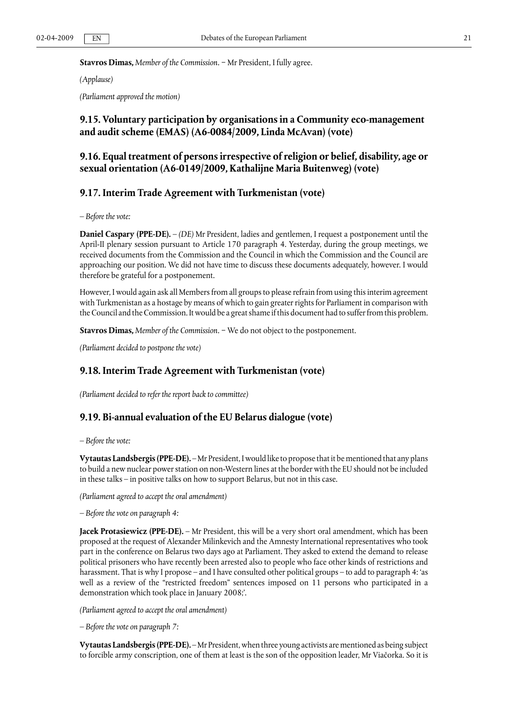#### **Stavros Dimas,** *Member of the Commission.* − Mr President, I fully agree.

#### *(Applause)*

*(Parliament approved the motion)*

# **9.15. Voluntary participation by organisations in a Community eco-management and audit scheme (EMAS) (A6-0084/2009, Linda McAvan) (vote)**

# **9.16. Equal treatment of persons irrespective of religion or belief, disability, age or sexual orientation (A6-0149/2009, Kathalijne Maria Buitenweg) (vote)**

# **9.17. Interim Trade Agreement with Turkmenistan (vote)**

*– Before the vote:*

**Daniel Caspary (PPE-DE).** – *(DE)* Mr President, ladies and gentlemen, I request a postponement until the April-II plenary session pursuant to Article 170 paragraph 4. Yesterday, during the group meetings, we received documents from the Commission and the Council in which the Commission and the Council are approaching our position. We did not have time to discuss these documents adequately, however. I would therefore be grateful for a postponement.

However, I would again ask all Members from all groups to please refrain from using this interim agreement with Turkmenistan as a hostage by means of which to gain greater rights for Parliament in comparison with the Council and the Commission. It would be a great shame if this document had to suffer from this problem.

**Stavros Dimas,** *Member of the Commission.* − We do not object to the postponement.

*(Parliament decided to postpone the vote)*

### **9.18. Interim Trade Agreement with Turkmenistan (vote)**

*(Parliament decided to refer the report back to committee)*

### **9.19. Bi-annual evaluation of the EU Belarus dialogue (vote)**

*– Before the vote:*

**Vytautas Landsbergis (PPE-DE).** – Mr President, I would like to propose that it be mentioned that any plans to build a new nuclear power station on non-Western lines at the border with the EU should not be included in these talks – in positive talks on how to support Belarus, but not in this case.

*(Parliament agreed to accept the oral amendment)*

*– Before the vote on paragraph 4:*

**Jacek Protasiewicz (PPE-DE).** – Mr President, this will be a very short oral amendment, which has been proposed at the request of Alexander Milinkevich and the Amnesty International representatives who took part in the conference on Belarus two days ago at Parliament. They asked to extend the demand to release political prisoners who have recently been arrested also to people who face other kinds of restrictions and harassment. That is why I propose – and I have consulted other political groups – to add to paragraph 4: 'as well as a review of the "restricted freedom" sentences imposed on 11 persons who participated in a demonstration which took place in January 2008;'.

*(Parliament agreed to accept the oral amendment)*

*– Before the vote on paragraph 7:*

**Vytautas Landsbergis (PPE-DE).** – Mr President, when three young activists are mentioned as being subject to forcible army conscription, one of them at least is the son of the opposition leader, Mr Viačorka. So it is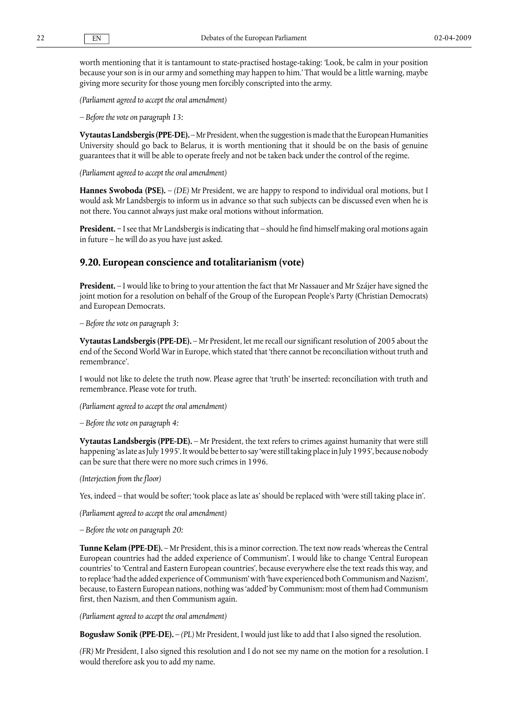worth mentioning that it is tantamount to state-practised hostage-taking: 'Look, be calm in your position because your son is in our army and something may happen to him.' That would be a little warning, maybe giving more security for those young men forcibly conscripted into the army.

*(Parliament agreed to accept the oral amendment)*

*– Before the vote on paragraph 13:*

**Vytautas Landsbergis (PPE-DE).** – Mr President, when the suggestion is made that the European Humanities University should go back to Belarus, it is worth mentioning that it should be on the basis of genuine guarantees that it will be able to operate freely and not be taken back under the control of the regime.

*(Parliament agreed to accept the oral amendment)*

**Hannes Swoboda (PSE).** – *(DE)* Mr President, we are happy to respond to individual oral motions, but I would ask Mr Landsbergis to inform us in advance so that such subjects can be discussed even when he is not there. You cannot always just make oral motions without information.

**President.** − I see that Mr Landsbergis is indicating that – should he find himself making oral motions again in future – he will do as you have just asked.

### **9.20. European conscience and totalitarianism (vote)**

**President.** – I would like to bring to your attention the fact that Mr Nassauer and Mr Szájer have signed the joint motion for a resolution on behalf of the Group of the European People's Party (Christian Democrats) and European Democrats.

*– Before the vote on paragraph 3:*

**Vytautas Landsbergis (PPE-DE).** – Mr President, let me recall our significant resolution of 2005 about the end of the Second World War in Europe, which stated that 'there cannot be reconciliation without truth and remembrance'.

I would not like to delete the truth now. Please agree that 'truth' be inserted: reconciliation with truth and remembrance. Please vote for truth.

*(Parliament agreed to accept the oral amendment)*

*– Before the vote on paragraph 4:*

**Vytautas Landsbergis (PPE-DE).** – Mr President, the text refers to crimes against humanity that were still happening 'as late as July 1995'. It would be better to say 'were still taking place in July 1995', because nobody can be sure that there were no more such crimes in 1996.

*(Interjection from the floor)*

Yes, indeed – that would be softer; 'took place as late as' should be replaced with 'were still taking place in'.

*(Parliament agreed to accept the oral amendment)*

*– Before the vote on paragraph 20:*

**Tunne Kelam (PPE-DE).** – Mr President, this is a minor correction. The text now reads 'whereas the Central European countries had the added experience of Communism'. I would like to change 'Central European countries' to 'Central and Eastern European countries', because everywhere else the text reads this way, and to replace 'had the added experience of Communism' with 'have experienced both Communism and Nazism', because, to Eastern European nations, nothing was 'added' by Communism: most of them had Communism first, then Nazism, and then Communism again.

*(Parliament agreed to accept the oral amendment)*

**Bogusław Sonik (PPE-DE).** – *(PL)* Mr President, I would just like to add that I also signed the resolution.

*(FR)* Mr President, I also signed this resolution and I do not see my name on the motion for a resolution. I would therefore ask you to add my name.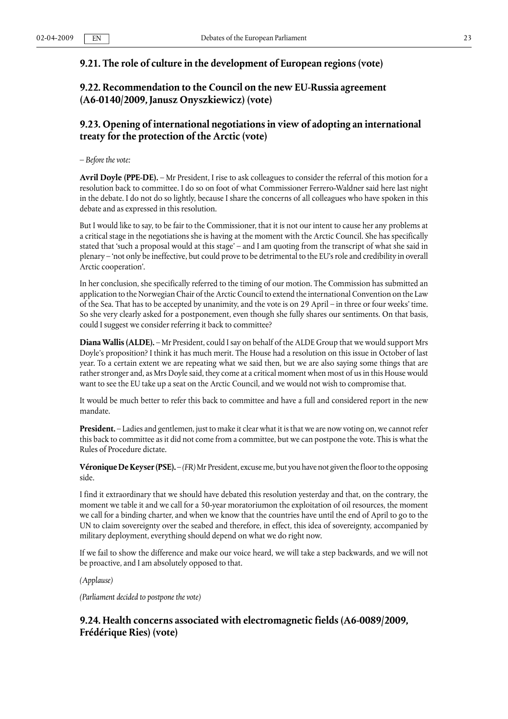# **9.21. The role of culture in the development of European regions (vote)**

# **9.22. Recommendation to the Council on the new EU-Russia agreement (A6-0140/2009, Janusz Onyszkiewicz) (vote)**

# **9.23. Opening of international negotiations in view of adopting an international treaty for the protection of the Arctic (vote)**

*– Before the vote:*

**Avril Doyle (PPE-DE).** – Mr President, I rise to ask colleagues to consider the referral of this motion for a resolution back to committee. I do so on foot of what Commissioner Ferrero-Waldner said here last night in the debate. I do not do so lightly, because I share the concerns of all colleagues who have spoken in this debate and as expressed in this resolution.

But I would like to say, to be fair to the Commissioner, that it is not our intent to cause her any problems at a critical stage in the negotiations she is having at the moment with the Arctic Council. She has specifically stated that 'such a proposal would at this stage' – and I am quoting from the transcript of what she said in plenary – 'not only be ineffective, but could prove to be detrimental to the EU's role and credibility in overall Arctic cooperation'.

In her conclusion, she specifically referred to the timing of our motion. The Commission has submitted an application to the Norwegian Chair of the Arctic Council to extend the international Convention on the Law of the Sea. That has to be accepted by unanimity, and the vote is on 29 April – in three or four weeks' time. So she very clearly asked for a postponement, even though she fully shares our sentiments. On that basis, could I suggest we consider referring it back to committee?

**Diana Wallis (ALDE).** – Mr President, could I say on behalf of the ALDE Group that we would support Mrs Doyle's proposition? I think it has much merit. The House had a resolution on this issue in October of last year. To a certain extent we are repeating what we said then, but we are also saying some things that are rather stronger and, as Mrs Doyle said, they come at a critical moment when most of us in this House would want to see the EU take up a seat on the Arctic Council, and we would not wish to compromise that.

It would be much better to refer this back to committee and have a full and considered report in the new mandate.

**President.** – Ladies and gentlemen, just to make it clear what it is that we are now voting on, we cannot refer this back to committee as it did not come from a committee, but we can postpone the vote. This is what the Rules of Procedure dictate.

**Véronique De Keyser (PSE).** – *(FR)* Mr President, excuse me, but you have not given the floor to the opposing side.

I find it extraordinary that we should have debated this resolution yesterday and that, on the contrary, the moment we table it and we call for a 50-year moratoriumon the exploitation of oil resources, the moment we call for a binding charter, and when we know that the countries have until the end of April to go to the UN to claim sovereignty over the seabed and therefore, in effect, this idea of sovereignty, accompanied by military deployment, everything should depend on what we do right now.

If we fail to show the difference and make our voice heard, we will take a step backwards, and we will not be proactive, and I am absolutely opposed to that.

*(Applause)*

*(Parliament decided to postpone the vote)*

# **9.24. Health concerns associated with electromagnetic fields (A6-0089/2009, Frédérique Ries) (vote)**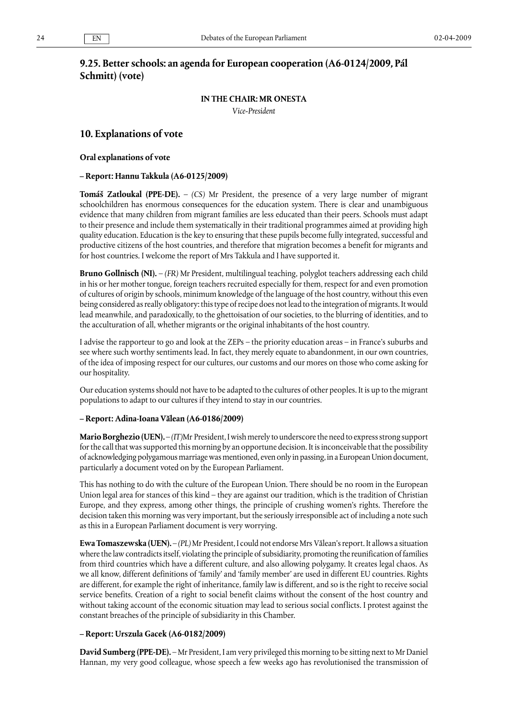# **9.25. Better schools: an agenda for European cooperation (A6-0124/2009, Pál Schmitt) (vote)**

### **IN THE CHAIR: MR ONESTA**

*Vice-President*

### **10. Explanations of vote**

**Oral explanations of vote**

#### **– Report: Hannu Takkula (A6-0125/2009)**

**Tomáš Zatloukal (PPE-DE).** – *(CS)* Mr President, the presence of a very large number of migrant schoolchildren has enormous consequences for the education system. There is clear and unambiguous evidence that many children from migrant families are less educated than their peers. Schools must adapt to their presence and include them systematically in their traditional programmes aimed at providing high quality education. Education is the key to ensuring that these pupils become fully integrated, successful and productive citizens of the host countries, and therefore that migration becomes a benefit for migrants and for host countries. I welcome the report of Mrs Takkula and I have supported it.

**Bruno Gollnisch (NI).** – *(FR)* Mr President, multilingual teaching, polyglot teachers addressing each child in his or her mother tongue, foreign teachers recruited especially for them, respect for and even promotion of cultures of origin by schools, minimum knowledge of the language of the host country, without this even being considered as really obligatory: this type of recipe does not lead to the integration of migrants. It would lead meanwhile, and paradoxically, to the ghettoisation of our societies, to the blurring of identities, and to the acculturation of all, whether migrants or the original inhabitants of the host country.

I advise the rapporteur to go and look at the ZEPs – the priority education areas – in France's suburbs and see where such worthy sentiments lead. In fact, they merely equate to abandonment, in our own countries, of the idea of imposing respect for our cultures, our customs and our mores on those who come asking for our hospitality.

Our education systems should not have to be adapted to the cultures of other peoples. It is up to the migrant populations to adapt to our cultures if they intend to stay in our countries.

#### **– Report: Adina-Ioana Vălean (A6-0186/2009)**

**Mario Borghezio (UEN).** – *(IT)*Mr President, I wish merely to underscore the need to express strong support for the call that was supported this morning by an opportune decision. It is inconceivable that the possibility of acknowledging polygamous marriage was mentioned, even only in passing, in a European Union document, particularly a document voted on by the European Parliament.

This has nothing to do with the culture of the European Union. There should be no room in the European Union legal area for stances of this kind – they are against our tradition, which is the tradition of Christian Europe, and they express, among other things, the principle of crushing women's rights. Therefore the decision taken this morning was very important, but the seriously irresponsible act of including a note such as this in a European Parliament document is very worrying.

**Ewa Tomaszewska (UEN).** – *(PL)*Mr President, I could not endorse Mrs Vălean's report. It allows a situation where the law contradicts itself, violating the principle of subsidiarity, promoting the reunification of families from third countries which have a different culture, and also allowing polygamy. It creates legal chaos. As we all know, different definitions of 'family' and 'family member' are used in different EU countries. Rights are different, for example the right of inheritance, family law is different, and so is the right to receive social service benefits. Creation of a right to social benefit claims without the consent of the host country and without taking account of the economic situation may lead to serious social conflicts. I protest against the constant breaches of the principle of subsidiarity in this Chamber.

#### **– Report: Urszula Gacek (A6-0182/2009)**

**David Sumberg (PPE-DE).** – Mr President, I am very privileged this morning to be sitting next to Mr Daniel Hannan, my very good colleague, whose speech a few weeks ago has revolutionised the transmission of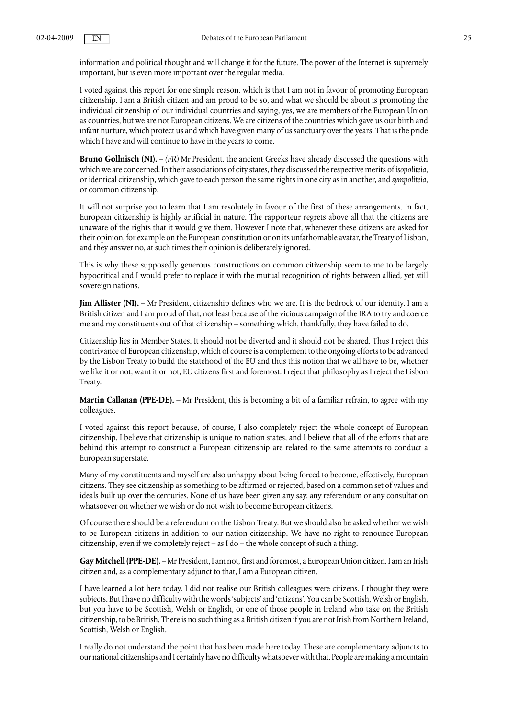information and political thought and will change it for the future. The power of the Internet is supremely important, but is even more important over the regular media.

I voted against this report for one simple reason, which is that I am not in favour of promoting European citizenship. I am a British citizen and am proud to be so, and what we should be about is promoting the individual citizenship of our individual countries and saying, yes, we are members of the European Union as countries, but we are not European citizens. We are citizens of the countries which gave us our birth and infant nurture, which protect us and which have given many of us sanctuary over the years. That is the pride which I have and will continue to have in the years to come.

**Bruno Gollnisch (NI).** – *(FR)* Mr President, the ancient Greeks have already discussed the questions with which we are concerned. In their associations of city states, they discussed the respective merits of *isopoliteia*, or identical citizenship, which gave to each person the same rights in one city as in another, and *sympoliteia*, or common citizenship.

It will not surprise you to learn that I am resolutely in favour of the first of these arrangements. In fact, European citizenship is highly artificial in nature. The rapporteur regrets above all that the citizens are unaware of the rights that it would give them. However I note that, whenever these citizens are asked for their opinion, for example on the European constitution or on its unfathomable avatar, the Treaty of Lisbon, and they answer no, at such times their opinion is deliberately ignored.

This is why these supposedly generous constructions on common citizenship seem to me to be largely hypocritical and I would prefer to replace it with the mutual recognition of rights between allied, yet still sovereign nations.

**Jim Allister (NI).** – Mr President, citizenship defines who we are. It is the bedrock of our identity. I am a British citizen and I am proud of that, not least because of the vicious campaign of the IRA to try and coerce me and my constituents out of that citizenship – something which, thankfully, they have failed to do.

Citizenship lies in Member States. It should not be diverted and it should not be shared. Thus I reject this contrivance of European citizenship, which of course is a complement to the ongoing efforts to be advanced by the Lisbon Treaty to build the statehood of the EU and thus this notion that we all have to be, whether we like it or not, want it or not, EU citizens first and foremost. I reject that philosophy as I reject the Lisbon Treaty.

**Martin Callanan (PPE-DE).** – Mr President, this is becoming a bit of a familiar refrain, to agree with my colleagues.

I voted against this report because, of course, I also completely reject the whole concept of European citizenship. I believe that citizenship is unique to nation states, and I believe that all of the efforts that are behind this attempt to construct a European citizenship are related to the same attempts to conduct a European superstate.

Many of my constituents and myself are also unhappy about being forced to become, effectively, European citizens. They see citizenship as something to be affirmed or rejected, based on a common set of values and ideals built up over the centuries. None of us have been given any say, any referendum or any consultation whatsoever on whether we wish or do not wish to become European citizens.

Of course there should be a referendum on the Lisbon Treaty. But we should also be asked whether we wish to be European citizens in addition to our nation citizenship. We have no right to renounce European citizenship, even if we completely reject – as I do – the whole concept of such a thing.

**Gay Mitchell (PPE-DE).** – Mr President, I am not, first and foremost, a European Union citizen. I am an Irish citizen and, as a complementary adjunct to that, I am a European citizen.

I have learned a lot here today. I did not realise our British colleagues were citizens. I thought they were subjects. But I have no difficulty with the words 'subjects' and 'citizens'. You can be Scottish, Welsh or English, but you have to be Scottish, Welsh or English, or one of those people in Ireland who take on the British citizenship, to be British. There is no such thing as a British citizen if you are not Irish from Northern Ireland, Scottish, Welsh or English.

I really do not understand the point that has been made here today. These are complementary adjuncts to our national citizenships and I certainly have no difficulty whatsoever with that. People are making a mountain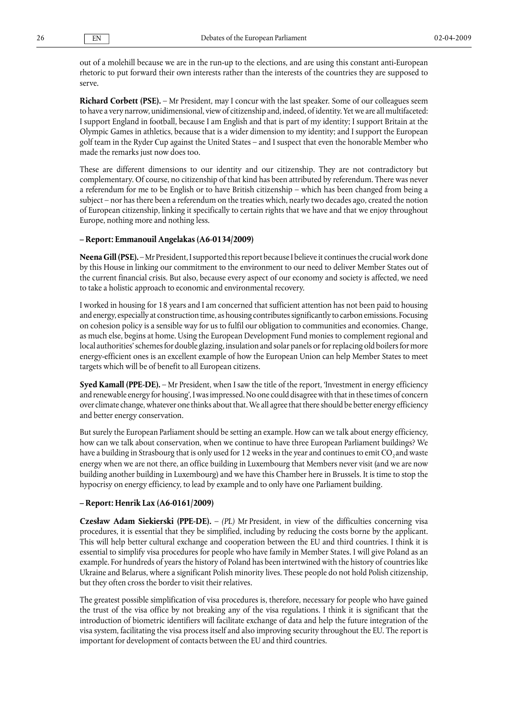out of a molehill because we are in the run-up to the elections, and are using this constant anti-European rhetoric to put forward their own interests rather than the interests of the countries they are supposed to serve.

**Richard Corbett (PSE).** – Mr President, may I concur with the last speaker. Some of our colleagues seem to have a very narrow, unidimensional, view of citizenship and, indeed, of identity. Yet we are all multifaceted: I support England in football, because I am English and that is part of my identity; I support Britain at the Olympic Games in athletics, because that is a wider dimension to my identity; and I support the European golf team in the Ryder Cup against the United States – and I suspect that even the honorable Member who made the remarks just now does too.

These are different dimensions to our identity and our citizenship. They are not contradictory but complementary. Of course, no citizenship of that kind has been attributed by referendum. There was never a referendum for me to be English or to have British citizenship – which has been changed from being a subject – nor has there been a referendum on the treaties which, nearly two decades ago, created the notion of European citizenship, linking it specifically to certain rights that we have and that we enjoy throughout Europe, nothing more and nothing less.

#### **– Report: Emmanouil Angelakas (A6-0134/2009)**

**Neena Gill (PSE).** – Mr President, I supported this report because I believe it continues the crucial work done by this House in linking our commitment to the environment to our need to deliver Member States out of the current financial crisis. But also, because every aspect of our economy and society is affected, we need to take a holistic approach to economic and environmental recovery.

I worked in housing for 18 years and I am concerned that sufficient attention has not been paid to housing and energy, especially at construction time, as housing contributes significantly to carbon emissions. Focusing on cohesion policy is a sensible way for us to fulfil our obligation to communities and economies. Change, as much else, begins at home. Using the European Development Fund monies to complement regional and local authorities' schemes for double glazing, insulation and solar panels or for replacing old boilers for more energy-efficient ones is an excellent example of how the European Union can help Member States to meet targets which will be of benefit to all European citizens.

**Syed Kamall (PPE-DE).** – Mr President, when I saw the title of the report, 'Investment in energy efficiency and renewable energy for housing', I was impressed. No one could disagree with that in these times of concern over climate change, whatever one thinks about that. We all agree that there should be better energy efficiency and better energy conservation.

But surely the European Parliament should be setting an example. How can we talk about energy efficiency, how can we talk about conservation, when we continue to have three European Parliament buildings? We have a building in Strasbourg that is only used for 12 weeks in the year and continues to emit CO<sub>2</sub> and waste energy when we are not there, an office building in Luxembourg that Members never visit (and we are now building another building in Luxembourg) and we have this Chamber here in Brussels. It is time to stop the hypocrisy on energy efficiency, to lead by example and to only have one Parliament building.

#### **– Report: Henrik Lax (A6-0161/2009)**

**Czesław Adam Siekierski (PPE-DE).** – *(PL)* Mr President, in view of the difficulties concerning visa procedures, it is essential that they be simplified, including by reducing the costs borne by the applicant. This will help better cultural exchange and cooperation between the EU and third countries. I think it is essential to simplify visa procedures for people who have family in Member States. I will give Poland as an example. For hundreds of years the history of Poland has been intertwined with the history of countries like Ukraine and Belarus, where a significant Polish minority lives. These people do not hold Polish citizenship, but they often cross the border to visit their relatives.

The greatest possible simplification of visa procedures is, therefore, necessary for people who have gained the trust of the visa office by not breaking any of the visa regulations. I think it is significant that the introduction of biometric identifiers will facilitate exchange of data and help the future integration of the visa system, facilitating the visa process itself and also improving security throughout the EU. The report is important for development of contacts between the EU and third countries.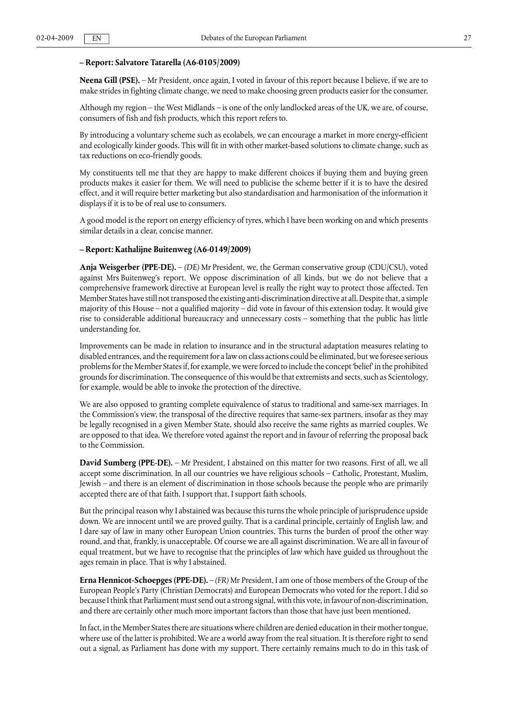### **– Report: Salvatore Tatarella (A6-0105/2009)**

**Neena Gill (PSE).** – Mr President, once again, I voted in favour of this report because I believe, if we are to make strides in fighting climate change, we need to make choosing green products easier for the consumer.

Although my region – the West Midlands – is one of the only landlocked areas of the UK, we are, of course, consumers of fish and fish products, which this report refers to.

By introducing a voluntary scheme such as ecolabels, we can encourage a market in more energy-efficient and ecologically kinder goods. This will fit in with other market-based solutions to climate change, such as tax reductions on eco-friendly goods.

My constituents tell me that they are happy to make different choices if buying them and buying green products makes it easier for them. We will need to publicise the scheme better if it is to have the desired effect, and it will require better marketing but also standardisation and harmonisation of the information it displays if it is to be of real use to consumers.

A good model is the report on energy efficiency of tyres, which I have been working on and which presents similar details in a clear, concise manner.

#### **– Report: Kathalijne Buitenweg (A6-0149/2009)**

**Anja Weisgerber (PPE-DE).** – *(DE)* Mr President, we, the German conservative group (CDU/CSU), voted against Mrs Buitenweg's report. We oppose discrimination of all kinds, but we do not believe that a comprehensive framework directive at European level is really the right way to protect those affected. Ten Member States have still not transposed the existing anti-discrimination directive at all. Despite that, a simple majority of this House – not a qualified majority – did vote in favour of this extension today. It would give rise to considerable additional bureaucracy and unnecessary costs – something that the public has little understanding for.

Improvements can be made in relation to insurance and in the structural adaptation measures relating to disabled entrances, and the requirement for a law on class actions could be eliminated, but we foresee serious problems for the Member States if, for example, we were forced to include the concept 'belief' in the prohibited grounds for discrimination. The consequence of this would be that extremists and sects, such as Scientology, for example, would be able to invoke the protection of the directive.

We are also opposed to granting complete equivalence of status to traditional and same-sex marriages. In the Commission's view, the transposal of the directive requires that same-sex partners, insofar as they may be legally recognised in a given Member State, should also receive the same rights as married couples. We are opposed to that idea. We therefore voted against the report and in favour of referring the proposal back to the Commission.

**David Sumberg (PPE-DE).** – Mr President, I abstained on this matter for two reasons. First of all, we all accept some discrimination. In all our countries we have religious schools – Catholic, Protestant, Muslim, Jewish – and there is an element of discrimination in those schools because the people who are primarily accepted there are of that faith. I support that. I support faith schools.

But the principal reason why I abstained was because this turns the whole principle of jurisprudence upside down. We are innocent until we are proved guilty. That is a cardinal principle, certainly of English law, and I dare say of law in many other European Union countries. This turns the burden of proof the other way round, and that, frankly, is unacceptable. Of course we are all against discrimination. We are all in favour of equal treatment, but we have to recognise that the principles of law which have guided us throughout the ages remain in place. That is why I abstained.

**Erna Hennicot-Schoepges (PPE-DE).** – *(FR)* Mr President, I am one of those members of the Group of the European People's Party (Christian Democrats) and European Democrats who voted for the report. I did so because I think that Parliament must send out a strong signal, with this vote, in favour of non-discrimination, and there are certainly other much more important factors than those that have just been mentioned.

In fact, in the Member States there are situations where children are denied education in their mother tongue, where use of the latter is prohibited. We are a world away from the real situation. It is therefore right to send out a signal, as Parliament has done with my support. There certainly remains much to do in this task of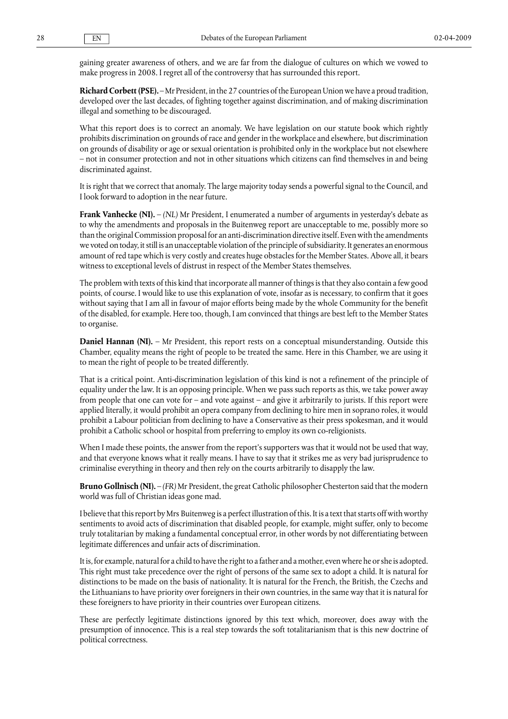gaining greater awareness of others, and we are far from the dialogue of cultures on which we vowed to make progress in 2008. I regret all of the controversy that has surrounded this report.

**Richard Corbett (PSE).** – Mr President, in the 27 countries of the European Union we have a proud tradition, developed over the last decades, of fighting together against discrimination, and of making discrimination illegal and something to be discouraged.

What this report does is to correct an anomaly. We have legislation on our statute book which rightly prohibits discrimination on grounds of race and gender in the workplace and elsewhere, but discrimination on grounds of disability or age or sexual orientation is prohibited only in the workplace but not elsewhere – not in consumer protection and not in other situations which citizens can find themselves in and being discriminated against.

It is right that we correct that anomaly. The large majority today sends a powerful signal to the Council, and I look forward to adoption in the near future.

**Frank Vanhecke (NI).** – *(NL)* Mr President, I enumerated a number of arguments in yesterday's debate as to why the amendments and proposals in the Buitenweg report are unacceptable to me, possibly more so than the original Commission proposal for an anti-discrimination directive itself. Even with the amendments we voted on today, it still is an unacceptable violation of the principle of subsidiarity. It generates an enormous amount of red tape which is very costly and creates huge obstacles for the Member States. Above all, it bears witness to exceptional levels of distrust in respect of the Member States themselves.

The problem with texts of this kind that incorporate all manner of things is that they also contain a few good points, of course. I would like to use this explanation of vote, insofar as is necessary, to confirm that it goes without saying that I am all in favour of major efforts being made by the whole Community for the benefit of the disabled, for example. Here too, though, I am convinced that things are best left to the Member States to organise.

**Daniel Hannan (NI).** – Mr President, this report rests on a conceptual misunderstanding. Outside this Chamber, equality means the right of people to be treated the same. Here in this Chamber, we are using it to mean the right of people to be treated differently.

That is a critical point. Anti-discrimination legislation of this kind is not a refinement of the principle of equality under the law. It is an opposing principle. When we pass such reports as this, we take power away from people that one can vote for – and vote against – and give it arbitrarily to jurists. If this report were applied literally, it would prohibit an opera company from declining to hire men in soprano roles, it would prohibit a Labour politician from declining to have a Conservative as their press spokesman, and it would prohibit a Catholic school or hospital from preferring to employ its own co-religionists.

When I made these points, the answer from the report's supporters was that it would not be used that way, and that everyone knows what it really means. I have to say that it strikes me as very bad jurisprudence to criminalise everything in theory and then rely on the courts arbitrarily to disapply the law.

**Bruno Gollnisch (NI).** – *(FR)* Mr President, the great Catholic philosopher Chesterton said that the modern world was full of Christian ideas gone mad.

I believe that this report by Mrs Buitenweg is a perfect illustration of this. It is a text that starts off with worthy sentiments to avoid acts of discrimination that disabled people, for example, might suffer, only to become truly totalitarian by making a fundamental conceptual error, in other words by not differentiating between legitimate differences and unfair acts of discrimination.

It is, for example, natural for a child to have the right to a father and a mother, even where he or she is adopted. This right must take precedence over the right of persons of the same sex to adopt a child. It is natural for distinctions to be made on the basis of nationality. It is natural for the French, the British, the Czechs and the Lithuanians to have priority over foreigners in their own countries, in the same way that it is natural for these foreigners to have priority in their countries over European citizens.

These are perfectly legitimate distinctions ignored by this text which, moreover, does away with the presumption of innocence. This is a real step towards the soft totalitarianism that is this new doctrine of political correctness.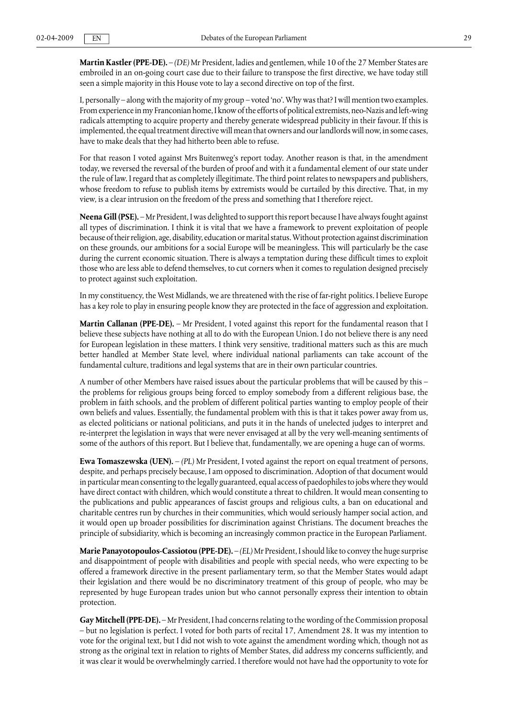**Martin Kastler (PPE-DE).** – *(DE)* Mr President, ladies and gentlemen, while 10 of the 27 Member States are embroiled in an on-going court case due to their failure to transpose the first directive, we have today still seen a simple majority in this House vote to lay a second directive on top of the first.

I, personally – along with the majority of my group – voted 'no'. Why was that? I will mention two examples. From experience in my Franconian home, I know of the efforts of political extremists, neo-Nazis and left-wing radicals attempting to acquire property and thereby generate widespread publicity in their favour. If this is implemented, the equal treatment directive will mean that owners and our landlords will now, in some cases, have to make deals that they had hitherto been able to refuse.

For that reason I voted against Mrs Buitenweg's report today. Another reason is that, in the amendment today, we reversed the reversal of the burden of proof and with it a fundamental element of our state under the rule of law. I regard that as completely illegitimate. The third point relates to newspapers and publishers, whose freedom to refuse to publish items by extremists would be curtailed by this directive. That, in my view, is a clear intrusion on the freedom of the press and something that I therefore reject.

**Neena Gill (PSE).** – Mr President, I was delighted to support this report because I have always fought against all types of discrimination. I think it is vital that we have a framework to prevent exploitation of people because of their religion, age, disability, education or marital status. Without protection against discrimination on these grounds, our ambitions for a social Europe will be meaningless. This will particularly be the case during the current economic situation. There is always a temptation during these difficult times to exploit those who are less able to defend themselves, to cut corners when it comes to regulation designed precisely to protect against such exploitation.

In my constituency, the West Midlands, we are threatened with the rise of far-right politics. I believe Europe has a key role to play in ensuring people know they are protected in the face of aggression and exploitation.

**Martin Callanan (PPE-DE).** – Mr President, I voted against this report for the fundamental reason that I believe these subjects have nothing at all to do with the European Union. I do not believe there is any need for European legislation in these matters. I think very sensitive, traditional matters such as this are much better handled at Member State level, where individual national parliaments can take account of the fundamental culture, traditions and legal systems that are in their own particular countries.

A number of other Members have raised issues about the particular problems that will be caused by this – the problems for religious groups being forced to employ somebody from a different religious base, the problem in faith schools, and the problem of different political parties wanting to employ people of their own beliefs and values. Essentially, the fundamental problem with this is that it takes power away from us, as elected politicians or national politicians, and puts it in the hands of unelected judges to interpret and re-interpret the legislation in ways that were never envisaged at all by the very well-meaning sentiments of some of the authors of this report. But I believe that, fundamentally, we are opening a huge can of worms.

**Ewa Tomaszewska (UEN).** – *(PL)* Mr President, I voted against the report on equal treatment of persons, despite, and perhaps precisely because, I am opposed to discrimination. Adoption of that document would in particular mean consenting to the legally guaranteed, equal access of paedophiles to jobs where they would have direct contact with children, which would constitute a threat to children. It would mean consenting to the publications and public appearances of fascist groups and religious cults, a ban on educational and charitable centres run by churches in their communities, which would seriously hamper social action, and it would open up broader possibilities for discrimination against Christians. The document breaches the principle of subsidiarity, which is becoming an increasingly common practice in the European Parliament.

**Marie Panayotopoulos-Cassiotou (PPE-DE).** – *(EL)* Mr President, I should like to convey the huge surprise and disappointment of people with disabilities and people with special needs, who were expecting to be offered a framework directive in the present parliamentary term, so that the Member States would adapt their legislation and there would be no discriminatory treatment of this group of people, who may be represented by huge European trades union but who cannot personally express their intention to obtain protection.

**Gay Mitchell (PPE-DE).** – Mr President, I had concerns relating to the wording of the Commission proposal – but no legislation is perfect. I voted for both parts of recital 17, Amendment 28. It was my intention to vote for the original text, but I did not wish to vote against the amendment wording which, though not as strong as the original text in relation to rights of Member States, did address my concerns sufficiently, and it was clear it would be overwhelmingly carried. I therefore would not have had the opportunity to vote for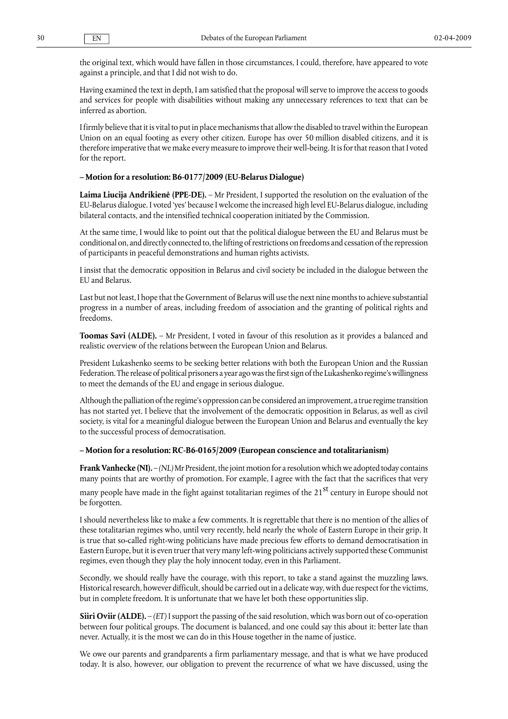the original text, which would have fallen in those circumstances, I could, therefore, have appeared to vote against a principle, and that I did not wish to do.

Having examined the text in depth, I am satisfied that the proposal will serve to improve the access to goods and services for people with disabilities without making any unnecessary references to text that can be inferred as abortion.

I firmly believe that it is vital to put in place mechanisms that allow the disabled to travel within the European Union on an equal footing as every other citizen. Europe has over 50 million disabled citizens, and it is therefore imperative that we make every measure to improve their well-being. It is for that reason that I voted for the report.

#### **– Motion for a resolution: B6-0177/2009 (EU-Belarus Dialogue)**

**Laima Liucija Andrikienė (PPE-DE).** – Mr President, I supported the resolution on the evaluation of the EU-Belarus dialogue. I voted 'yes' because I welcome the increased high level EU-Belarus dialogue, including bilateral contacts, and the intensified technical cooperation initiated by the Commission.

At the same time, I would like to point out that the political dialogue between the EU and Belarus must be conditional on, and directly connected to, the lifting of restrictions on freedoms and cessation of the repression of participants in peaceful demonstrations and human rights activists.

I insist that the democratic opposition in Belarus and civil society be included in the dialogue between the EU and Belarus.

Last but not least, I hope that the Government of Belarus will use the next nine months to achieve substantial progress in a number of areas, including freedom of association and the granting of political rights and freedoms.

**Toomas Savi (ALDE).** – Mr President, I voted in favour of this resolution as it provides a balanced and realistic overview of the relations between the European Union and Belarus.

President Lukashenko seems to be seeking better relations with both the European Union and the Russian Federation. The release of political prisoners a year ago was the first sign of the Lukashenko regime's willingness to meet the demands of the EU and engage in serious dialogue.

Although the palliation of the regime's oppression can be considered an improvement, a true regime transition has not started yet. I believe that the involvement of the democratic opposition in Belarus, as well as civil society, is vital for a meaningful dialogue between the European Union and Belarus and eventually the key to the successful process of democratisation.

#### **– Motion for a resolution: RC-B6-0165/2009 (European conscience and totalitarianism)**

**Frank Vanhecke (NI).** – *(NL)* Mr President, the joint motion for a resolution which we adopted today contains many points that are worthy of promotion. For example, I agree with the fact that the sacrifices that very

many people have made in the fight against totalitarian regimes of the 21<sup>st</sup> century in Europe should not be forgotten.

I should nevertheless like to make a few comments. It is regrettable that there is no mention of the allies of these totalitarian regimes who, until very recently, held nearly the whole of Eastern Europe in their grip. It is true that so-called right-wing politicians have made precious few efforts to demand democratisation in Eastern Europe, but it is even truer that very many left-wing politicians actively supported these Communist regimes, even though they play the holy innocent today, even in this Parliament.

Secondly, we should really have the courage, with this report, to take a stand against the muzzling laws. Historical research, however difficult, should be carried out in a delicate way, with due respect for the victims, but in complete freedom. It is unfortunate that we have let both these opportunities slip.

**Siiri Oviir (ALDE).** – *(ET)* I support the passing of the said resolution, which was born out of co-operation between four political groups. The document is balanced, and one could say this about it: better late than never. Actually, it is the most we can do in this House together in the name of justice.

We owe our parents and grandparents a firm parliamentary message, and that is what we have produced today. It is also, however, our obligation to prevent the recurrence of what we have discussed, using the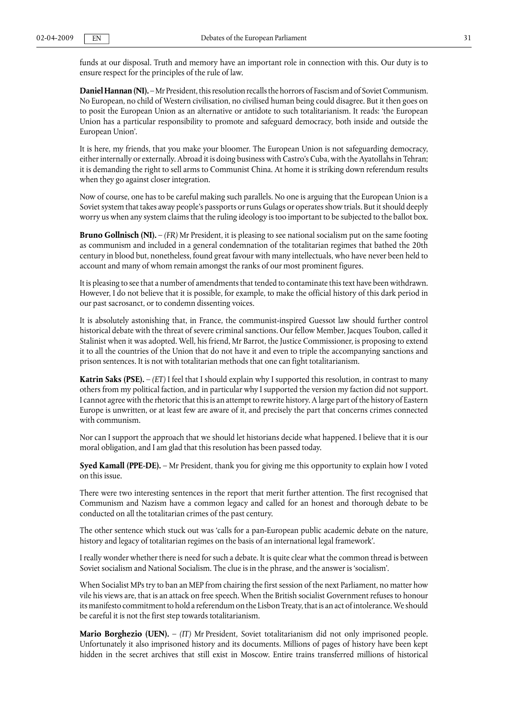funds at our disposal. Truth and memory have an important role in connection with this. Our duty is to ensure respect for the principles of the rule of law.

**Daniel Hannan (NI).** – Mr President, this resolution recalls the horrors of Fascism and of Soviet Communism. No European, no child of Western civilisation, no civilised human being could disagree. But it then goes on to posit the European Union as an alternative or antidote to such totalitarianism. It reads: 'the European Union has a particular responsibility to promote and safeguard democracy, both inside and outside the European Union'.

It is here, my friends, that you make your bloomer. The European Union is not safeguarding democracy, either internally or externally. Abroad it is doing business with Castro's Cuba, with the Ayatollahs in Tehran; it is demanding the right to sell arms to Communist China. At home it is striking down referendum results when they go against closer integration.

Now of course, one has to be careful making such parallels. No one is arguing that the European Union is a Soviet system that takes away people's passports or runs Gulags or operates show trials. But it should deeply worry us when any system claims that the ruling ideology is too important to be subjected to the ballot box.

**Bruno Gollnisch (NI).** – *(FR)* Mr President, it is pleasing to see national socialism put on the same footing as communism and included in a general condemnation of the totalitarian regimes that bathed the 20th century in blood but, nonetheless, found great favour with many intellectuals, who have never been held to account and many of whom remain amongst the ranks of our most prominent figures.

It is pleasing to see that a number of amendments that tended to contaminate this text have been withdrawn. However, I do not believe that it is possible, for example, to make the official history of this dark period in our past sacrosanct, or to condemn dissenting voices.

It is absolutely astonishing that, in France, the communist-inspired Guessot law should further control historical debate with the threat of severe criminal sanctions. Our fellow Member, Jacques Toubon, called it Stalinist when it was adopted. Well, his friend, Mr Barrot, the Justice Commissioner, is proposing to extend it to all the countries of the Union that do not have it and even to triple the accompanying sanctions and prison sentences. It is not with totalitarian methods that one can fight totalitarianism.

**Katrin Saks (PSE).** – *(ET)* I feel that I should explain why I supported this resolution, in contrast to many others from my political faction, and in particular why I supported the version my faction did not support. I cannot agree with the rhetoric that this is an attempt to rewrite history. A large part of the history of Eastern Europe is unwritten, or at least few are aware of it, and precisely the part that concerns crimes connected with communism.

Nor can I support the approach that we should let historians decide what happened. I believe that it is our moral obligation, and I am glad that this resolution has been passed today.

**Syed Kamall (PPE-DE).** – Mr President, thank you for giving me this opportunity to explain how I voted on this issue.

There were two interesting sentences in the report that merit further attention. The first recognised that Communism and Nazism have a common legacy and called for an honest and thorough debate to be conducted on all the totalitarian crimes of the past century.

The other sentence which stuck out was 'calls for a pan-European public academic debate on the nature, history and legacy of totalitarian regimes on the basis of an international legal framework'.

I really wonder whether there is need for such a debate. It is quite clear what the common thread is between Soviet socialism and National Socialism. The clue is in the phrase, and the answer is 'socialism'.

When Socialist MPs try to ban an MEP from chairing the first session of the next Parliament, no matter how vile his views are, that is an attack on free speech. When the British socialist Government refuses to honour its manifesto commitment to hold a referendum on the Lisbon Treaty, that is an act of intolerance. We should be careful it is not the first step towards totalitarianism.

**Mario Borghezio (UEN).** – *(IT)* Mr President, Soviet totalitarianism did not only imprisoned people. Unfortunately it also imprisoned history and its documents. Millions of pages of history have been kept hidden in the secret archives that still exist in Moscow. Entire trains transferred millions of historical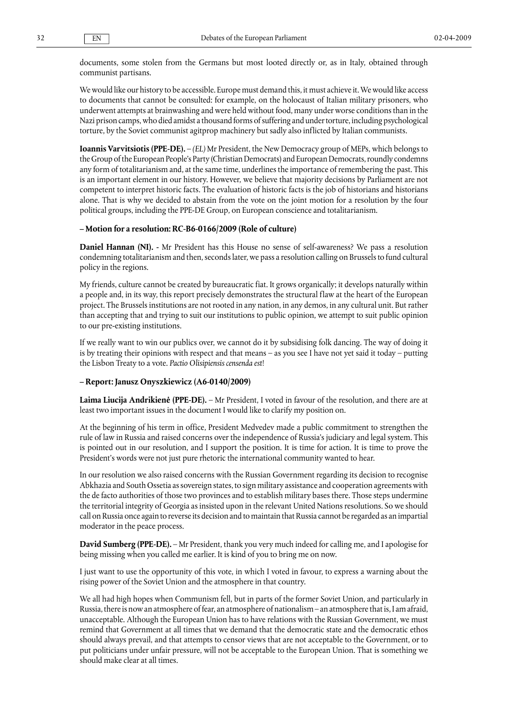documents, some stolen from the Germans but most looted directly or, as in Italy, obtained through communist partisans.

We would like our history to be accessible. Europe must demand this, it must achieve it. We would like access to documents that cannot be consulted: for example, on the holocaust of Italian military prisoners, who underwent attempts at brainwashing and were held without food, many under worse conditions than in the Nazi prison camps, who died amidst a thousand forms of suffering and under torture, including psychological torture, by the Soviet communist agitprop machinery but sadly also inflicted by Italian communists.

**Ioannis Varvitsiotis (PPE-DE).** – *(EL)* Mr President, the New Democracy group of MEPs, which belongs to the Group of the European People's Party (Christian Democrats) and European Democrats, roundly condemns any form of totalitarianism and, at the same time, underlines the importance of remembering the past. This is an important element in our history. However, we believe that majority decisions by Parliament are not competent to interpret historic facts. The evaluation of historic facts is the job of historians and historians alone. That is why we decided to abstain from the vote on the joint motion for a resolution by the four political groups, including the PPE-DE Group, on European conscience and totalitarianism.

#### **– Motion for a resolution: RC-B6-0166/2009 (Role of culture)**

**Daniel Hannan (NI). -** Mr President has this House no sense of self-awareness? We pass a resolution condemning totalitarianism and then, seconds later, we pass a resolution calling on Brussels to fund cultural policy in the regions.

My friends, culture cannot be created by bureaucratic fiat. It grows organically; it develops naturally within a people and, in its way, this report precisely demonstrates the structural flaw at the heart of the European project. The Brussels institutions are not rooted in any nation, in any demos, in any cultural unit. But rather than accepting that and trying to suit our institutions to public opinion, we attempt to suit public opinion to our pre-existing institutions.

If we really want to win our publics over, we cannot do it by subsidising folk dancing. The way of doing it is by treating their opinions with respect and that means – as you see I have not yet said it today – putting the Lisbon Treaty to a vote. *Pactio Olisipiensis censenda est*!

#### **– Report: Janusz Onyszkiewicz (A6-0140/2009)**

**Laima Liucija Andrikienė (PPE-DE).** – Mr President, I voted in favour of the resolution, and there are at least two important issues in the document I would like to clarify my position on.

At the beginning of his term in office, President Medvedev made a public commitment to strengthen the rule of law in Russia and raised concerns over the independence of Russia's judiciary and legal system. This is pointed out in our resolution, and I support the position. It is time for action. It is time to prove the President's words were not just pure rhetoric the international community wanted to hear.

In our resolution we also raised concerns with the Russian Government regarding its decision to recognise Abkhazia and South Ossetia as sovereign states, to sign military assistance and cooperation agreements with the de facto authorities of those two provinces and to establish military bases there. Those steps undermine the territorial integrity of Georgia as insisted upon in the relevant United Nations resolutions. So we should call on Russia once again to reverse its decision and to maintain that Russia cannot be regarded as an impartial moderator in the peace process.

**David Sumberg (PPE-DE).** – Mr President, thank you very much indeed for calling me, and I apologise for being missing when you called me earlier. It is kind of you to bring me on now.

I just want to use the opportunity of this vote, in which I voted in favour, to express a warning about the rising power of the Soviet Union and the atmosphere in that country.

We all had high hopes when Communism fell, but in parts of the former Soviet Union, and particularly in Russia, there is now an atmosphere of fear, an atmosphere of nationalism – an atmosphere that is, I am afraid, unacceptable. Although the European Union has to have relations with the Russian Government, we must remind that Government at all times that we demand that the democratic state and the democratic ethos should always prevail, and that attempts to censor views that are not acceptable to the Government, or to put politicians under unfair pressure, will not be acceptable to the European Union. That is something we should make clear at all times.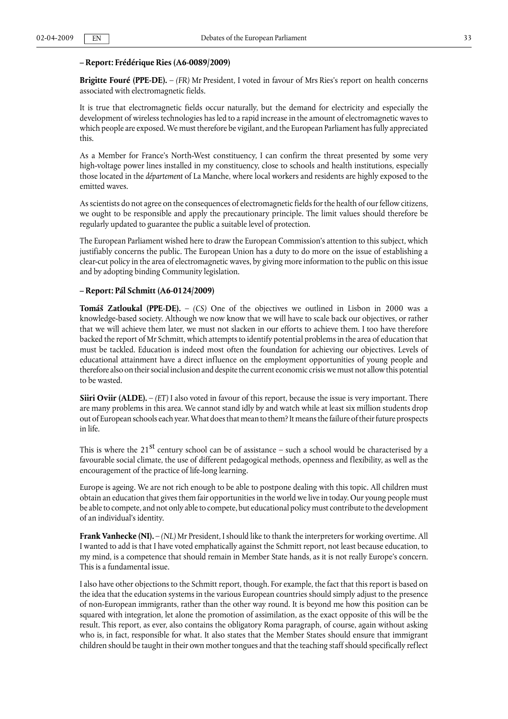### **– Report: Frédérique Ries (A6-0089/2009)**

**Brigitte Fouré (PPE-DE).** – *(FR)* Mr President, I voted in favour of Mrs Ries's report on health concerns associated with electromagnetic fields.

It is true that electromagnetic fields occur naturally, but the demand for electricity and especially the development of wireless technologies has led to a rapid increase in the amount of electromagnetic waves to which people are exposed. We must therefore be vigilant, and the European Parliament has fully appreciated this.

As a Member for France's North-West constituency, I can confirm the threat presented by some very high-voltage power lines installed in my constituency, close to schools and health institutions, especially those located in the *département* of La Manche, where local workers and residents are highly exposed to the emitted waves.

As scientists do not agree on the consequences of electromagnetic fields for the health of our fellow citizens, we ought to be responsible and apply the precautionary principle. The limit values should therefore be regularly updated to guarantee the public a suitable level of protection.

The European Parliament wished here to draw the European Commission's attention to this subject, which justifiably concerns the public. The European Union has a duty to do more on the issue of establishing a clear-cut policy in the area of electromagnetic waves, by giving more information to the public on this issue and by adopting binding Community legislation.

#### **– Report: Pál Schmitt (A6-0124/2009)**

**Tomáš Zatloukal (PPE-DE).** – *(CS)* One of the objectives we outlined in Lisbon in 2000 was a knowledge-based society. Although we now know that we will have to scale back our objectives, or rather that we will achieve them later, we must not slacken in our efforts to achieve them. I too have therefore backed the report of Mr Schmitt, which attempts to identify potential problems in the area of education that must be tackled. Education is indeed most often the foundation for achieving our objectives. Levels of educational attainment have a direct influence on the employment opportunities of young people and therefore also on their social inclusion and despite the current economic crisis we must not allow this potential to be wasted.

**Siiri Oviir (ALDE).** – *(ET)* I also voted in favour of this report, because the issue is very important. There are many problems in this area. We cannot stand idly by and watch while at least six million students drop out of European schools each year. What does that mean to them? It means the failure of their future prospects in life.

This is where the 21 <sup>st</sup> century school can be of assistance – such a school would be characterised by a favourable social climate, the use of different pedagogical methods, openness and flexibility, as well as the encouragement of the practice of life-long learning.

Europe is ageing. We are not rich enough to be able to postpone dealing with this topic. All children must obtain an education that gives them fair opportunities in the world we live in today. Our young people must be able to compete, and not only able to compete, but educational policy must contribute to the development of an individual's identity.

**Frank Vanhecke (NI).** – *(NL)* Mr President, I should like to thank the interpreters for working overtime. All I wanted to add is that I have voted emphatically against the Schmitt report, not least because education, to my mind, is a competence that should remain in Member State hands, as it is not really Europe's concern. This is a fundamental issue.

I also have other objections to the Schmitt report, though. For example, the fact that this report is based on the idea that the education systems in the various European countries should simply adjust to the presence of non-European immigrants, rather than the other way round. It is beyond me how this position can be squared with integration, let alone the promotion of assimilation, as the exact opposite of this will be the result. This report, as ever, also contains the obligatory Roma paragraph, of course, again without asking who is, in fact, responsible for what. It also states that the Member States should ensure that immigrant children should be taught in their own mother tongues and that the teaching staff should specifically reflect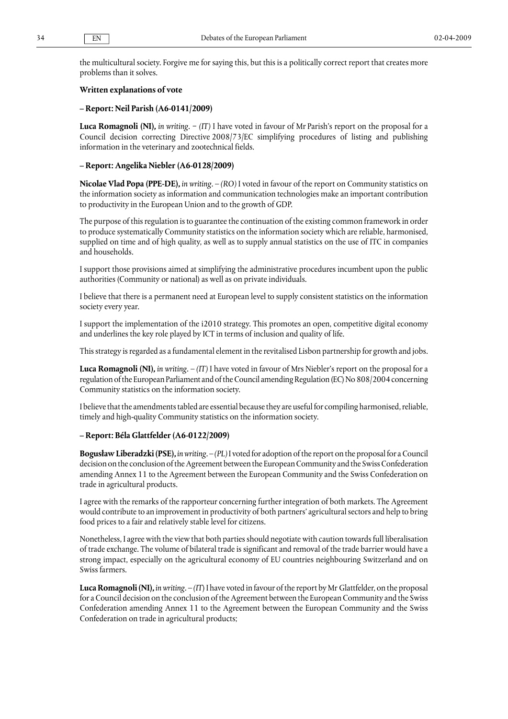the multicultural society. Forgive me for saying this, but this is a politically correct report that creates more problems than it solves.

#### **Written explanations of vote**

#### **– Report: Neil Parish (A6-0141/2009)**

**Luca Romagnoli (NI),** *in writing.* − *(IT)* I have voted in favour of Mr Parish's report on the proposal for a Council decision correcting Directive 2008/73/EC simplifying procedures of listing and publishing information in the veterinary and zootechnical fields.

### **– Report: Angelika Niebler (A6-0128/2009)**

**Nicolae Vlad Popa (PPE-DE),** *in writing.* – *(RO)* I voted in favour of the report on Community statistics on the information society as information and communication technologies make an important contribution to productivity in the European Union and to the growth of GDP.

The purpose of this regulation is to guarantee the continuation of the existing common framework in order to produce systematically Community statistics on the information society which are reliable, harmonised, supplied on time and of high quality, as well as to supply annual statistics on the use of ITC in companies and households.

I support those provisions aimed at simplifying the administrative procedures incumbent upon the public authorities (Community or national) as well as on private individuals.

I believe that there is a permanent need at European level to supply consistent statistics on the information society every year.

I support the implementation of the i2010 strategy. This promotes an open, competitive digital economy and underlines the key role played by ICT in terms of inclusion and quality of life.

This strategy is regarded as a fundamental element in the revitalised Lisbon partnership for growth and jobs.

**Luca Romagnoli (NI),** *in writing.* – *(IT)* I have voted in favour of Mrs Niebler's report on the proposal for a regulation of the European Parliament and of the Council amending Regulation (EC) No 808/2004 concerning Community statistics on the information society.

I believe that the amendments tabled are essential because they are useful for compiling harmonised, reliable, timely and high-quality Community statistics on the information society.

#### **– Report: Béla Glattfelder (A6-0122/2009)**

**Bogusław Liberadzki (PSE),** *in writing.* – *(PL)* I voted for adoption of the report on the proposal for a Council decision on the conclusion of the Agreement between the European Community and the Swiss Confederation amending Annex 11 to the Agreement between the European Community and the Swiss Confederation on trade in agricultural products.

I agree with the remarks of the rapporteur concerning further integration of both markets. The Agreement would contribute to an improvement in productivity of both partners' agricultural sectors and help to bring food prices to a fair and relatively stable level for citizens.

Nonetheless, I agree with the view that both parties should negotiate with caution towards full liberalisation of trade exchange. The volume of bilateral trade is significant and removal of the trade barrier would have a strong impact, especially on the agricultural economy of EU countries neighbouring Switzerland and on Swiss farmers.

**Luca Romagnoli (NI),** *in writing.* – *(IT*) I have voted in favour of the report by Mr Glattfelder, on the proposal for a Council decision on the conclusion of the Agreement between the European Community and the Swiss Confederation amending Annex 11 to the Agreement between the European Community and the Swiss Confederation on trade in agricultural products;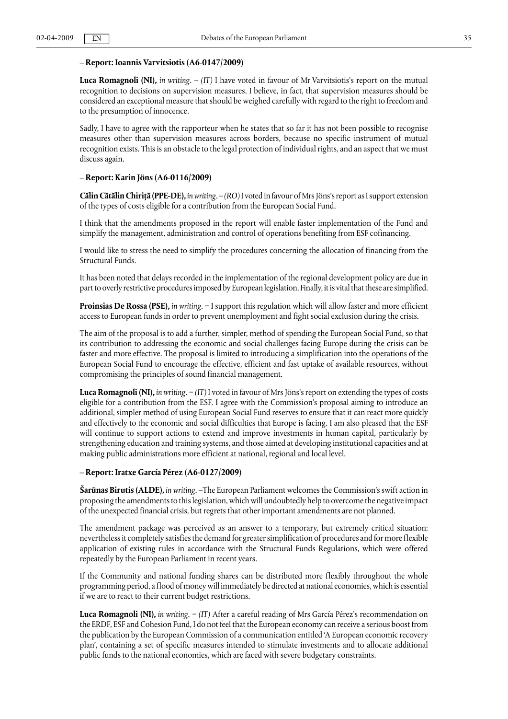#### **– Report: Ioannis Varvitsiotis (A6-0147/2009)**

**Luca Romagnoli (NI),** *in writing.* – *(IT)* I have voted in favour of Mr Varvitsiotis's report on the mutual recognition to decisions on supervision measures. I believe, in fact, that supervision measures should be considered an exceptional measure that should be weighed carefully with regard to the right to freedom and to the presumption of innocence.

Sadly, I have to agree with the rapporteur when he states that so far it has not been possible to recognise measures other than supervision measures across borders, because no specific instrument of mutual recognition exists. This is an obstacle to the legal protection of individual rights, and an aspect that we must discuss again.

#### **– Report: Karin Jöns (A6-0116/2009)**

**Călin Cătălin Chiriţă (PPE-DE),** *in writing.* – *(RO)* I voted in favour of Mrs Jöns's report as I support extension of the types of costs eligible for a contribution from the European Social Fund.

I think that the amendments proposed in the report will enable faster implementation of the Fund and simplify the management, administration and control of operations benefiting from ESF cofinancing.

I would like to stress the need to simplify the procedures concerning the allocation of financing from the Structural Funds.

It has been noted that delays recorded in the implementation of the regional development policy are due in part to overly restrictive procedures imposed by European legislation. Finally, it is vital that these are simplified.

**Proinsias De Rossa (PSE),** *in writing.* − I support this regulation which will allow faster and more efficient access to European funds in order to prevent unemployment and fight social exclusion during the crisis.

The aim of the proposal is to add a further, simpler, method of spending the European Social Fund, so that its contribution to addressing the economic and social challenges facing Europe during the crisis can be faster and more effective. The proposal is limited to introducing a simplification into the operations of the European Social Fund to encourage the effective, efficient and fast uptake of available resources, without compromising the principles of sound financial management.

**Luca Romagnoli (NI),** *in writing.* − *(IT)* I voted in favour of Mrs Jöns's report on extending the types of costs eligible for a contribution from the ESF. I agree with the Commission's proposal aiming to introduce an additional, simpler method of using European Social Fund reserves to ensure that it can react more quickly and effectively to the economic and social difficulties that Europe is facing. I am also pleased that the ESF will continue to support actions to extend and improve investments in human capital, particularly by strengthening education and training systems, and those aimed at developing institutional capacities and at making public administrations more efficient at national, regional and local level.

#### **– Report: Iratxe García Pérez (A6-0127/2009)**

**Šarūnas Birutis (ALDE),** *in writing.* –The European Parliament welcomes the Commission's swift action in proposing the amendments to this legislation, which will undoubtedly help to overcome the negative impact of the unexpected financial crisis, but regrets that other important amendments are not planned.

The amendment package was perceived as an answer to a temporary, but extremely critical situation; nevertheless it completely satisfies the demand for greater simplification of procedures and for more flexible application of existing rules in accordance with the Structural Funds Regulations, which were offered repeatedly by the European Parliament in recent years.

If the Community and national funding shares can be distributed more flexibly throughout the whole programming period, a flood of money will immediately be directed at national economies, which is essential if we are to react to their current budget restrictions.

**Luca Romagnoli (NI),** *in writing.* − *(IT)* After a careful reading of Mrs García Pérez's recommendation on the ERDF, ESF and Cohesion Fund, I do not feel that the European economy can receive a serious boost from the publication by the European Commission of a communication entitled 'A European economic recovery plan', containing a set of specific measures intended to stimulate investments and to allocate additional public funds to the national economies, which are faced with severe budgetary constraints.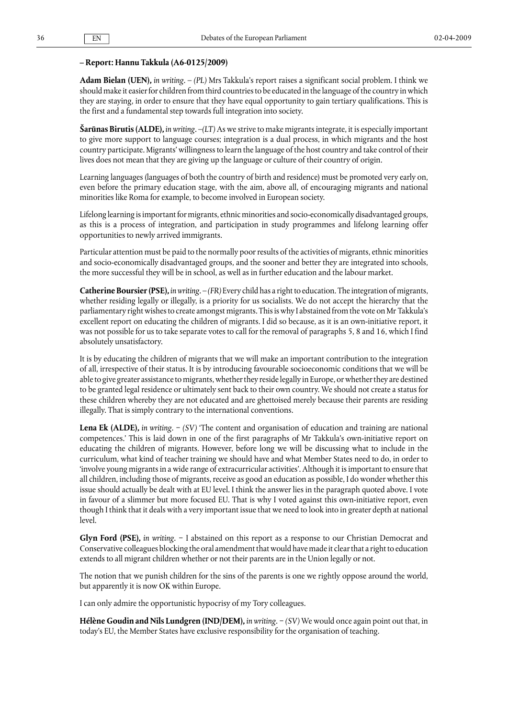### **– Report: Hannu Takkula (A6-0125/2009)**

**Adam Bielan (UEN),** *in writing.* – *(PL)* Mrs Takkula's report raises a significant social problem. I think we should make it easier for children from third countries to be educated in the language of the country in which they are staying, in order to ensure that they have equal opportunity to gain tertiary qualifications. This is the first and a fundamental step towards full integration into society.

**Šarūnas Birutis (ALDE),** *in writing.* –*(LT)* As we strive to make migrants integrate, it is especially important to give more support to language courses; integration is a dual process, in which migrants and the host country participate. Migrants' willingness to learn the language of the host country and take control of their lives does not mean that they are giving up the language or culture of their country of origin.

Learning languages (languages of both the country of birth and residence) must be promoted very early on, even before the primary education stage, with the aim, above all, of encouraging migrants and national minorities like Roma for example, to become involved in European society.

Lifelong learning is important for migrants, ethnic minorities and socio-economically disadvantaged groups, as this is a process of integration, and participation in study programmes and lifelong learning offer opportunities to newly arrived immigrants.

Particular attention must be paid to the normally poor results of the activities of migrants, ethnic minorities and socio-economically disadvantaged groups, and the sooner and better they are integrated into schools, the more successful they will be in school, as well as in further education and the labour market.

**Catherine Boursier (PSE),** *in writing.* – *(FR)* Every child has a right to education. The integration of migrants, whether residing legally or illegally, is a priority for us socialists. We do not accept the hierarchy that the parliamentary right wishes to create amongst migrants. This is why I abstained from the vote on Mr Takkula's excellent report on educating the children of migrants. I did so because, as it is an own-initiative report, it was not possible for us to take separate votes to call for the removal of paragraphs 5, 8 and 16, which I find absolutely unsatisfactory.

It is by educating the children of migrants that we will make an important contribution to the integration of all, irrespective of their status. It is by introducing favourable socioeconomic conditions that we will be able to give greater assistance to migrants, whether they reside legally in Europe, or whether they are destined to be granted legal residence or ultimately sent back to their own country. We should not create a status for these children whereby they are not educated and are ghettoised merely because their parents are residing illegally. That is simply contrary to the international conventions.

**Lena Ek (ALDE),** *in writing.* − *(SV)* 'The content and organisation of education and training are national competences.' This is laid down in one of the first paragraphs of Mr Takkula's own-initiative report on educating the children of migrants. However, before long we will be discussing what to include in the curriculum, what kind of teacher training we should have and what Member States need to do, in order to 'involve young migrants in a wide range of extracurricular activities'. Although it is important to ensure that all children, including those of migrants, receive as good an education as possible, I do wonder whether this issue should actually be dealt with at EU level. I think the answer lies in the paragraph quoted above. I vote in favour of a slimmer but more focused EU. That is why I voted against this own-initiative report, even though I think that it deals with a very important issue that we need to look into in greater depth at national level.

**Glyn Ford (PSE),** *in writing.* − I abstained on this report as a response to our Christian Democrat and Conservative colleagues blocking the oral amendment that would have made it clear that a right to education extends to all migrant children whether or not their parents are in the Union legally or not.

The notion that we punish children for the sins of the parents is one we rightly oppose around the world, but apparently it is now OK within Europe.

I can only admire the opportunistic hypocrisy of my Tory colleagues.

**Hélène Goudin and Nils Lundgren (IND/DEM),** *in writing.* − *(SV)* We would once again point out that, in today's EU, the Member States have exclusive responsibility for the organisation of teaching.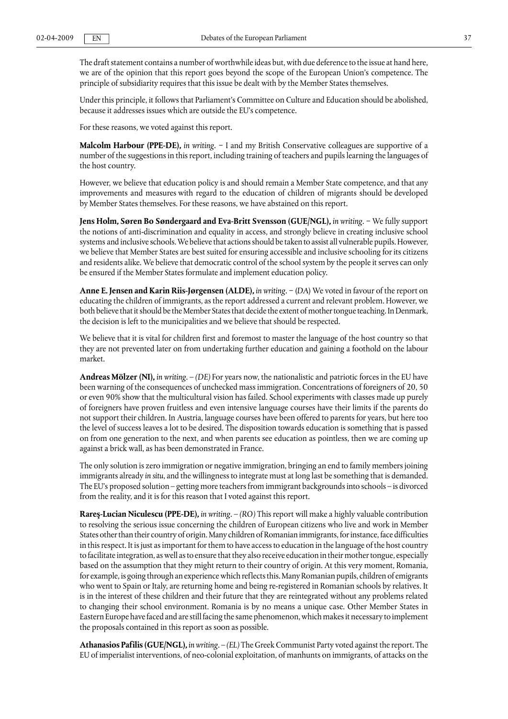The draft statement contains a number of worthwhile ideas but, with due deference to the issue at hand here, we are of the opinion that this report goes beyond the scope of the European Union's competence. The principle of subsidiarity requires that this issue be dealt with by the Member States themselves.

Under this principle, it follows that Parliament's Committee on Culture and Education should be abolished, because it addresses issues which are outside the EU's competence.

For these reasons, we voted against this report.

**Malcolm Harbour (PPE-DE),** *in writing.* − I and my British Conservative colleagues are supportive of a number of the suggestions in this report, including training of teachers and pupils learning the languages of the host country.

However, we believe that education policy is and should remain a Member State competence, and that any improvements and measures with regard to the education of children of migrants should be developed by Member States themselves. For these reasons, we have abstained on this report.

**Jens Holm, Søren Bo Søndergaard and Eva-Britt Svensson (GUE/NGL),** *in writing.* − We fully support the notions of anti-discrimination and equality in access, and strongly believe in creating inclusive school systems and inclusive schools. We believe that actions should be taken to assist all vulnerable pupils. However, we believe that Member States are best suited for ensuring accessible and inclusive schooling for its citizens and residents alike. We believe that democratic control of the school system by the people it serves can only be ensured if the Member States formulate and implement education policy.

**Anne E. Jensen and Karin Riis-Jørgensen (ALDE),** *in writing*. − (*DA*) We voted in favour of the report on educating the children of immigrants, as the report addressed a current and relevant problem. However, we both believe that it should be the Member States that decide the extent of mother tongue teaching. In Denmark, the decision is left to the municipalities and we believe that should be respected.

We believe that it is vital for children first and foremost to master the language of the host country so that they are not prevented later on from undertaking further education and gaining a foothold on the labour market.

**Andreas Mölzer (NI),** *in writing*. – *(DE)* For years now, the nationalistic and patriotic forces in the EU have been warning of the consequences of unchecked mass immigration. Concentrations of foreigners of 20, 50 or even 90% show that the multicultural vision has failed. School experiments with classes made up purely of foreigners have proven fruitless and even intensive language courses have their limits if the parents do not support their children. In Austria, language courses have been offered to parents for years, but here too the level of success leaves a lot to be desired. The disposition towards education is something that is passed on from one generation to the next, and when parents see education as pointless, then we are coming up against a brick wall, as has been demonstrated in France.

The only solution is zero immigration or negative immigration, bringing an end to family members joining immigrants already *in situ*, and the willingness to integrate must at long last be something that is demanded. The EU's proposed solution – getting more teachers from immigrant backgrounds into schools – is divorced from the reality, and it is for this reason that I voted against this report.

**Rareş-Lucian Niculescu (PPE-DE),** *in writing.* – *(RO)* This report will make a highly valuable contribution to resolving the serious issue concerning the children of European citizens who live and work in Member States other than their country of origin. Many children of Romanian immigrants, for instance, face difficulties in this respect. It is just as important for them to have access to education in the language of the host country to facilitate integration, as well as to ensure that they also receive education in their mother tongue, especially based on the assumption that they might return to their country of origin. At this very moment, Romania, for example, is going through an experience which reflects this. Many Romanian pupils, children of emigrants who went to Spain or Italy, are returning home and being re-registered in Romanian schools by relatives. It is in the interest of these children and their future that they are reintegrated without any problems related to changing their school environment. Romania is by no means a unique case. Other Member States in Eastern Europe have faced and are still facing the same phenomenon, which makes it necessary to implement the proposals contained in this report as soon as possible.

**Athanasios Pafilis (GUE/NGL),** *in writing.* – *(EL)* The Greek Communist Party voted against the report. The EU of imperialist interventions, of neo-colonial exploitation, of manhunts on immigrants, of attacks on the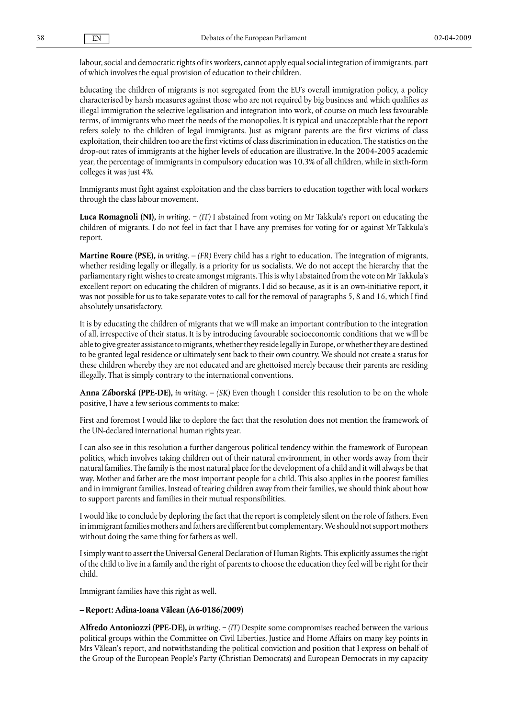labour, social and democratic rights of its workers, cannot apply equal social integration of immigrants, part of which involves the equal provision of education to their children.

Educating the children of migrants is not segregated from the EU's overall immigration policy, a policy characterised by harsh measures against those who are not required by big business and which qualifies as illegal immigration the selective legalisation and integration into work, of course on much less favourable terms, of immigrants who meet the needs of the monopolies. It is typical and unacceptable that the report refers solely to the children of legal immigrants. Just as migrant parents are the first victims of class exploitation, their children too are the first victims of class discrimination in education. The statistics on the drop-out rates of immigrants at the higher levels of education are illustrative. In the 2004-2005 academic year, the percentage of immigrants in compulsory education was 10.3% of all children, while in sixth-form colleges it was just 4%.

Immigrants must fight against exploitation and the class barriers to education together with local workers through the class labour movement.

**Luca Romagnoli (NI),** *in writing.* − *(IT)* I abstained from voting on Mr Takkula's report on educating the children of migrants. I do not feel in fact that I have any premises for voting for or against Mr Takkula's report.

**Martine Roure (PSE),** *in writing.*  $-$  *(FR)* Every child has a right to education. The integration of migrants, whether residing legally or illegally, is a priority for us socialists. We do not accept the hierarchy that the parliamentary right wishes to create amongst migrants. This is why I abstained from the vote on Mr Takkula's excellent report on educating the children of migrants. I did so because, as it is an own-initiative report, it was not possible for us to take separate votes to call for the removal of paragraphs 5, 8 and 16, which I find absolutely unsatisfactory.

It is by educating the children of migrants that we will make an important contribution to the integration of all, irrespective of their status. It is by introducing favourable socioeconomic conditions that we will be able to give greater assistance to migrants, whether they reside legally in Europe, or whether they are destined to be granted legal residence or ultimately sent back to their own country. We should not create a status for these children whereby they are not educated and are ghettoised merely because their parents are residing illegally. That is simply contrary to the international conventions.

**Anna Záborská (PPE-DE),** *in writing.* – *(SK)* Even though I consider this resolution to be on the whole positive, I have a few serious comments to make:

First and foremost I would like to deplore the fact that the resolution does not mention the framework of the UN-declared international human rights year.

I can also see in this resolution a further dangerous political tendency within the framework of European politics, which involves taking children out of their natural environment, in other words away from their natural families. The family is the most natural place for the development of a child and it will always be that way. Mother and father are the most important people for a child. This also applies in the poorest families and in immigrant families. Instead of tearing children away from their families, we should think about how to support parents and families in their mutual responsibilities.

I would like to conclude by deploring the fact that the report is completely silent on the role of fathers. Even in immigrant families mothers and fathers are different but complementary. We should not support mothers without doing the same thing for fathers as well.

I simply want to assert the Universal General Declaration of Human Rights. This explicitly assumes the right of the child to live in a family and the right of parents to choose the education they feel will be right for their child.

Immigrant families have this right as well.

#### **– Report: Adina-Ioana Vălean (A6-0186/2009)**

**Alfredo Antoniozzi (PPE-DE),** *in writing.* − *(IT)* Despite some compromises reached between the various political groups within the Committee on Civil Liberties, Justice and Home Affairs on many key points in Mrs Vălean's report, and notwithstanding the political conviction and position that I express on behalf of the Group of the European People's Party (Christian Democrats) and European Democrats in my capacity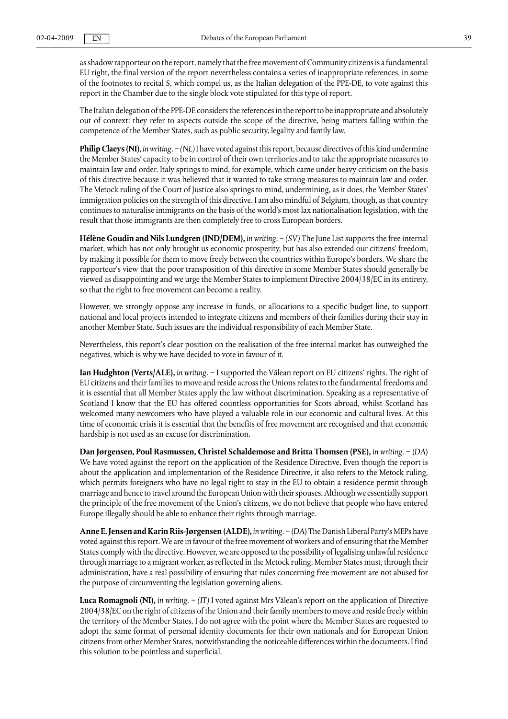as shadow rapporteur on the report, namely that the free movement of Community citizens is a fundamental EU right, the final version of the report nevertheless contains a series of inappropriate references, in some of the footnotes to recital S, which compel us, as the Italian delegation of the PPE-DE, to vote against this report in the Chamber due to the single block vote stipulated for this type of report.

The Italian delegation of the PPE-DE considers the references in the report to be inappropriate and absolutely out of context: they refer to aspects outside the scope of the directive, being matters falling within the competence of the Member States, such as public security, legality and family law.

**Philip Claeys (NI)**, *in writing*. − *(NL)* I have voted against this report, because directives of this kind undermine the Member States' capacity to be in control of their own territories and to take the appropriate measures to maintain law and order. Italy springs to mind, for example, which came under heavy criticism on the basis of this directive because it was believed that it wanted to take strong measures to maintain law and order. The Metock ruling of the Court of Justice also springs to mind, undermining, as it does, the Member States' immigration policies on the strength of this directive. I am also mindful of Belgium, though, as that country continues to naturalise immigrants on the basis of the world's most lax nationalisation legislation, with the result that those immigrants are then completely free to cross European borders.

**Hélène Goudin and Nils Lundgren (IND/DEM),** *in writing.* − *(SV)* The June List supports the free internal market, which has not only brought us economic prosperity, but has also extended our citizens' freedom, by making it possible for them to move freely between the countries within Europe's borders. We share the rapporteur's view that the poor transposition of this directive in some Member States should generally be viewed as disappointing and we urge the Member States to implement Directive 2004/38/EC in its entirety, so that the right to free movement can become a reality.

However, we strongly oppose any increase in funds, or allocations to a specific budget line, to support national and local projects intended to integrate citizens and members of their families during their stay in another Member State. Such issues are the individual responsibility of each Member State.

Nevertheless, this report's clear position on the realisation of the free internal market has outweighed the negatives, which is why we have decided to vote in favour of it.

**Ian Hudghton (Verts/ALE),** *in writing.* − I supported the Vălean report on EU citizens' rights. The right of EU citizens and their families to move and reside across the Unions relates to the fundamental freedoms and it is essential that all Member States apply the law without discrimination. Speaking as a representative of Scotland I know that the EU has offered countless opportunities for Scots abroad, whilst Scotland has welcomed many newcomers who have played a valuable role in our economic and cultural lives. At this time of economic crisis it is essential that the benefits of free movement are recognised and that economic hardship is not used as an excuse for discrimination.

**Dan Jørgensen, Poul Rasmussen, Christel Schaldemose and Britta Thomsen (PSE),** *in writing*. − (*DA*) We have voted against the report on the application of the Residence Directive. Even though the report is about the application and implementation of the Residence Directive, it also refers to the Metock ruling, which permits foreigners who have no legal right to stay in the EU to obtain a residence permit through marriage and hence to travel around the European Union with their spouses. Although we essentially support the principle of the free movement of the Union's citizens, we do not believe that people who have entered Europe illegally should be able to enhance their rights through marriage.

**Anne E. Jensen and Karin Riis-Jørgensen (ALDE),** *in writing*. − (*DA*) The Danish Liberal Party's MEPs have voted against this report. We are in favour of the free movement of workers and of ensuring that the Member States comply with the directive. However, we are opposed to the possibility of legalising unlawful residence through marriage to a migrant worker, as reflected in the Metock ruling. Member States must, through their administration, have a real possibility of ensuring that rules concerning free movement are not abused for the purpose of circumventing the legislation governing aliens.

**Luca Romagnoli (NI),** *in writing.* − *(IT)* I voted against Mrs Vălean's report on the application of Directive 2004/38/EC on the right of citizens of the Union and their family members to move and reside freely within the territory of the Member States. I do not agree with the point where the Member States are requested to adopt the same format of personal identity documents for their own nationals and for European Union citizens from other Member States, notwithstanding the noticeable differences within the documents. I find this solution to be pointless and superficial.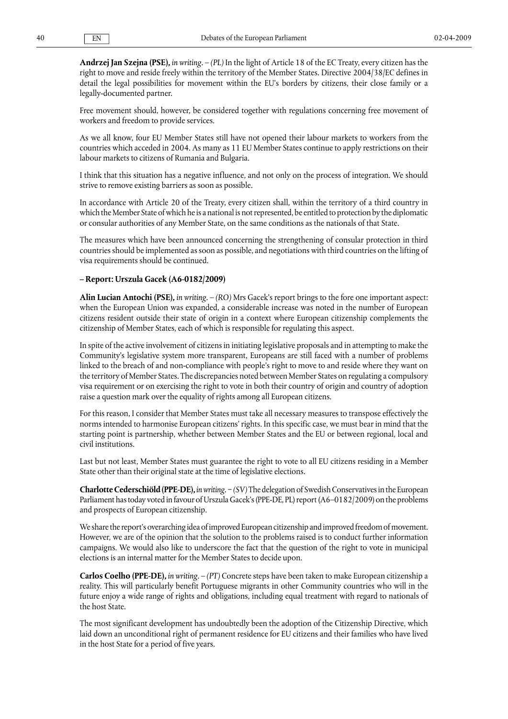**Andrzej Jan Szejna (PSE),** *in writing.* – *(PL)* In the light of Article 18 of the EC Treaty, every citizen has the right to move and reside freely within the territory of the Member States. Directive 2004/38/EC defines in detail the legal possibilities for movement within the EU's borders by citizens, their close family or a legally-documented partner.

Free movement should, however, be considered together with regulations concerning free movement of workers and freedom to provide services.

As we all know, four EU Member States still have not opened their labour markets to workers from the countries which acceded in 2004. As many as 11 EU Member States continue to apply restrictions on their labour markets to citizens of Rumania and Bulgaria.

I think that this situation has a negative influence, and not only on the process of integration. We should strive to remove existing barriers as soon as possible.

In accordance with Article 20 of the Treaty, every citizen shall, within the territory of a third country in which the Member State of which he is a national is not represented, be entitled to protection by the diplomatic or consular authorities of any Member State, on the same conditions as the nationals of that State.

The measures which have been announced concerning the strengthening of consular protection in third countries should be implemented as soon as possible, and negotiations with third countries on the lifting of visa requirements should be continued.

#### **– Report: Urszula Gacek (A6-0182/2009)**

**Alin Lucian Antochi (PSE),** *in writing.* – *(RO)* Mrs Gacek's report brings to the fore one important aspect: when the European Union was expanded, a considerable increase was noted in the number of European citizens resident outside their state of origin in a context where European citizenship complements the citizenship of Member States, each of which is responsible for regulating this aspect.

In spite of the active involvement of citizens in initiating legislative proposals and in attempting to make the Community's legislative system more transparent, Europeans are still faced with a number of problems linked to the breach of and non-compliance with people's right to move to and reside where they want on the territory of Member States. The discrepancies noted between Member States on regulating a compulsory visa requirement or on exercising the right to vote in both their country of origin and country of adoption raise a question mark over the equality of rights among all European citizens.

For this reason, I consider that Member States must take all necessary measures to transpose effectively the norms intended to harmonise European citizens' rights. In this specific case, we must bear in mind that the starting point is partnership, whether between Member States and the EU or between regional, local and civil institutions.

Last but not least, Member States must guarantee the right to vote to all EU citizens residing in a Member State other than their original state at the time of legislative elections.

**Charlotte Cederschiöld (PPE-DE),** *in writing.* − *(SV)*The delegation of Swedish Conservatives in the European Parliament has today voted in favour of Urszula Gacek's (PPE-DE, PL) report (A6–0182/2009) on the problems and prospects of European citizenship.

We share the report's overarching idea of improved European citizenship and improved freedom of movement. However, we are of the opinion that the solution to the problems raised is to conduct further information campaigns. We would also like to underscore the fact that the question of the right to vote in municipal elections is an internal matter for the Member States to decide upon.

**Carlos Coelho (PPE-DE),** *in writing.* – *(PT)* Concrete steps have been taken to make European citizenship a reality. This will particularly benefit Portuguese migrants in other Community countries who will in the future enjoy a wide range of rights and obligations, including equal treatment with regard to nationals of the host State.

The most significant development has undoubtedly been the adoption of the Citizenship Directive, which laid down an unconditional right of permanent residence for EU citizens and their families who have lived in the host State for a period of five years.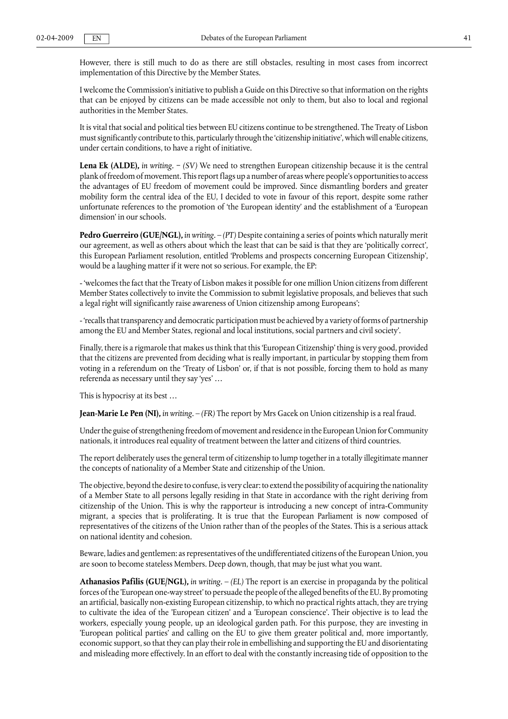However, there is still much to do as there are still obstacles, resulting in most cases from incorrect implementation of this Directive by the Member States.

I welcome the Commission's initiative to publish a Guide on this Directive so that information on the rights that can be enjoyed by citizens can be made accessible not only to them, but also to local and regional authorities in the Member States.

It is vital that social and political ties between EU citizens continue to be strengthened. The Treaty of Lisbon must significantly contribute to this, particularly through the 'citizenship initiative', which will enable citizens, under certain conditions, to have a right of initiative.

**Lena Ek (ALDE),** *in writing.* − *(SV)* We need to strengthen European citizenship because it is the central plank of freedom of movement. This report flags up a number of areas where people's opportunities to access the advantages of EU freedom of movement could be improved. Since dismantling borders and greater mobility form the central idea of the EU, I decided to vote in favour of this report, despite some rather unfortunate references to the promotion of 'the European identity' and the establishment of a 'European dimension' in our schools.

**Pedro Guerreiro (GUE/NGL),** *in writing.* – *(PT)* Despite containing a series of points which naturally merit our agreement, as well as others about which the least that can be said is that they are 'politically correct', this European Parliament resolution, entitled 'Problems and prospects concerning European Citizenship', would be a laughing matter if it were not so serious. For example, the EP:

- 'welcomes the fact that the Treaty of Lisbon makes it possible for one million Union citizens from different Member States collectively to invite the Commission to submit legislative proposals, and believes that such a legal right will significantly raise awareness of Union citizenship among Europeans';

- 'recalls that transparency and democratic participation must be achieved by a variety of forms of partnership among the EU and Member States, regional and local institutions, social partners and civil society'.

Finally, there is a rigmarole that makes us think that this 'European Citizenship' thing is very good, provided that the citizens are prevented from deciding what is really important, in particular by stopping them from voting in a referendum on the 'Treaty of Lisbon' or, if that is not possible, forcing them to hold as many referenda as necessary until they say 'yes' …

This is hypocrisy at its best …

**Jean-Marie Le Pen (NI),** *in writing.* – *(FR)* The report by Mrs Gacek on Union citizenship is a real fraud.

Under the guise of strengthening freedom of movement and residence in the European Union for Community nationals, it introduces real equality of treatment between the latter and citizens of third countries.

The report deliberately uses the general term of citizenship to lump together in a totally illegitimate manner the concepts of nationality of a Member State and citizenship of the Union.

The objective, beyond the desire to confuse, is very clear: to extend the possibility of acquiring the nationality of a Member State to all persons legally residing in that State in accordance with the right deriving from citizenship of the Union. This is why the rapporteur is introducing a new concept of intra-Community migrant, a species that is proliferating. It is true that the European Parliament is now composed of representatives of the citizens of the Union rather than of the peoples of the States. This is a serious attack on national identity and cohesion.

Beware, ladies and gentlemen: as representatives of the undifferentiated citizens of the European Union, you are soon to become stateless Members. Deep down, though, that may be just what you want.

**Athanasios Pafilis (GUE/NGL),** *in writing.* – *(EL)* The report is an exercise in propaganda by the political forces of the 'European one-way street' to persuade the people of the alleged benefits of the EU. By promoting an artificial, basically non-existing European citizenship, to which no practical rights attach, they are trying to cultivate the idea of the 'European citizen' and a 'European conscience'. Their objective is to lead the workers, especially young people, up an ideological garden path. For this purpose, they are investing in 'European political parties' and calling on the EU to give them greater political and, more importantly, economic support, so that they can play their role in embellishing and supporting the EU and disorientating and misleading more effectively. In an effort to deal with the constantly increasing tide of opposition to the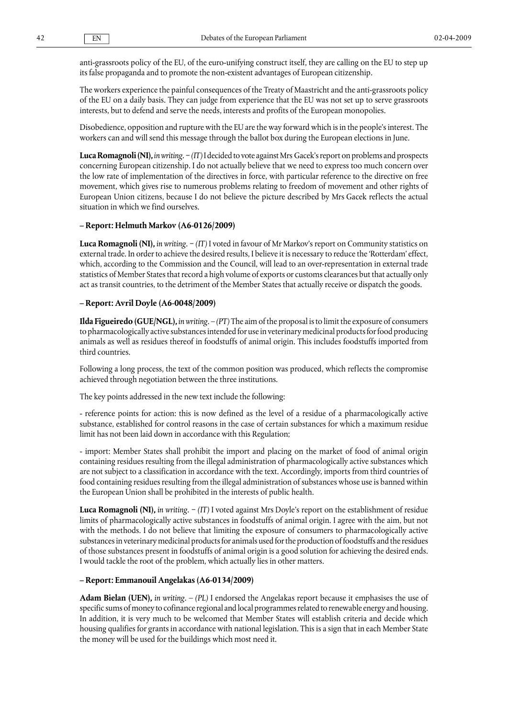anti-grassroots policy of the EU, of the euro-unifying construct itself, they are calling on the EU to step up its false propaganda and to promote the non-existent advantages of European citizenship.

The workers experience the painful consequences of the Treaty of Maastricht and the anti-grassroots policy of the EU on a daily basis. They can judge from experience that the EU was not set up to serve grassroots interests, but to defend and serve the needs, interests and profits of the European monopolies.

Disobedience, opposition and rupture with the EU are the way forward which is in the people's interest. The workers can and will send this message through the ballot box during the European elections in June.

**Luca Romagnoli (NI),** *in writing.* − *(IT)* I decided to vote against Mrs Gacek's report on problems and prospects concerning European citizenship. I do not actually believe that we need to express too much concern over the low rate of implementation of the directives in force, with particular reference to the directive on free movement, which gives rise to numerous problems relating to freedom of movement and other rights of European Union citizens, because I do not believe the picture described by Mrs Gacek reflects the actual situation in which we find ourselves.

#### **– Report: Helmuth Markov (A6-0126/2009)**

**Luca Romagnoli (NI),** *in writing.* − *(IT)* I voted in favour of Mr Markov's report on Community statistics on external trade. In order to achieve the desired results, I believe it is necessary to reduce the 'Rotterdam' effect, which, according to the Commission and the Council, will lead to an over-representation in external trade statistics of Member States that record a high volume of exports or customs clearances but that actually only act as transit countries, to the detriment of the Member States that actually receive or dispatch the goods.

#### **– Report: Avril Doyle (A6-0048/2009)**

**Ilda Figueiredo (GUE/NGL),** *in writing.* – *(PT)* The aim of the proposal is to limit the exposure of consumers to pharmacologically active substances intended for use in veterinary medicinal products for food producing animals as well as residues thereof in foodstuffs of animal origin. This includes foodstuffs imported from third countries.

Following a long process, the text of the common position was produced, which reflects the compromise achieved through negotiation between the three institutions.

The key points addressed in the new text include the following:

- reference points for action: this is now defined as the level of a residue of a pharmacologically active substance, established for control reasons in the case of certain substances for which a maximum residue limit has not been laid down in accordance with this Regulation;

- import: Member States shall prohibit the import and placing on the market of food of animal origin containing residues resulting from the illegal administration of pharmacologically active substances which are not subject to a classification in accordance with the text. Accordingly, imports from third countries of food containing residues resulting from the illegal administration of substances whose use is banned within the European Union shall be prohibited in the interests of public health.

**Luca Romagnoli (NI),** *in writing.* − *(IT)* I voted against Mrs Doyle's report on the establishment of residue limits of pharmacologically active substances in foodstuffs of animal origin. I agree with the aim, but not with the methods. I do not believe that limiting the exposure of consumers to pharmacologically active substances in veterinary medicinal products for animals used for the production of foodstuffs and the residues of those substances present in foodstuffs of animal origin is a good solution for achieving the desired ends. I would tackle the root of the problem, which actually lies in other matters.

#### **– Report: Emmanouil Angelakas (A6-0134/2009)**

**Adam Bielan (UEN),** *in writing.* – *(PL)* I endorsed the Angelakas report because it emphasises the use of specific sums of money to cofinance regional and local programmes related to renewable energy and housing. In addition, it is very much to be welcomed that Member States will establish criteria and decide which housing qualifies for grants in accordance with national legislation. This is a sign that in each Member State the money will be used for the buildings which most need it.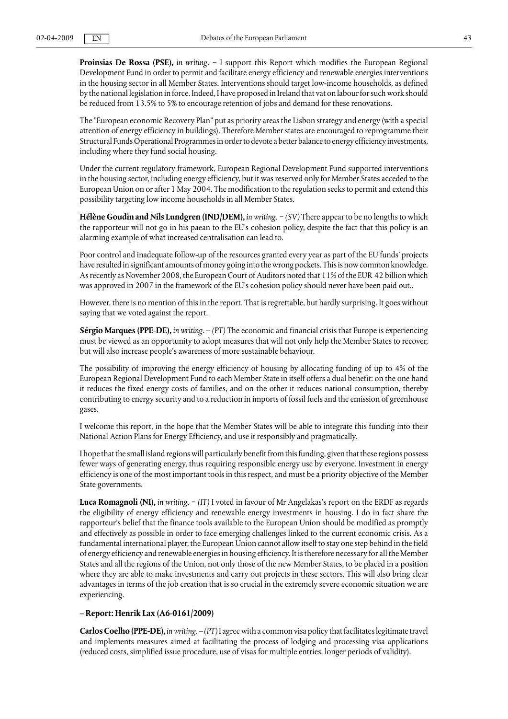**Proinsias De Rossa (PSE),** *in writing.* − I support this Report which modifies the European Regional Development Fund in order to permit and facilitate energy efficiency and renewable energies interventions in the housing sector in all Member States. Interventions should target low-income households, as defined by the national legislation in force. Indeed, I have proposed in Ireland that vat on labour for such work should be reduced from 13.5% to 5% to encourage retention of jobs and demand for these renovations.

The "European economic Recovery Plan" put as priority areas the Lisbon strategy and energy (with a special attention of energy efficiency in buildings). Therefore Member states are encouraged to reprogramme their Structural Funds Operational Programmes in order to devote a better balance to energy efficiency investments, including where they fund social housing.

Under the current regulatory framework, European Regional Development Fund supported interventions in the housing sector, including energy efficiency, but it was reserved only for Member States acceded to the European Union on or after 1 May 2004. The modification to the regulation seeks to permit and extend this possibility targeting low income households in all Member States.

**Hélène Goudin and Nils Lundgren (IND/DEM),** *in writing.* − *(SV)* There appear to be no lengths to which the rapporteur will not go in his paean to the EU's cohesion policy, despite the fact that this policy is an alarming example of what increased centralisation can lead to.

Poor control and inadequate follow-up of the resources granted every year as part of the EU funds' projects have resulted in significant amounts of money going into the wrong pockets. This is now common knowledge. As recently as November 2008, the European Court of Auditors noted that 11% of the EUR 42 billion which was approved in 2007 in the framework of the EU's cohesion policy should never have been paid out..

However, there is no mention of this in the report. That is regrettable, but hardly surprising. It goes without saying that we voted against the report.

**Sérgio Marques (PPE-DE),** *in writing.* – *(PT)* The economic and financial crisis that Europe is experiencing must be viewed as an opportunity to adopt measures that will not only help the Member States to recover, but will also increase people's awareness of more sustainable behaviour.

The possibility of improving the energy efficiency of housing by allocating funding of up to 4% of the European Regional Development Fund to each Member State in itself offers a dual benefit: on the one hand it reduces the fixed energy costs of families, and on the other it reduces national consumption, thereby contributing to energy security and to a reduction in imports of fossil fuels and the emission of greenhouse gases.

I welcome this report, in the hope that the Member States will be able to integrate this funding into their National Action Plans for Energy Efficiency, and use it responsibly and pragmatically.

I hope that the small island regions will particularly benefit from this funding, given that these regions possess fewer ways of generating energy, thus requiring responsible energy use by everyone. Investment in energy efficiency is one of the most important tools in this respect, and must be a priority objective of the Member State governments.

**Luca Romagnoli (NI),** *in writing.* − *(IT)* I voted in favour of Mr Angelakas's report on the ERDF as regards the eligibility of energy efficiency and renewable energy investments in housing. I do in fact share the rapporteur's belief that the finance tools available to the European Union should be modified as promptly and effectively as possible in order to face emerging challenges linked to the current economic crisis. As a fundamental international player, the European Union cannot allow itself to stay one step behind in the field of energy efficiency and renewable energies in housing efficiency. It is therefore necessary for all the Member States and all the regions of the Union, not only those of the new Member States, to be placed in a position where they are able to make investments and carry out projects in these sectors. This will also bring clear advantages in terms of the job creation that is so crucial in the extremely severe economic situation we are experiencing.

#### **– Report: Henrik Lax (A6-0161/2009)**

**Carlos Coelho (PPE-DE),** *in writing.* – *(PT)* I agree with a common visa policy that facilitates legitimate travel and implements measures aimed at facilitating the process of lodging and processing visa applications (reduced costs, simplified issue procedure, use of visas for multiple entries, longer periods of validity).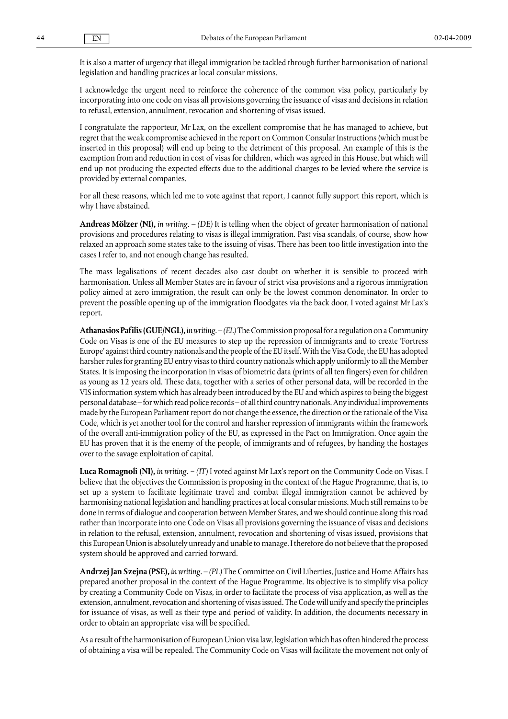It is also a matter of urgency that illegal immigration be tackled through further harmonisation of national legislation and handling practices at local consular missions.

I acknowledge the urgent need to reinforce the coherence of the common visa policy, particularly by incorporating into one code on visas all provisions governing the issuance of visas and decisions in relation to refusal, extension, annulment, revocation and shortening of visas issued.

I congratulate the rapporteur, Mr Lax, on the excellent compromise that he has managed to achieve, but regret that the weak compromise achieved in the report on Common Consular Instructions (which must be inserted in this proposal) will end up being to the detriment of this proposal. An example of this is the exemption from and reduction in cost of visas for children, which was agreed in this House, but which will end up not producing the expected effects due to the additional charges to be levied where the service is provided by external companies.

For all these reasons, which led me to vote against that report, I cannot fully support this report, which is why I have abstained.

**Andreas Mölzer (NI),** *in writing*. – *(DE)* It is telling when the object of greater harmonisation of national provisions and procedures relating to visas is illegal immigration. Past visa scandals, of course, show how relaxed an approach some states take to the issuing of visas. There has been too little investigation into the cases I refer to, and not enough change has resulted.

The mass legalisations of recent decades also cast doubt on whether it is sensible to proceed with harmonisation. Unless all Member States are in favour of strict visa provisions and a rigorous immigration policy aimed at zero immigration, the result can only be the lowest common denominator. In order to prevent the possible opening up of the immigration floodgates via the back door, I voted against Mr Lax's report.

**Athanasios Pafilis (GUE/NGL),** *in writing.* – *(EL)* The Commission proposal for a regulation on a Community Code on Visas is one of the EU measures to step up the repression of immigrants and to create 'Fortress Europe' against third country nationals and the people of the EU itself. With the Visa Code, the EU has adopted harsher rules for granting EU entry visas to third country nationals which apply uniformly to all the Member States. It is imposing the incorporation in visas of biometric data (prints of all ten fingers) even for children as young as 12 years old. These data, together with a series of other personal data, will be recorded in the VIS information system which has already been introduced by the EU and which aspires to being the biggest personal database – for which read police records – of all third country nationals. Any individual improvements made by the European Parliament report do not change the essence, the direction or the rationale of the Visa Code, which is yet another tool for the control and harsher repression of immigrants within the framework of the overall anti-immigration policy of the EU, as expressed in the Pact on Immigration. Once again the EU has proven that it is the enemy of the people, of immigrants and of refugees, by handing the hostages over to the savage exploitation of capital.

**Luca Romagnoli (NI),** *in writing.* − *(IT)* I voted against Mr Lax's report on the Community Code on Visas. I believe that the objectives the Commission is proposing in the context of the Hague Programme, that is, to set up a system to facilitate legitimate travel and combat illegal immigration cannot be achieved by harmonising national legislation and handling practices at local consular missions. Much still remains to be done in terms of dialogue and cooperation between Member States, and we should continue along this road rather than incorporate into one Code on Visas all provisions governing the issuance of visas and decisions in relation to the refusal, extension, annulment, revocation and shortening of visas issued, provisions that this European Union is absolutely unready and unable to manage. I therefore do not believe that the proposed system should be approved and carried forward.

**Andrzej Jan Szejna (PSE),** *in writing.* – *(PL)* The Committee on Civil Liberties, Justice and Home Affairs has prepared another proposal in the context of the Hague Programme. Its objective is to simplify visa policy by creating a Community Code on Visas, in order to facilitate the process of visa application, as well as the extension, annulment, revocation and shortening of visas issued. The Code will unify and specify the principles for issuance of visas, as well as their type and period of validity. In addition, the documents necessary in order to obtain an appropriate visa will be specified.

As a result of the harmonisation of European Union visa law, legislation which has often hindered the process of obtaining a visa will be repealed. The Community Code on Visas will facilitate the movement not only of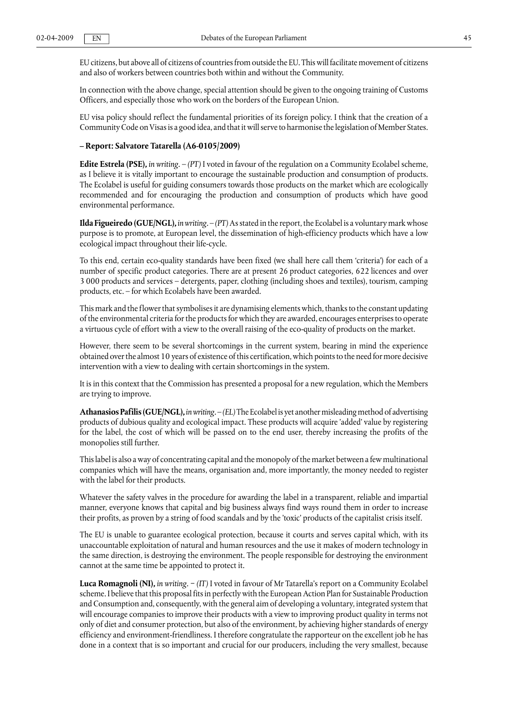EU citizens, but above all of citizens of countries from outside the EU. This will facilitate movement of citizens and also of workers between countries both within and without the Community.

In connection with the above change, special attention should be given to the ongoing training of Customs Officers, and especially those who work on the borders of the European Union.

EU visa policy should reflect the fundamental priorities of its foreign policy. I think that the creation of a Community Code on Visas is a good idea, and that it will serve to harmonise the legislation of Member States.

### **– Report: Salvatore Tatarella (A6-0105/2009)**

**Edite Estrela (PSE),** *in writing.* – *(PT)* I voted in favour of the regulation on a Community Ecolabel scheme, as I believe it is vitally important to encourage the sustainable production and consumption of products. The Ecolabel is useful for guiding consumers towards those products on the market which are ecologically recommended and for encouraging the production and consumption of products which have good environmental performance.

**Ilda Figueiredo (GUE/NGL),** *in writing.* – *(PT)*As stated in the report, the Ecolabel is a voluntary mark whose purpose is to promote, at European level, the dissemination of high-efficiency products which have a low ecological impact throughout their life-cycle.

To this end, certain eco-quality standards have been fixed (we shall here call them 'criteria') for each of a number of specific product categories. There are at present 26 product categories, 622 licences and over 3 000 products and services – detergents, paper, clothing (including shoes and textiles), tourism, camping products, etc. – for which Ecolabels have been awarded.

This mark and the flower that symbolises it are dynamising elements which, thanks to the constant updating of the environmental criteria for the products for which they are awarded, encourages enterprises to operate a virtuous cycle of effort with a view to the overall raising of the eco-quality of products on the market.

However, there seem to be several shortcomings in the current system, bearing in mind the experience obtained over the almost 10 years of existence of this certification, which points to the need for more decisive intervention with a view to dealing with certain shortcomings in the system.

It is in this context that the Commission has presented a proposal for a new regulation, which the Members are trying to improve.

**Athanasios Pafilis (GUE/NGL),** *in writing.* – *(EL)* The Ecolabel is yet another misleading method of advertising products of dubious quality and ecological impact. These products will acquire 'added' value by registering for the label, the cost of which will be passed on to the end user, thereby increasing the profits of the monopolies still further.

This label is also a way of concentrating capital and the monopoly of the market between a few multinational companies which will have the means, organisation and, more importantly, the money needed to register with the label for their products.

Whatever the safety valves in the procedure for awarding the label in a transparent, reliable and impartial manner, everyone knows that capital and big business always find ways round them in order to increase their profits, as proven by a string of food scandals and by the 'toxic' products of the capitalist crisis itself.

The ΕU is unable to guarantee ecological protection, because it courts and serves capital which, with its unaccountable exploitation of natural and human resources and the use it makes of modern technology in the same direction, is destroying the environment. The people responsible for destroying the environment cannot at the same time be appointed to protect it.

**Luca Romagnoli (NI),** *in writing.* − *(IT)* I voted in favour of Mr Tatarella's report on a Community Ecolabel scheme. I believe that this proposal fits in perfectly with the European Action Plan for Sustainable Production and Consumption and, consequently, with the general aim of developing a voluntary, integrated system that will encourage companies to improve their products with a view to improving product quality in terms not only of diet and consumer protection, but also of the environment, by achieving higher standards of energy efficiency and environment-friendliness. I therefore congratulate the rapporteur on the excellent job he has done in a context that is so important and crucial for our producers, including the very smallest, because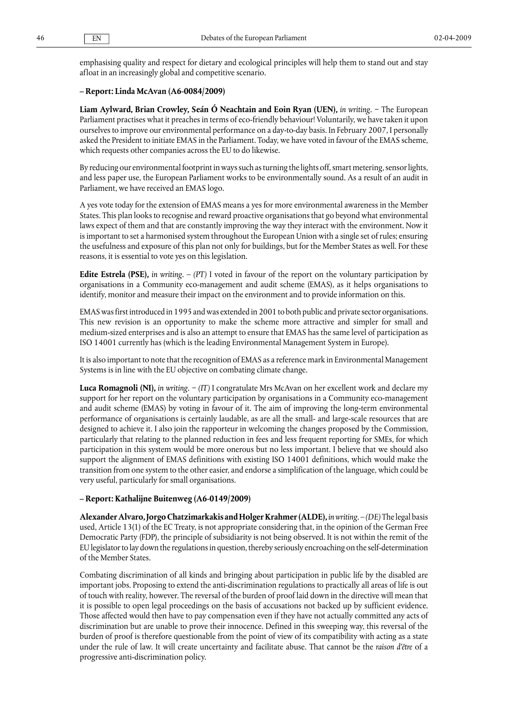emphasising quality and respect for dietary and ecological principles will help them to stand out and stay afloat in an increasingly global and competitive scenario.

#### **– Report: Linda McAvan (A6-0084/2009)**

**Liam Aylward, Brian Crowley, Seán Ó Neachtain and Eoin Ryan (UEN),** *in writing.* − The European Parliament practises what it preaches in terms of eco-friendly behaviour! Voluntarily, we have taken it upon ourselves to improve our environmental performance on a day-to-day basis. In February 2007, I personally asked the President to initiate EMAS in the Parliament. Today, we have voted in favour of the EMAS scheme, which requests other companies across the EU to do likewise.

By reducing our environmental footprint in ways such as turning the lights off, smart metering, sensor lights, and less paper use, the European Parliament works to be environmentally sound. As a result of an audit in Parliament, we have received an EMAS logo.

A yes vote today for the extension of EMAS means a yes for more environmental awareness in the Member States. This plan looks to recognise and reward proactive organisations that go beyond what environmental laws expect of them and that are constantly improving the way they interact with the environment. Now it is important to set a harmonised system throughout the European Union with a single set of rules; ensuring the usefulness and exposure of this plan not only for buildings, but for the Member States as well. For these reasons, it is essential to vote yes on this legislation.

**Edite Estrela (PSE),** *in writing.* – *(PT)* I voted in favour of the report on the voluntary participation by organisations in a Community eco-management and audit scheme (EMAS), as it helps organisations to identify, monitor and measure their impact on the environment and to provide information on this.

EMAS was first introduced in 1995 and was extended in 2001 to both public and private sector organisations. This new revision is an opportunity to make the scheme more attractive and simpler for small and medium-sized enterprises and is also an attempt to ensure that EMAS has the same level of participation as ISO 14001 currently has (which is the leading Environmental Management System in Europe).

It is also important to note that the recognition of EMAS as a reference mark in Environmental Management Systems is in line with the EU objective on combating climate change.

**Luca Romagnoli (NI),** *in writing.* − *(IT)* I congratulate Mrs McAvan on her excellent work and declare my support for her report on the voluntary participation by organisations in a Community eco-management and audit scheme (EMAS) by voting in favour of it. The aim of improving the long-term environmental performance of organisations is certainly laudable, as are all the small- and large-scale resources that are designed to achieve it. I also join the rapporteur in welcoming the changes proposed by the Commission, particularly that relating to the planned reduction in fees and less frequent reporting for SMEs, for which participation in this system would be more onerous but no less important. I believe that we should also support the alignment of EMAS definitions with existing ISO 14001 definitions, which would make the transition from one system to the other easier, and endorse a simplification of the language, which could be very useful, particularly for small organisations.

### **– Report: Kathalijne Buitenweg (A6-0149/2009)**

**Alexander Alvaro, Jorgo Chatzimarkakis and Holger Krahmer (ALDE),** *in writing*. – *(DE)* The legal basis used, Article 13(1) of the EC Treaty, is not appropriate considering that, in the opinion of the German Free Democratic Party (FDP), the principle of subsidiarity is not being observed. It is not within the remit of the EU legislator to lay down the regulations in question, thereby seriously encroaching on the self-determination of the Member States.

Combating discrimination of all kinds and bringing about participation in public life by the disabled are important jobs. Proposing to extend the anti-discrimination regulations to practically all areas of life is out of touch with reality, however. The reversal of the burden of proof laid down in the directive will mean that it is possible to open legal proceedings on the basis of accusations not backed up by sufficient evidence. Those affected would then have to pay compensation even if they have not actually committed any acts of discrimination but are unable to prove their innocence. Defined in this sweeping way, this reversal of the burden of proof is therefore questionable from the point of view of its compatibility with acting as a state under the rule of law. It will create uncertainty and facilitate abuse. That cannot be the *raison d'être* of a progressive anti-discrimination policy.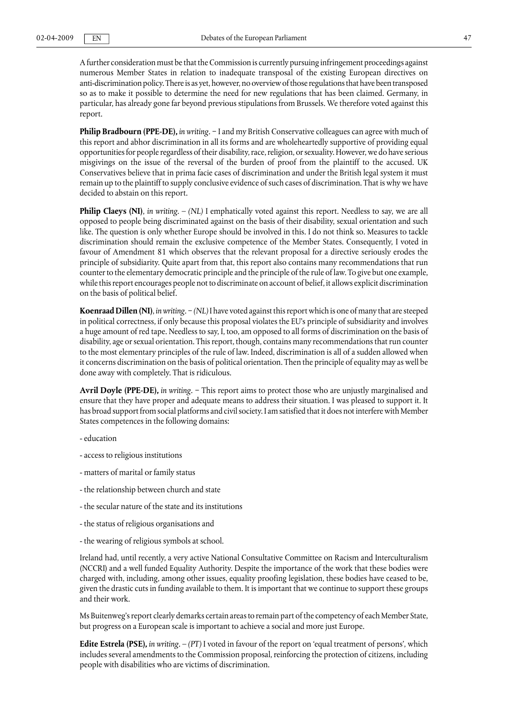A further consideration must be that the Commission is currently pursuing infringement proceedings against numerous Member States in relation to inadequate transposal of the existing European directives on anti-discrimination policy. There is as yet, however, no overview of those regulations that have been transposed so as to make it possible to determine the need for new regulations that has been claimed. Germany, in particular, has already gone far beyond previous stipulations from Brussels. We therefore voted against this report.

**Philip Bradbourn (PPE-DE),** *in writing.* − I and my British Conservative colleagues can agree with much of this report and abhor discrimination in all its forms and are wholeheartedly supportive of providing equal opportunities for people regardless of their disability, race, religion, or sexuality. However, we do have serious misgivings on the issue of the reversal of the burden of proof from the plaintiff to the accused. UK Conservatives believe that in prima facie cases of discrimination and under the British legal system it must remain up to the plaintiff to supply conclusive evidence of such cases of discrimination. That is why we have decided to abstain on this report.

**Philip Claeys (NI)**, *in writing*. – *(NL)* I emphatically voted against this report. Needless to say, we are all opposed to people being discriminated against on the basis of their disability, sexual orientation and such like. The question is only whether Europe should be involved in this. I do not think so. Measures to tackle discrimination should remain the exclusive competence of the Member States. Consequently, I voted in favour of Amendment 81 which observes that the relevant proposal for a directive seriously erodes the principle of subsidiarity. Quite apart from that, this report also contains many recommendations that run counter to the elementary democratic principle and the principle of the rule of law. To give but one example, while this report encourages people not to discriminate on account of belief, it allows explicit discrimination on the basis of political belief.

**Koenraad Dillen (NI)**, *in writing*. − *(NL)* I have voted against this report which is one of many that are steeped in political correctness, if only because this proposal violates the EU's principle of subsidiarity and involves a huge amount of red tape. Needless to say, I, too, am opposed to all forms of discrimination on the basis of disability, age or sexual orientation. This report, though, contains many recommendations that run counter to the most elementary principles of the rule of law. Indeed, discrimination is all of a sudden allowed when it concerns discrimination on the basis of political orientation. Then the principle of equality may as well be done away with completely. That is ridiculous.

**Avril Doyle (PPE-DE),** *in writing.* − This report aims to protect those who are unjustly marginalised and ensure that they have proper and adequate means to address their situation. I was pleased to support it. It has broad support from social platforms and civil society. I am satisfied that it does not interfere with Member States competences in the following domains:

- education
- access to religious institutions
- matters of marital or family status
- the relationship between church and state
- the secular nature of the state and its institutions
- the status of religious organisations and
- the wearing of religious symbols at school.

Ireland had, until recently, a very active National Consultative Committee on Racism and Interculturalism (NCCRI) and a well funded Equality Authority. Despite the importance of the work that these bodies were charged with, including, among other issues, equality proofing legislation, these bodies have ceased to be, given the drastic cuts in funding available to them. It is important that we continue to support these groups and their work.

Ms Buitenweg's report clearly demarks certain areas to remain part of the competency of each Member State, but progress on a European scale is important to achieve a social and more just Europe.

**Edite Estrela (PSE),** *in writing.* – *(PT)* I voted in favour of the report on 'equal treatment of persons', which includes several amendments to the Commission proposal, reinforcing the protection of citizens, including people with disabilities who are victims of discrimination.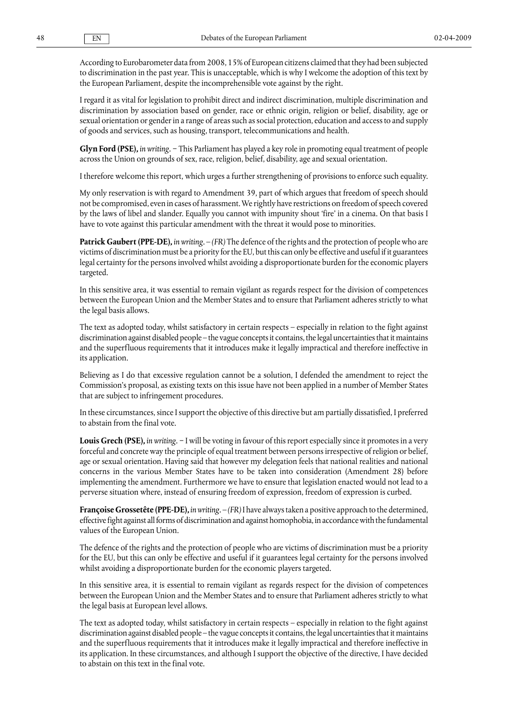According to Eurobarometer data from 2008, 15% of European citizens claimed that they had been subjected to discrimination in the past year. This is unacceptable, which is why I welcome the adoption of this text by the European Parliament, despite the incomprehensible vote against by the right.

I regard it as vital for legislation to prohibit direct and indirect discrimination, multiple discrimination and discrimination by association based on gender, race or ethnic origin, religion or belief, disability, age or sexual orientation or gender in a range of areas such as social protection, education and access to and supply of goods and services, such as housing, transport, telecommunications and health.

**Glyn Ford (PSE),** *in writing.* − This Parliament has played a key role in promoting equal treatment of people across the Union on grounds of sex, race, religion, belief, disability, age and sexual orientation.

I therefore welcome this report, which urges a further strengthening of provisions to enforce such equality.

My only reservation is with regard to Amendment 39, part of which argues that freedom of speech should not be compromised, even in cases of harassment. We rightly have restrictions on freedom of speech covered by the laws of libel and slander. Equally you cannot with impunity shout 'fire' in a cinema. On that basis I have to vote against this particular amendment with the threat it would pose to minorities.

**Patrick Gaubert (PPE-DE),** *in writing*. – *(FR)* The defence of the rights and the protection of people who are victims of discrimination must be a priority for the EU, but this can only be effective and useful if it guarantees legal certainty for the persons involved whilst avoiding a disproportionate burden for the economic players targeted.

In this sensitive area, it was essential to remain vigilant as regards respect for the division of competences between the European Union and the Member States and to ensure that Parliament adheres strictly to what the legal basis allows.

The text as adopted today, whilst satisfactory in certain respects – especially in relation to the fight against discrimination against disabled people – the vague concepts it contains, the legal uncertainties that it maintains and the superfluous requirements that it introduces make it legally impractical and therefore ineffective in its application.

Believing as I do that excessive regulation cannot be a solution, I defended the amendment to reject the Commission's proposal, as existing texts on this issue have not been applied in a number of Member States that are subject to infringement procedures.

In these circumstances, since I support the objective of this directive but am partially dissatisfied, I preferred to abstain from the final vote.

**Louis Grech (PSE),** *in writing.* − I will be voting in favour of this report especially since it promotes in a very forceful and concrete way the principle of equal treatment between persons irrespective of religion or belief, age or sexual orientation. Having said that however my delegation feels that national realities and national concerns in the various Member States have to be taken into consideration (Amendment 28) before implementing the amendment. Furthermore we have to ensure that legislation enacted would not lead to a perverse situation where, instead of ensuring freedom of expression, freedom of expression is curbed.

**Françoise Grossetête (PPE-DE),** *in writing.* – *(FR)* I have always taken a positive approach to the determined, effective fight against all forms of discrimination and against homophobia, in accordance with the fundamental values of the European Union.

The defence of the rights and the protection of people who are victims of discrimination must be a priority for the EU, but this can only be effective and useful if it guarantees legal certainty for the persons involved whilst avoiding a disproportionate burden for the economic players targeted.

In this sensitive area, it is essential to remain vigilant as regards respect for the division of competences between the European Union and the Member States and to ensure that Parliament adheres strictly to what the legal basis at European level allows.

The text as adopted today, whilst satisfactory in certain respects – especially in relation to the fight against discrimination against disabled people – the vague concepts it contains, the legal uncertainties that it maintains and the superfluous requirements that it introduces make it legally impractical and therefore ineffective in its application. In these circumstances, and although I support the objective of the directive, I have decided to abstain on this text in the final vote.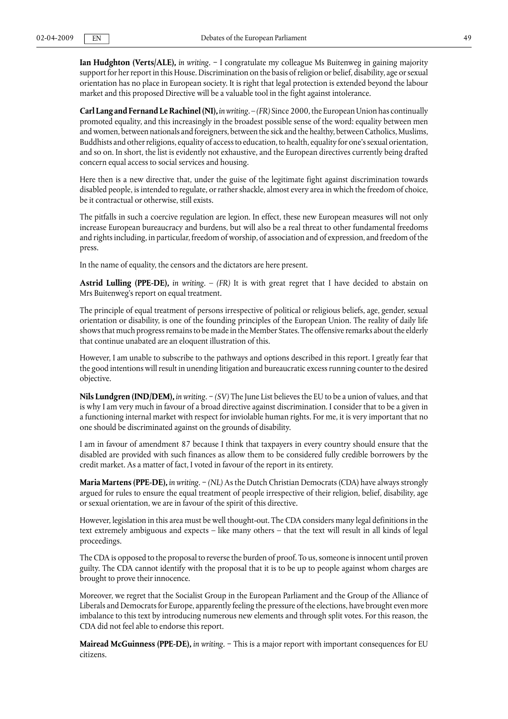**Ian Hudghton (Verts/ALE),** *in writing.* − I congratulate my colleague Ms Buitenweg in gaining majority support for her report in this House. Discrimination on the basis of religion or belief, disability, age or sexual orientation has no place in European society. It is right that legal protection is extended beyond the labour market and this proposed Directive will be a valuable tool in the fight against intolerance.

**Carl Lang and Fernand Le Rachinel (NI),** *in writing.* – *(FR)* Since 2000, the European Union has continually promoted equality, and this increasingly in the broadest possible sense of the word: equality between men and women, between nationals and foreigners, between the sick and the healthy, between Catholics, Muslims, Buddhists and other religions, equality of access to education, to health, equality for one's sexual orientation, and so on. In short, the list is evidently not exhaustive, and the European directives currently being drafted concern equal access to social services and housing.

Here then is a new directive that, under the guise of the legitimate fight against discrimination towards disabled people, is intended to regulate, or rather shackle, almost every area in which the freedom of choice, be it contractual or otherwise, still exists.

The pitfalls in such a coercive regulation are legion. In effect, these new European measures will not only increase European bureaucracy and burdens, but will also be a real threat to other fundamental freedoms and rights including, in particular, freedom of worship, of association and of expression, and freedom of the press.

In the name of equality, the censors and the dictators are here present.

**Astrid Lulling (PPE-DE),** *in writing*. – *(FR)* It is with great regret that I have decided to abstain on Mrs Buitenweg's report on equal treatment.

The principle of equal treatment of persons irrespective of political or religious beliefs, age, gender, sexual orientation or disability, is one of the founding principles of the European Union. The reality of daily life shows that much progress remains to be made in the Member States. The offensive remarks about the elderly that continue unabated are an eloquent illustration of this.

However, I am unable to subscribe to the pathways and options described in this report. I greatly fear that the good intentions will result in unending litigation and bureaucratic excess running counter to the desired objective.

**Nils Lundgren (IND/DEM),** *in writing.* − *(SV)* The June List believes the EU to be a union of values, and that is why I am very much in favour of a broad directive against discrimination. I consider that to be a given in a functioning internal market with respect for inviolable human rights. For me, it is very important that no one should be discriminated against on the grounds of disability.

I am in favour of amendment 87 because I think that taxpayers in every country should ensure that the disabled are provided with such finances as allow them to be considered fully credible borrowers by the credit market. As a matter of fact, I voted in favour of the report in its entirety.

**Maria Martens (PPE-DE),** *in writing*. − *(NL)* As the Dutch Christian Democrats (CDA) have always strongly argued for rules to ensure the equal treatment of people irrespective of their religion, belief, disability, age or sexual orientation, we are in favour of the spirit of this directive.

However, legislation in this area must be well thought-out. The CDA considers many legal definitions in the text extremely ambiguous and expects – like many others – that the text will result in all kinds of legal proceedings.

The CDA is opposed to the proposal to reverse the burden of proof. To us, someone is innocent until proven guilty. The CDA cannot identify with the proposal that it is to be up to people against whom charges are brought to prove their innocence.

Moreover, we regret that the Socialist Group in the European Parliament and the Group of the Alliance of Liberals and Democrats for Europe, apparently feeling the pressure of the elections, have brought even more imbalance to this text by introducing numerous new elements and through split votes. For this reason, the CDA did not feel able to endorse this report.

**Mairead McGuinness (PPE-DE),** *in writing.* − This is a major report with important consequences for EU citizens.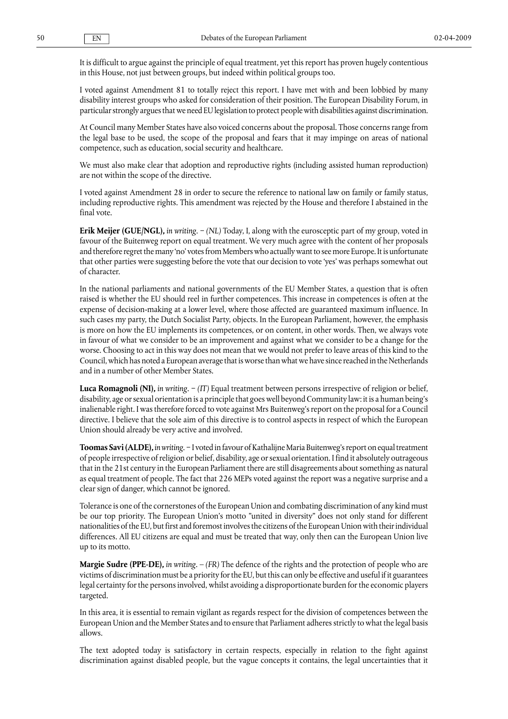It is difficult to argue against the principle of equal treatment, yet this report has proven hugely contentious in this House, not just between groups, but indeed within political groups too.

I voted against Amendment 81 to totally reject this report. I have met with and been lobbied by many disability interest groups who asked for consideration of their position. The European Disability Forum, in particular strongly argues that we need EU legislation to protect people with disabilities against discrimination.

At Council many Member States have also voiced concerns about the proposal. Those concerns range from the legal base to be used, the scope of the proposal and fears that it may impinge on areas of national competence, such as education, social security and healthcare.

We must also make clear that adoption and reproductive rights (including assisted human reproduction) are not within the scope of the directive.

I voted against Amendment 28 in order to secure the reference to national law on family or family status, including reproductive rights. This amendment was rejected by the House and therefore I abstained in the final vote.

**Erik Meijer (GUE/NGL),** *in writing*. − *(NL)* Today, I, along with the eurosceptic part of my group, voted in favour of the Buitenweg report on equal treatment. We very much agree with the content of her proposals and therefore regret the many 'no' votes from Members who actually want to see more Europe. It is unfortunate that other parties were suggesting before the vote that our decision to vote 'yes' was perhaps somewhat out of character.

In the national parliaments and national governments of the EU Member States, a question that is often raised is whether the EU should reel in further competences. This increase in competences is often at the expense of decision-making at a lower level, where those affected are guaranteed maximum influence. In such cases my party, the Dutch Socialist Party, objects. In the European Parliament, however, the emphasis is more on how the EU implements its competences, or on content, in other words. Then, we always vote in favour of what we consider to be an improvement and against what we consider to be a change for the worse. Choosing to act in this way does not mean that we would not prefer to leave areas of this kind to the Council, which has noted a European average that is worse than what we have since reached in the Netherlands and in a number of other Member States.

**Luca Romagnoli (NI),** *in writing.* − *(IT)* Equal treatment between persons irrespective of religion or belief, disability, age or sexual orientation is a principle that goes well beyond Community law: it is a human being's inalienable right. I was therefore forced to vote against Mrs Buitenweg's report on the proposal for a Council directive. I believe that the sole aim of this directive is to control aspects in respect of which the European Union should already be very active and involved.

**Toomas Savi (ALDE),** *in writing*. − I voted in favour of Kathalijne Maria Buitenweg's report on equal treatment of people irrespective of religion or belief, disability, age or sexual orientation. I find it absolutely outrageous that in the 21st century in the European Parliament there are still disagreements about something as natural as equal treatment of people. The fact that 226 MEPs voted against the report was a negative surprise and a clear sign of danger, which cannot be ignored.

Tolerance is one of the cornerstones of the European Union and combating discrimination of any kind must be our top priority. The European Union's motto "united in diversity" does not only stand for different nationalities of the EU, but first and foremost involves the citizens of the European Union with their individual differences. All EU citizens are equal and must be treated that way, only then can the European Union live up to its motto.

**Margie Sudre (PPE-DE),** *in writing.* – *(FR)* The defence of the rights and the protection of people who are victims of discrimination must be a priority for the EU, but this can only be effective and useful if it guarantees legal certainty for the persons involved, whilst avoiding a disproportionate burden for the economic players targeted.

In this area, it is essential to remain vigilant as regards respect for the division of competences between the European Union and the Member States and to ensure that Parliament adheres strictly to what the legal basis allows.

The text adopted today is satisfactory in certain respects, especially in relation to the fight against discrimination against disabled people, but the vague concepts it contains, the legal uncertainties that it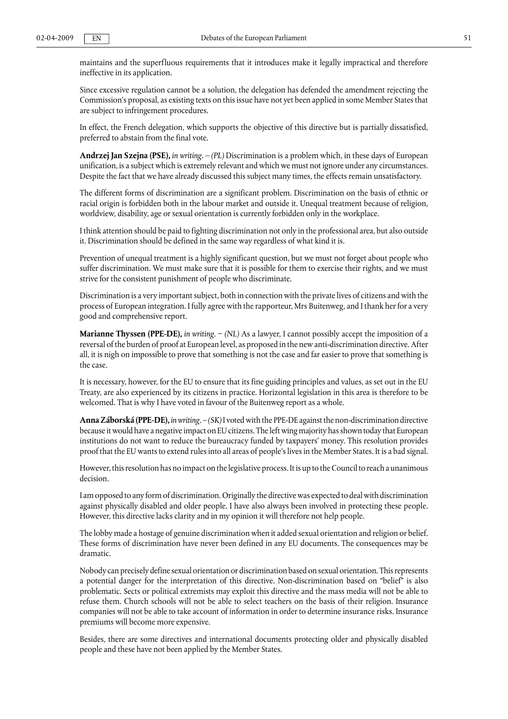maintains and the superfluous requirements that it introduces make it legally impractical and therefore ineffective in its application.

Since excessive regulation cannot be a solution, the delegation has defended the amendment rejecting the Commission's proposal, as existing texts on this issue have not yet been applied in some Member States that are subject to infringement procedures.

In effect, the French delegation, which supports the objective of this directive but is partially dissatisfied, preferred to abstain from the final vote.

**Andrzej Jan Szejna (PSE),** *in writing.* – *(PL)* Discrimination is a problem which, in these days of European unification, is a subject which is extremely relevant and which we must not ignore under any circumstances. Despite the fact that we have already discussed this subject many times, the effects remain unsatisfactory.

The different forms of discrimination are a significant problem. Discrimination on the basis of ethnic or racial origin is forbidden both in the labour market and outside it. Unequal treatment because of religion, worldview, disability, age or sexual orientation is currently forbidden only in the workplace.

I think attention should be paid to fighting discrimination not only in the professional area, but also outside it. Discrimination should be defined in the same way regardless of what kind it is.

Prevention of unequal treatment is a highly significant question, but we must not forget about people who suffer discrimination. We must make sure that it is possible for them to exercise their rights, and we must strive for the consistent punishment of people who discriminate.

Discrimination is a very important subject, both in connection with the private lives of citizens and with the process of European integration. I fully agree with the rapporteur, Mrs Buitenweg, and I thank her for a very good and comprehensive report.

**Marianne Thyssen (PPE-DE),** *in writing*. − *(NL)* As a lawyer, I cannot possibly accept the imposition of a reversal of the burden of proof at European level, as proposed in the new anti-discrimination directive. After all, it is nigh on impossible to prove that something is not the case and far easier to prove that something is the case.

It is necessary, however, for the EU to ensure that its fine guiding principles and values, as set out in the EU Treaty, are also experienced by its citizens in practice. Horizontal legislation in this area is therefore to be welcomed. That is why I have voted in favour of the Buitenweg report as a whole.

**Anna Záborská (PPE-DE),** *in writing.* – *(SK)* I voted with the PPE-DE against the non-discrimination directive because it would have a negative impact on EU citizens. The left wing majority has shown today that European institutions do not want to reduce the bureaucracy funded by taxpayers' money. This resolution provides proof that the EU wants to extend rules into all areas of people's lives in the Member States. It is a bad signal.

However, this resolution has no impact on the legislative process. It is up to the Council to reach a unanimous decision.

I am opposed to any form of discrimination. Originally the directive was expected to deal with discrimination against physically disabled and older people. I have also always been involved in protecting these people. However, this directive lacks clarity and in my opinion it will therefore not help people.

The lobby made a hostage of genuine discrimination when it added sexual orientation and religion or belief. These forms of discrimination have never been defined in any EU documents. The consequences may be dramatic.

Nobody can precisely define sexual orientation or discrimination based on sexual orientation. This represents a potential danger for the interpretation of this directive. Non-discrimination based on "belief" is also problematic. Sects or political extremists may exploit this directive and the mass media will not be able to refuse them. Church schools will not be able to select teachers on the basis of their religion. Insurance companies will not be able to take account of information in order to determine insurance risks. Insurance premiums will become more expensive.

Besides, there are some directives and international documents protecting older and physically disabled people and these have not been applied by the Member States.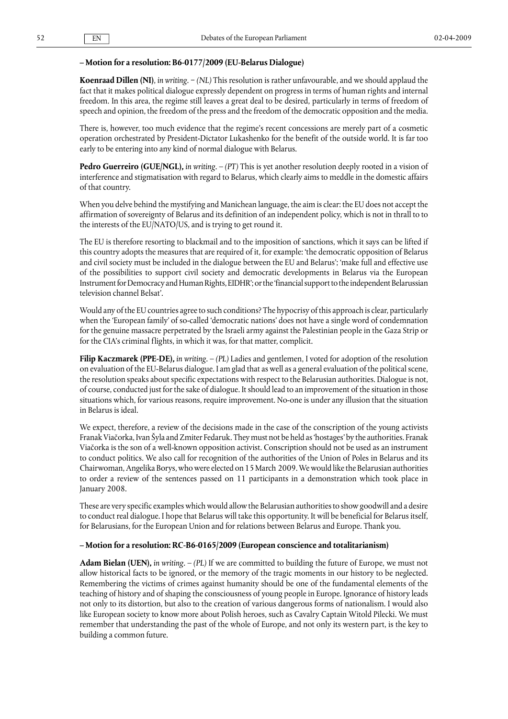### **– Motion for a resolution: B6-0177/2009 (EU-Belarus Dialogue)**

**Koenraad Dillen (NI)**, *in writing*. − *(NL)* This resolution is rather unfavourable, and we should applaud the fact that it makes political dialogue expressly dependent on progress in terms of human rights and internal freedom. In this area, the regime still leaves a great deal to be desired, particularly in terms of freedom of speech and opinion, the freedom of the press and the freedom of the democratic opposition and the media.

There is, however, too much evidence that the regime's recent concessions are merely part of a cosmetic operation orchestrated by President-Dictator Lukashenko for the benefit of the outside world. It is far too early to be entering into any kind of normal dialogue with Belarus.

**Pedro Guerreiro (GUE/NGL),** *in writing.* – *(PT)* This is yet another resolution deeply rooted in a vision of interference and stigmatisation with regard to Belarus, which clearly aims to meddle in the domestic affairs of that country.

When you delve behind the mystifying and Manichean language, the aim is clear: the EU does not accept the affirmation of sovereignty of Belarus and its definition of an independent policy, which is not in thrall to to the interests of the EU/NATO/US, and is trying to get round it.

The EU is therefore resorting to blackmail and to the imposition of sanctions, which it says can be lifted if this country adopts the measures that are required of it, for example: 'the democratic opposition of Belarus and civil society must be included in the dialogue between the EU and Belarus'; 'make full and effective use of the possibilities to support civil society and democratic developments in Belarus via the European Instrument for Democracy and Human Rights, EIDHR'; or the 'financial support to the independent Belarussian television channel Belsat'.

Would any of the EU countries agree to such conditions? The hypocrisy of this approach is clear, particularly when the 'European family' of so-called 'democratic nations' does not have a single word of condemnation for the genuine massacre perpetrated by the Israeli army against the Palestinian people in the Gaza Strip or for the CIA's criminal flights, in which it was, for that matter, complicit.

**Filip Kaczmarek (PPE-DE),** *in writing.* – *(PL)* Ladies and gentlemen, I voted for adoption of the resolution on evaluation of the EU-Belarus dialogue. I am glad that as well as a general evaluation of the political scene, the resolution speaks about specific expectations with respect to the Belarusian authorities. Dialogue is not, of course, conducted just for the sake of dialogue. It should lead to an improvement of the situation in those situations which, for various reasons, require improvement. No-one is under any illusion that the situation in Belarus is ideal.

We expect, therefore, a review of the decisions made in the case of the conscription of the young activists Franak Viačorka, Ivan Šyla and Zmiter Fedaruk. They must not be held as 'hostages' by the authorities. Franak Viačorka is the son of a well-known opposition activist. Conscription should not be used as an instrument to conduct politics. We also call for recognition of the authorities of the Union of Poles in Belarus and its Chairwoman, Angelika Borys, who were elected on 15 March 2009. We would like the Belarusian authorities to order a review of the sentences passed on 11 participants in a demonstration which took place in January 2008.

These are very specific examples which would allow the Belarusian authorities to show goodwill and a desire to conduct real dialogue. I hope that Belarus will take this opportunity. It will be beneficial for Belarus itself, for Belarusians, for the European Union and for relations between Belarus and Europe. Thank you.

### **– Motion for a resolution: RC-B6-0165/2009 (European conscience and totalitarianism)**

**Adam Bielan (UEN),** *in writing.* – *(PL)* If we are committed to building the future of Europe, we must not allow historical facts to be ignored, or the memory of the tragic moments in our history to be neglected. Remembering the victims of crimes against humanity should be one of the fundamental elements of the teaching of history and of shaping the consciousness of young people in Europe. Ignorance of history leads not only to its distortion, but also to the creation of various dangerous forms of nationalism. I would also like European society to know more about Polish heroes, such as Cavalry Captain Witold Pilecki. We must remember that understanding the past of the whole of Europe, and not only its western part, is the key to building a common future.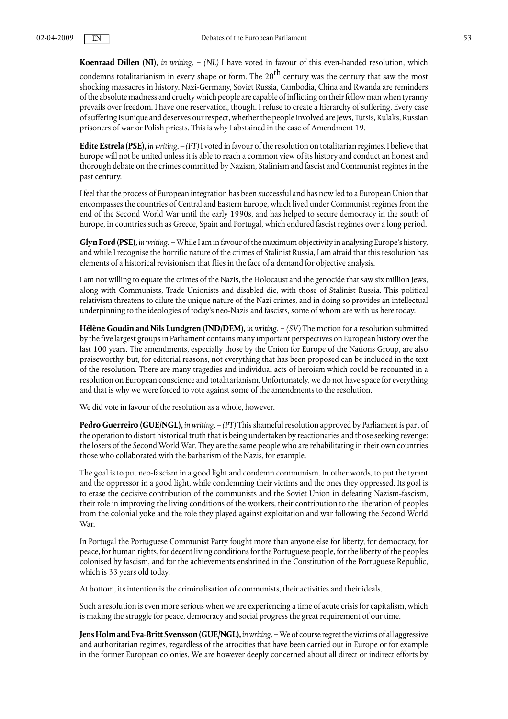**Koenraad Dillen (NI)**, *in writing*. − *(NL)* I have voted in favour of this even-handed resolution, which

condemns totalitarianism in every shape or form. The 20 $^{\rm th}$  century was the century that saw the most shocking massacres in history. Nazi-Germany, Soviet Russia, Cambodia, China and Rwanda are reminders of the absolute madness and cruelty which people are capable of inflicting on their fellow man when tyranny prevails over freedom. I have one reservation, though. I refuse to create a hierarchy of suffering. Every case of suffering is unique and deserves our respect, whether the people involved are Jews, Tutsis, Kulaks, Russian prisoners of war or Polish priests. This is why I abstained in the case of Amendment 19.

**Edite Estrela (PSE),** *in writing.* – *(PT)* I voted in favour of the resolution on totalitarian regimes. I believe that Europe will not be united unless it is able to reach a common view of its history and conduct an honest and thorough debate on the crimes committed by Nazism, Stalinism and fascist and Communist regimes in the past century.

I feel that the process of European integration has been successful and has now led to a European Union that encompasses the countries of Central and Eastern Europe, which lived under Communist regimes from the end of the Second World War until the early 1990s, and has helped to secure democracy in the south of Europe, in countries such as Greece, Spain and Portugal, which endured fascist regimes over a long period.

**Glyn Ford (PSE),** *in writing.* − While I am in favour of the maximum objectivity in analysing Europe's history, and while I recognise the horrific nature of the crimes of Stalinist Russia, I am afraid that this resolution has elements of a historical revisionism that flies in the face of a demand for objective analysis.

I am not willing to equate the crimes of the Nazis, the Holocaust and the genocide that saw six million Jews, along with Communists, Trade Unionists and disabled die, with those of Stalinist Russia. This political relativism threatens to dilute the unique nature of the Nazi crimes, and in doing so provides an intellectual underpinning to the ideologies of today's neo-Nazis and fascists, some of whom are with us here today.

**Hélène Goudin and Nils Lundgren (IND/DEM),** *in writing.* − *(SV)* The motion for a resolution submitted by the five largest groups in Parliament contains many important perspectives on European history over the last 100 years. The amendments, especially those by the Union for Europe of the Nations Group, are also praiseworthy, but, for editorial reasons, not everything that has been proposed can be included in the text of the resolution. There are many tragedies and individual acts of heroism which could be recounted in a resolution on European conscience and totalitarianism. Unfortunately, we do not have space for everything and that is why we were forced to vote against some of the amendments to the resolution.

We did vote in favour of the resolution as a whole, however.

**Pedro Guerreiro (GUE/NGL),** *in writing.* – *(PT)* This shameful resolution approved by Parliament is part of the operation to distort historical truth that is being undertaken by reactionaries and those seeking revenge: the losers of the Second World War. They are the same people who are rehabilitating in their own countries those who collaborated with the barbarism of the Nazis, for example.

The goal is to put neo-fascism in a good light and condemn communism. In other words, to put the tyrant and the oppressor in a good light, while condemning their victims and the ones they oppressed. Its goal is to erase the decisive contribution of the communists and the Soviet Union in defeating Nazism-fascism, their role in improving the living conditions of the workers, their contribution to the liberation of peoples from the colonial yoke and the role they played against exploitation and war following the Second World War.

In Portugal the Portuguese Communist Party fought more than anyone else for liberty, for democracy, for peace, for human rights, for decent living conditions for the Portuguese people, for the liberty of the peoples colonised by fascism, and for the achievements enshrined in the Constitution of the Portuguese Republic, which is 33 years old today.

At bottom, its intention is the criminalisation of communists, their activities and their ideals.

Such a resolution is even more serious when we are experiencing a time of acute crisis for capitalism, which is making the struggle for peace, democracy and social progress the great requirement of our time.

**Jens Holm and Eva-Britt Svensson (GUE/NGL),** *in writing.* − We of course regret the victims of all aggressive and authoritarian regimes, regardless of the atrocities that have been carried out in Europe or for example in the former European colonies. We are however deeply concerned about all direct or indirect efforts by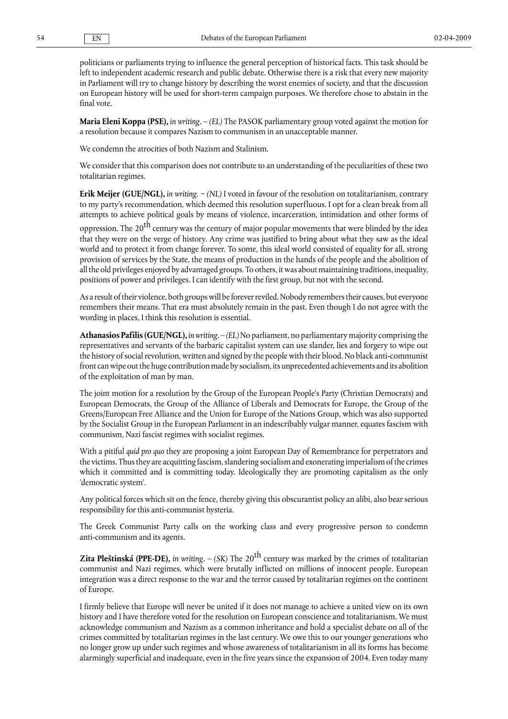politicians or parliaments trying to influence the general perception of historical facts. This task should be left to independent academic research and public debate. Otherwise there is a risk that every new majority in Parliament will try to change history by describing the worst enemies of society, and that the discussion on European history will be used for short-term campaign purposes. We therefore chose to abstain in the final vote.

**Maria Eleni Koppa (PSE),** *in writing.* – *(EL)* The PASOK parliamentary group voted against the motion for a resolution because it compares Nazism to communism in an unacceptable manner.

We condemn the atrocities of both Nazism and Stalinism.

We consider that this comparison does not contribute to an understanding of the peculiarities of these two totalitarian regimes.

**Erik Meijer (GUE/NGL),** *in writing*. − *(NL)* I voted in favour of the resolution on totalitarianism, contrary to my party's recommendation, which deemed this resolution superfluous. I opt for a clean break from all attempts to achieve political goals by means of violence, incarceration, intimidation and other forms of

oppression. The 20<sup>th</sup> century was the century of major popular movements that were blinded by the idea that they were on the verge of history. Any crime was justified to bring about what they saw as the ideal world and to protect it from change forever. To some, this ideal world consisted of equality for all, strong provision of services by the State, the means of production in the hands of the people and the abolition of all the old privileges enjoyed by advantaged groups. To others, it was about maintaining traditions, inequality, positions of power and privileges. I can identify with the first group, but not with the second.

As a result of their violence, both groups will be forever reviled. Nobody remembers their causes, but everyone remembers their means. That era must absolutely remain in the past. Even though I do not agree with the wording in places, I think this resolution is essential.

**Athanasios Pafilis (GUE/NGL),** *in writing.* – *(EL)* No parliament, no parliamentary majority comprising the representatives and servants of the barbaric capitalist system can use slander, lies and forgery to wipe out the history of social revolution, written and signed by the people with their blood. No black anti-communist front can wipe out the huge contribution made by socialism, its unprecedented achievements and its abolition of the exploitation of man by man.

The joint motion for a resolution by the Group of the European People's Party (Christian Democrats) and European Democrats, the Group of the Alliance of Liberals and Democrats for Europe, the Group of the Greens/European Free Alliance and the Union for Europe of the Nations Group, which was also supported by the Socialist Group in the European Parliament in an indescribably vulgar manner, equates fascism with communism, Nazi fascist regimes with socialist regimes.

With a pitiful *quid pro quo* they are proposing a joint European Day of Remembrance for perpetrators and the victims. Thus they are acquitting fascism, slandering socialism and exonerating imperialism of the crimes which it committed and is committing today. Ideologically they are promoting capitalism as the only 'democratic system'.

Any political forces which sit on the fence, thereby giving this obscurantist policy an alibi, also bear serious responsibility for this anti-communist hysteria.

The Greek Communist Party calls on the working class and every progressive person to condemn anti-communism and its agents.

**Zita Pleštinská (PPE-DE),** *in writing.* – (SK) The 20<sup>th</sup> century was marked by the crimes of totalitarian communist and Nazi regimes, which were brutally inflicted on millions of innocent people. European integration was a direct response to the war and the terror caused by totalitarian regimes on the continent of Europe.

I firmly believe that Europe will never be united if it does not manage to achieve a united view on its own history and I have therefore voted for the resolution on European conscience and totalitarianism. We must acknowledge communism and Nazism as a common inheritance and hold a specialist debate on all of the crimes committed by totalitarian regimes in the last century. We owe this to our younger generations who no longer grow up under such regimes and whose awareness of totalitarianism in all its forms has become alarmingly superficial and inadequate, even in the five years since the expansion of 2004. Even today many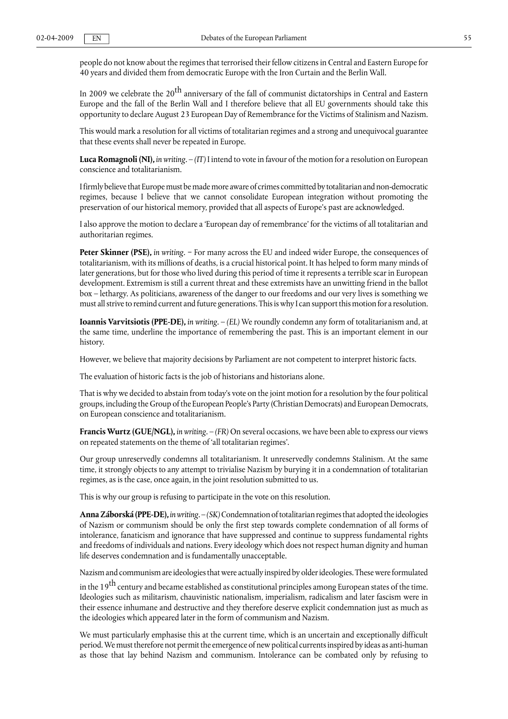people do not know about the regimes that terrorised their fellow citizens in Central and Eastern Europe for 40 years and divided them from democratic Europe with the Iron Curtain and the Berlin Wall.

In 2009 we celebrate the 20 $^{\rm th}$  anniversary of the fall of communist dictatorships in Central and Eastern Europe and the fall of the Berlin Wall and I therefore believe that all EU governments should take this opportunity to declare August 23 European Day of Remembrance for the Victims of Stalinism and Nazism.

This would mark a resolution for all victims of totalitarian regimes and a strong and unequivocal guarantee that these events shall never be repeated in Europe.

**Luca Romagnoli (NI),** *in writing.* – *(IT)* I intend to vote in favour of the motion for a resolution on European conscience and totalitarianism.

I firmly believe that Europe must be made more aware of crimes committed by totalitarian and non-democratic regimes, because I believe that we cannot consolidate European integration without promoting the preservation of our historical memory, provided that all aspects of Europe's past are acknowledged.

I also approve the motion to declare a 'European day of remembrance' for the victims of all totalitarian and authoritarian regimes.

**Peter Skinner (PSE),** *in writing.* − For many across the EU and indeed wider Europe, the consequences of totalitarianism, with its millions of deaths, is a crucial historical point. It has helped to form many minds of later generations, but for those who lived during this period of time it represents a terrible scar in European development. Extremism is still a current threat and these extremists have an unwitting friend in the ballot box – lethargy. As politicians, awareness of the danger to our freedoms and our very lives is something we must all strive to remind current and future generations. This is why I can support this motion for a resolution.

**Ioannis Varvitsiotis (PPE-DE),** *in writing.* – *(EL)* We roundly condemn any form of totalitarianism and, at the same time, underline the importance of remembering the past. This is an important element in our history.

However, we believe that majority decisions by Parliament are not competent to interpret historic facts.

The evaluation of historic facts is the job of historians and historians alone.

That is why we decided to abstain from today's vote on the joint motion for a resolution by the four political groups, including the Group of the European People's Party (Christian Democrats) and European Democrats, on European conscience and totalitarianism.

**Francis Wurtz (GUE/NGL),** *in writing.* – *(FR)* On several occasions, we have been able to express our views on repeated statements on the theme of 'all totalitarian regimes'.

Our group unreservedly condemns all totalitarianism. It unreservedly condemns Stalinism. At the same time, it strongly objects to any attempt to trivialise Nazism by burying it in a condemnation of totalitarian regimes, as is the case, once again, in the joint resolution submitted to us.

This is why our group is refusing to participate in the vote on this resolution.

**Anna Záborská (PPE-DE),** *in writing.* – *(SK)*Condemnation of totalitarian regimes that adopted the ideologies of Nazism or communism should be only the first step towards complete condemnation of all forms of intolerance, fanaticism and ignorance that have suppressed and continue to suppress fundamental rights and freedoms of individuals and nations. Every ideology which does not respect human dignity and human life deserves condemnation and is fundamentally unacceptable.

Nazism and communism are ideologies that were actually inspired by older ideologies. These were formulated

in the 19<sup>th</sup> century and became established as constitutional principles among European states of the time. Ideologies such as militarism, chauvinistic nationalism, imperialism, radicalism and later fascism were in their essence inhumane and destructive and they therefore deserve explicit condemnation just as much as the ideologies which appeared later in the form of communism and Nazism.

We must particularly emphasise this at the current time, which is an uncertain and exceptionally difficult period. We must therefore not permit the emergence of new political currents inspired by ideas as anti-human as those that lay behind Nazism and communism. Intolerance can be combated only by refusing to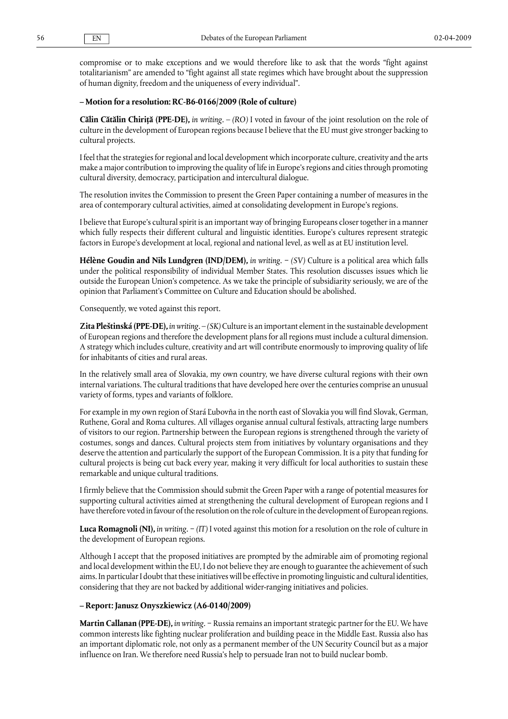compromise or to make exceptions and we would therefore like to ask that the words "fight against totalitarianism" are amended to "fight against all state regimes which have brought about the suppression of human dignity, freedom and the uniqueness of every individual".

#### **– Motion for a resolution: RC-B6-0166/2009 (Role of culture)**

**Călin Cătălin Chiriţă (PPE-DE),** *in writing.* – *(RO)* I voted in favour of the joint resolution on the role of culture in the development of European regions because I believe that the EU must give stronger backing to cultural projects.

I feel that the strategies for regional and local development which incorporate culture, creativity and the arts make a major contribution to improving the quality of life in Europe's regions and cities through promoting cultural diversity, democracy, participation and intercultural dialogue.

The resolution invites the Commission to present the Green Paper containing a number of measures in the area of contemporary cultural activities, aimed at consolidating development in Europe's regions.

I believe that Europe's cultural spirit is an important way of bringing Europeans closer together in a manner which fully respects their different cultural and linguistic identities. Europe's cultures represent strategic factors in Europe's development at local, regional and national level, as well as at EU institution level.

**Hélène Goudin and Nils Lundgren (IND/DEM),** *in writing.* − *(SV)* Culture is a political area which falls under the political responsibility of individual Member States. This resolution discusses issues which lie outside the European Union's competence. As we take the principle of subsidiarity seriously, we are of the opinion that Parliament's Committee on Culture and Education should be abolished.

Consequently, we voted against this report.

**Zita Pleštinská (PPE-DE),** *in writing.* – *(SK)* Culture is an important element in the sustainable development of European regions and therefore the development plans for all regions must include a cultural dimension. A strategy which includes culture, creativity and art will contribute enormously to improving quality of life for inhabitants of cities and rural areas.

In the relatively small area of Slovakia, my own country, we have diverse cultural regions with their own internal variations. The cultural traditions that have developed here over the centuries comprise an unusual variety of forms, types and variants of folklore.

For example in my own region of Stará Ľubovňa in the north east of Slovakia you will find Slovak, German, Ruthene, Goral and Roma cultures. All villages organise annual cultural festivals, attracting large numbers of visitors to our region. Partnership between the European regions is strengthened through the variety of costumes, songs and dances. Cultural projects stem from initiatives by voluntary organisations and they deserve the attention and particularly the support of the European Commission. It is a pity that funding for cultural projects is being cut back every year, making it very difficult for local authorities to sustain these remarkable and unique cultural traditions.

I firmly believe that the Commission should submit the Green Paper with a range of potential measures for supporting cultural activities aimed at strengthening the cultural development of European regions and I have therefore voted in favour of the resolution on the role of culture in the development of European regions.

**Luca Romagnoli (NI),** *in writing.* − *(IT)* I voted against this motion for a resolution on the role of culture in the development of European regions.

Although I accept that the proposed initiatives are prompted by the admirable aim of promoting regional and local development within the EU, I do not believe they are enough to guarantee the achievement of such aims. In particular I doubt that these initiatives will be effective in promoting linguistic and cultural identities, considering that they are not backed by additional wider-ranging initiatives and policies.

#### **– Report: Janusz Onyszkiewicz (A6-0140/2009)**

**Martin Callanan (PPE-DE),** *in writing.* − Russia remains an important strategic partner for the EU. We have common interests like fighting nuclear proliferation and building peace in the Middle East. Russia also has an important diplomatic role, not only as a permanent member of the UN Security Council but as a major influence on Iran. We therefore need Russia's help to persuade Iran not to build nuclear bomb.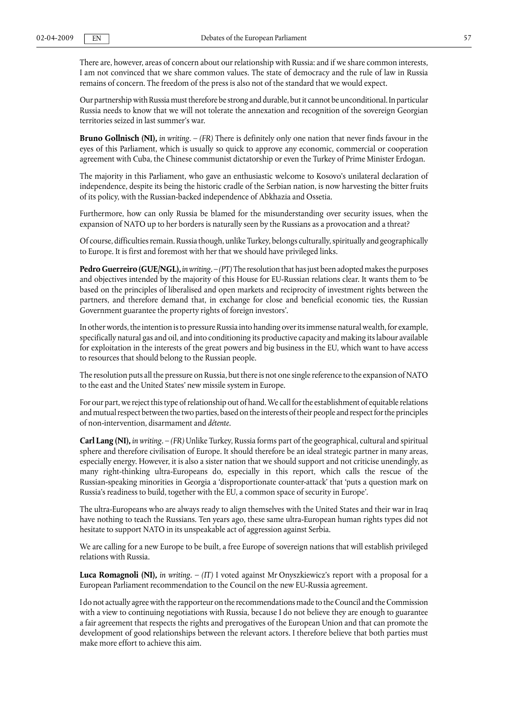There are, however, areas of concern about our relationship with Russia: and if we share common interests, I am not convinced that we share common values. The state of democracy and the rule of law in Russia remains of concern. The freedom of the press is also not of the standard that we would expect.

Our partnership with Russia must therefore be strong and durable, but it cannot be unconditional. In particular Russia needs to know that we will not tolerate the annexation and recognition of the sovereign Georgian territories seized in last summer's war.

**Bruno Gollnisch (NI),** *in writing.* – *(FR)* There is definitely only one nation that never finds favour in the eyes of this Parliament, which is usually so quick to approve any economic, commercial or cooperation agreement with Cuba, the Chinese communist dictatorship or even the Turkey of Prime Minister Erdogan.

The majority in this Parliament, who gave an enthusiastic welcome to Kosovo's unilateral declaration of independence, despite its being the historic cradle of the Serbian nation, is now harvesting the bitter fruits of its policy, with the Russian-backed independence of Abkhazia and Ossetia.

Furthermore, how can only Russia be blamed for the misunderstanding over security issues, when the expansion of NATO up to her borders is naturally seen by the Russians as a provocation and a threat?

Of course, difficulties remain. Russia though, unlike Turkey, belongs culturally, spiritually and geographically to Europe. It is first and foremost with her that we should have privileged links.

**Pedro Guerreiro (GUE/NGL),** *in writing.* – *(PT)* The resolution that has just been adopted makes the purposes and objectives intended by the majority of this House for EU-Russian relations clear. It wants them to 'be based on the principles of liberalised and open markets and reciprocity of investment rights between the partners, and therefore demand that, in exchange for close and beneficial economic ties, the Russian Government guarantee the property rights of foreign investors'.

In other words, the intention is to pressure Russia into handing over its immense natural wealth, for example, specifically natural gas and oil, and into conditioning its productive capacity and making its labour available for exploitation in the interests of the great powers and big business in the EU, which want to have access to resources that should belong to the Russian people.

The resolution puts all the pressure on Russia, but there is not one single reference to the expansion of NATO to the east and the United States' new missile system in Europe.

For our part, we reject this type of relationship out of hand. We call for the establishment of equitable relations and mutual respect between the two parties, based on the interests of their people and respect for the principles of non-intervention, disarmament and *détente*.

**Carl Lang (NI),** *in writing.* – *(FR)* Unlike Turkey, Russia forms part of the geographical, cultural and spiritual sphere and therefore civilisation of Europe. It should therefore be an ideal strategic partner in many areas, especially energy. However, it is also a sister nation that we should support and not criticise unendingly, as many right-thinking ultra-Europeans do, especially in this report, which calls the rescue of the Russian-speaking minorities in Georgia a 'disproportionate counter-attack' that 'puts a question mark on Russia's readiness to build, together with the EU, a common space of security in Europe'.

The ultra-Europeans who are always ready to align themselves with the United States and their war in Iraq have nothing to teach the Russians. Ten years ago, these same ultra-European human rights types did not hesitate to support NATO in its unspeakable act of aggression against Serbia.

We are calling for a new Europe to be built, a free Europe of sovereign nations that will establish privileged relations with Russia.

**Luca Romagnoli (NI),** *in writing.* – *(IT)* I voted against Mr Onyszkiewicz's report with a proposal for a European Parliament recommendation to the Council on the new EU-Russia agreement.

I do not actually agree with the rapporteur on the recommendations made to the Council and the Commission with a view to continuing negotiations with Russia, because I do not believe they are enough to guarantee a fair agreement that respects the rights and prerogatives of the European Union and that can promote the development of good relationships between the relevant actors. I therefore believe that both parties must make more effort to achieve this aim.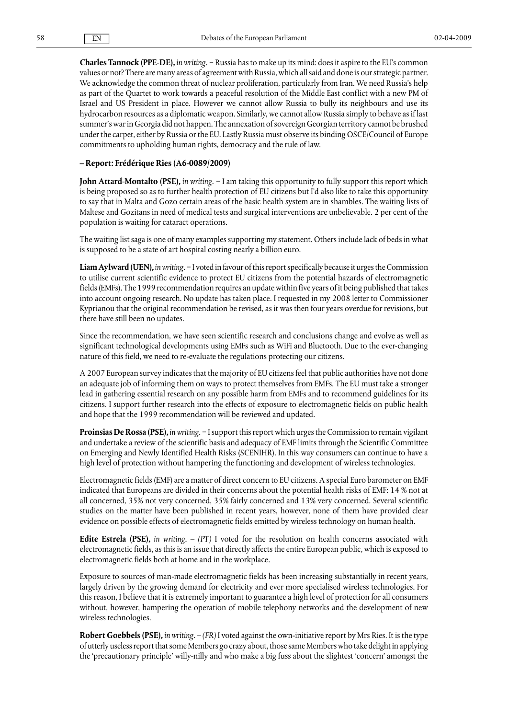**Charles Tannock (PPE-DE),** *in writing.* − Russia has to make up its mind: does it aspire to the EU's common values or not? There are many areas of agreement with Russia, which all said and done is our strategic partner. We acknowledge the common threat of nuclear proliferation, particularly from Iran. We need Russia's help as part of the Quartet to work towards a peaceful resolution of the Middle East conflict with a new PM of Israel and US President in place. However we cannot allow Russia to bully its neighbours and use its hydrocarbon resources as a diplomatic weapon. Similarly, we cannot allow Russia simply to behave as if last summer's war in Georgia did not happen. The annexation of sovereign Georgian territory cannot be brushed under the carpet, either by Russia or the EU. Lastly Russia must observe its binding OSCE/Council of Europe commitments to upholding human rights, democracy and the rule of law.

### **– Report: Frédérique Ries (A6-0089/2009)**

**John Attard-Montalto (PSE),** *in writing.* − I am taking this opportunity to fully support this report which is being proposed so as to further health protection of EU citizens but I'd also like to take this opportunity to say that in Malta and Gozo certain areas of the basic health system are in shambles. The waiting lists of Maltese and Gozitans in need of medical tests and surgical interventions are unbelievable. 2 per cent of the population is waiting for cataract operations.

The waiting list saga is one of many examples supporting my statement. Others include lack of beds in what is supposed to be a state of art hospital costing nearly a billion euro.

**Liam Aylward (UEN),** *in writing.* − I voted in favour of this report specifically because it urges the Commission to utilise current scientific evidence to protect EU citizens from the potential hazards of electromagnetic fields (EMFs). The 1999 recommendation requires an update within five years of it being published that takes into account ongoing research. No update has taken place. I requested in my 2008 letter to Commissioner Kyprianou that the original recommendation be revised, as it was then four years overdue for revisions, but there have still been no updates.

Since the recommendation, we have seen scientific research and conclusions change and evolve as well as significant technological developments using EMFs such as WiFi and Bluetooth. Due to the ever-changing nature of this field, we need to re-evaluate the regulations protecting our citizens.

A 2007 European survey indicates that the majority of EU citizens feel that public authorities have not done an adequate job of informing them on ways to protect themselves from EMFs. The EU must take a stronger lead in gathering essential research on any possible harm from EMFs and to recommend guidelines for its citizens. I support further research into the effects of exposure to electromagnetic fields on public health and hope that the 1999 recommendation will be reviewed and updated.

**Proinsias De Rossa (PSE),** *in writing*. − I support this report which urges the Commission to remain vigilant and undertake a review of the scientific basis and adequacy of EMF limits through the Scientific Committee on Emerging and Newly Identified Health Risks (SCENIHR). In this way consumers can continue to have a high level of protection without hampering the functioning and development of wireless technologies.

Electromagnetic fields (EMF) are a matter of direct concern to EU citizens. A special Euro barometer on EMF indicated that Europeans are divided in their concerns about the potential health risks of EMF: 14 % not at all concerned, 35% not very concerned, 35% fairly concerned and 13% very concerned. Several scientific studies on the matter have been published in recent years, however, none of them have provided clear evidence on possible effects of electromagnetic fields emitted by wireless technology on human health.

**Edite Estrela (PSE),** *in writing.* – *(PT)* I voted for the resolution on health concerns associated with electromagnetic fields, as this is an issue that directly affects the entire European public, which is exposed to electromagnetic fields both at home and in the workplace.

Exposure to sources of man-made electromagnetic fields has been increasing substantially in recent years, largely driven by the growing demand for electricity and ever more specialised wireless technologies. For this reason, I believe that it is extremely important to guarantee a high level of protection for all consumers without, however, hampering the operation of mobile telephony networks and the development of new wireless technologies.

**Robert Goebbels (PSE),** *in writing.* – *(FR)* I voted against the own-initiative report by Mrs Ries. It is the type of utterly useless report that some Members go crazy about, those same Members who take delight in applying the 'precautionary principle' willy-nilly and who make a big fuss about the slightest 'concern' amongst the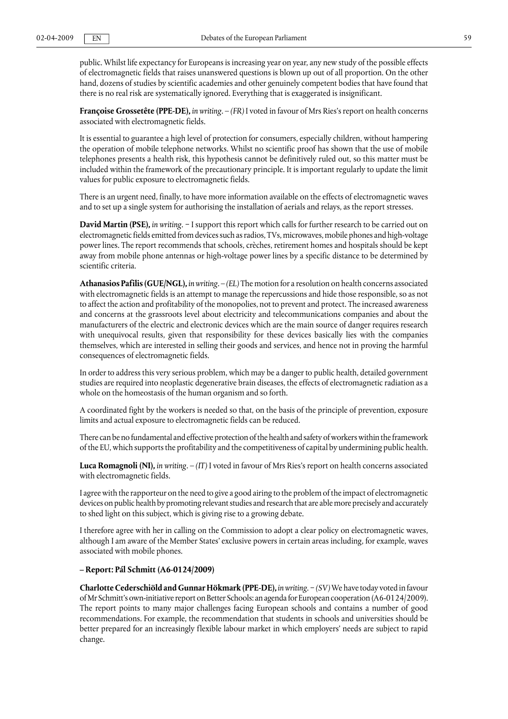public. Whilst life expectancy for Europeans is increasing year on year, any new study of the possible effects of electromagnetic fields that raises unanswered questions is blown up out of all proportion. On the other hand, dozens of studies by scientific academies and other genuinely competent bodies that have found that there is no real risk are systematically ignored. Everything that is exaggerated is insignificant.

**Françoise Grossetête (PPE-DE),** *in writing.* – *(FR)* I voted in favour of Mrs Ries's report on health concerns associated with electromagnetic fields.

It is essential to guarantee a high level of protection for consumers, especially children, without hampering the operation of mobile telephone networks. Whilst no scientific proof has shown that the use of mobile telephones presents a health risk, this hypothesis cannot be definitively ruled out, so this matter must be included within the framework of the precautionary principle. It is important regularly to update the limit values for public exposure to electromagnetic fields.

There is an urgent need, finally, to have more information available on the effects of electromagnetic waves and to set up a single system for authorising the installation of aerials and relays, as the report stresses.

**David Martin (PSE),** *in writing*. − I support this report which calls for further research to be carried out on electromagnetic fields emitted from devices such as radios, TVs, microwaves, mobile phones and high-voltage power lines. The report recommends that schools, crèches, retirement homes and hospitals should be kept away from mobile phone antennas or high-voltage power lines by a specific distance to be determined by scientific criteria.

**Athanasios Pafilis (GUE/NGL),** *in writing.* – *(EL)* The motion for a resolution on health concerns associated with electromagnetic fields is an attempt to manage the repercussions and hide those responsible, so as not to affect the action and profitability of the monopolies, not to prevent and protect. The increased awareness and concerns at the grassroots level about electricity and telecommunications companies and about the manufacturers of the electric and electronic devices which are the main source of danger requires research with unequivocal results, given that responsibility for these devices basically lies with the companies themselves, which are interested in selling their goods and services, and hence not in proving the harmful consequences of electromagnetic fields.

In order to address this very serious problem, which may be a danger to public health, detailed government studies are required into neoplastic degenerative brain diseases, the effects of electromagnetic radiation as a whole on the homeostasis of the human organism and so forth.

A coordinated fight by the workers is needed so that, on the basis of the principle of prevention, exposure limits and actual exposure to electromagnetic fields can be reduced.

There can be no fundamental and effective protection of the health and safety of workers within the framework of the EU, which supports the profitability and the competitiveness of capital by undermining public health.

**Luca Romagnoli (NI),** *in writing.* – *(IT)* I voted in favour of Mrs Ries's report on health concerns associated with electromagnetic fields.

I agree with the rapporteur on the need to give a good airing to the problem of the impact of electromagnetic devices on public health by promoting relevant studies and research that are able more precisely and accurately to shed light on this subject, which is giving rise to a growing debate.

I therefore agree with her in calling on the Commission to adopt a clear policy on electromagnetic waves, although I am aware of the Member States' exclusive powers in certain areas including, for example, waves associated with mobile phones.

#### **– Report: Pál Schmitt (A6-0124/2009)**

**Charlotte Cederschiöld and Gunnar Hökmark (PPE-DE),** *in writing*. − *(SV)*We have today voted in favour of Mr Schmitt's own-initiative report on Better Schools: an agenda for European cooperation (A6-0124/2009). The report points to many major challenges facing European schools and contains a number of good recommendations. For example, the recommendation that students in schools and universities should be better prepared for an increasingly flexible labour market in which employers' needs are subject to rapid change.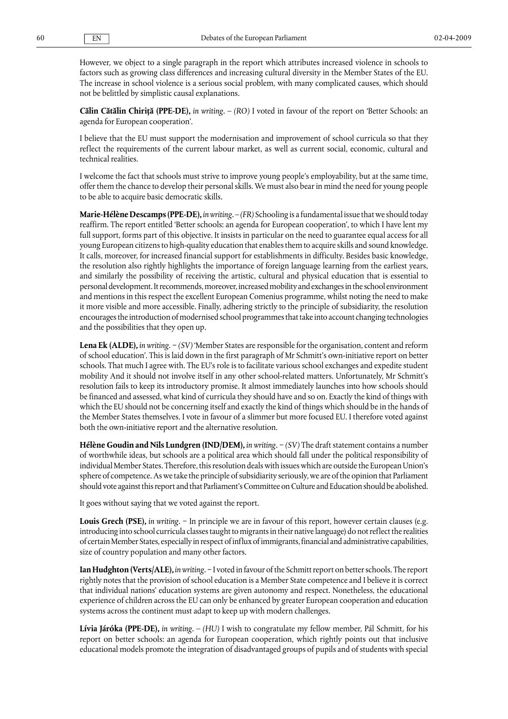However, we object to a single paragraph in the report which attributes increased violence in schools to factors such as growing class differences and increasing cultural diversity in the Member States of the EU. The increase in school violence is a serious social problem, with many complicated causes, which should not be belittled by simplistic causal explanations.

**Călin Cătălin Chiriţă (PPE-DE),** *in writing.* – *(RO)* I voted in favour of the report on 'Better Schools: an agenda for European cooperation'.

I believe that the EU must support the modernisation and improvement of school curricula so that they reflect the requirements of the current labour market, as well as current social, economic, cultural and technical realities.

I welcome the fact that schools must strive to improve young people's employability, but at the same time, offer them the chance to develop their personal skills. We must also bear in mind the need for young people to be able to acquire basic democratic skills.

**Marie-Hélène Descamps (PPE-DE),** *in writing.* – *(FR)* Schooling is a fundamental issue that we should today reaffirm. The report entitled 'Better schools: an agenda for European cooperation', to which I have lent my full support, forms part of this objective. It insists in particular on the need to guarantee equal access for all young European citizens to high-quality education that enables them to acquire skills and sound knowledge. It calls, moreover, for increased financial support for establishments in difficulty. Besides basic knowledge, the resolution also rightly highlights the importance of foreign language learning from the earliest years, and similarly the possibility of receiving the artistic, cultural and physical education that is essential to personal development. It recommends, moreover, increased mobility and exchanges in the school environment and mentions in this respect the excellent European Comenius programme, whilst noting the need to make it more visible and more accessible. Finally, adhering strictly to the principle of subsidiarity, the resolution encourages the introduction of modernised school programmes that take into account changing technologies and the possibilities that they open up.

**Lena Ek (ALDE),** *in writing.* − *(SV)* 'Member States are responsible for the organisation, content and reform of school education'. This is laid down in the first paragraph of Mr Schmitt's own-initiative report on better schools. That much I agree with. The EU's role is to facilitate various school exchanges and expedite student mobility And it should not involve itself in any other school-related matters. Unfortunately, Mr Schmitt's resolution fails to keep its introductory promise. It almost immediately launches into how schools should be financed and assessed, what kind of curricula they should have and so on. Exactly the kind of things with which the EU should not be concerning itself and exactly the kind of things which should be in the hands of the Member States themselves. I vote in favour of a slimmer but more focused EU. I therefore voted against both the own-initiative report and the alternative resolution.

**Hélène Goudin and Nils Lundgren (IND/DEM),** *in writing.* − *(SV)* The draft statement contains a number of worthwhile ideas, but schools are a political area which should fall under the political responsibility of individual Member States. Therefore, this resolution deals with issues which are outside the European Union's sphere of competence. As we take the principle of subsidiarity seriously, we are of the opinion that Parliament should vote against this report and that Parliament's Committee on Culture and Education should be abolished.

It goes without saying that we voted against the report.

**Louis Grech (PSE),** *in writing.* − In principle we are in favour of this report, however certain clauses (e.g. introducing into school curricula classes taught to migrants in their native language) do not reflect the realities of certain Member States, especially in respect of influx of immigrants, financial and administrative capabilities, size of country population and many other factors.

**Ian Hudghton (Verts/ALE),** *in writing.* − I voted in favour of the Schmitt report on better schools. The report rightly notes that the provision of school education is a Member State competence and I believe it is correct that individual nations' education systems are given autonomy and respect. Nonetheless, the educational experience of children across the EU can only be enhanced by greater European cooperation and education systems across the continent must adapt to keep up with modern challenges.

**Lívia Járóka (PPE-DE),** *in writing.* – *(HU)* I wish to congratulate my fellow member, Pál Schmitt, for his report on better schools: an agenda for European cooperation, which rightly points out that inclusive educational models promote the integration of disadvantaged groups of pupils and of students with special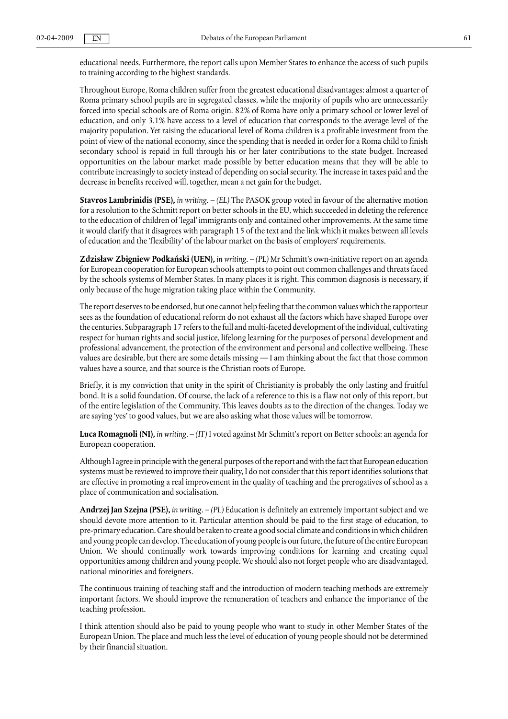educational needs. Furthermore, the report calls upon Member States to enhance the access of such pupils to training according to the highest standards.

Throughout Europe, Roma children suffer from the greatest educational disadvantages: almost a quarter of Roma primary school pupils are in segregated classes, while the majority of pupils who are unnecessarily forced into special schools are of Roma origin. 82% of Roma have only a primary school or lower level of education, and only 3.1% have access to a level of education that corresponds to the average level of the majority population. Yet raising the educational level of Roma children is a profitable investment from the point of view of the national economy, since the spending that is needed in order for a Roma child to finish secondary school is repaid in full through his or her later contributions to the state budget. Increased opportunities on the labour market made possible by better education means that they will be able to contribute increasingly to society instead of depending on social security. The increase in taxes paid and the decrease in benefits received will, together, mean a net gain for the budget.

**Stavros Lambrinidis (PSE),** *in writing.* – *(EL)* The PASOK group voted in favour of the alternative motion for a resolution to the Schmitt report on better schools in the EU, which succeeded in deleting the reference to the education of children of 'legal' immigrants only and contained other improvements. At the same time it would clarify that it disagrees with paragraph 15 of the text and the link which it makes between all levels of education and the 'flexibility' of the labour market on the basis of employers' requirements.

**Zdzisław Zbigniew Podkański (UEN),** *in writing.* – *(PL)* Mr Schmitt's own-initiative report on an agenda for European cooperation for European schools attempts to point out common challenges and threats faced by the schools systems of Member States. In many places it is right. This common diagnosis is necessary, if only because of the huge migration taking place within the Community.

The report deserves to be endorsed, but one cannot help feeling that the common values which the rapporteur sees as the foundation of educational reform do not exhaust all the factors which have shaped Europe over the centuries. Subparagraph 17 refers to the full and multi-faceted development of the individual, cultivating respect for human rights and social justice, lifelong learning for the purposes of personal development and professional advancement, the protection of the environment and personal and collective wellbeing. These values are desirable, but there are some details missing — I am thinking about the fact that those common values have a source, and that source is the Christian roots of Europe.

Briefly, it is my conviction that unity in the spirit of Christianity is probably the only lasting and fruitful bond. It is a solid foundation. Of course, the lack of a reference to this is a flaw not only of this report, but of the entire legislation of the Community. This leaves doubts as to the direction of the changes. Today we are saying 'yes' to good values, but we are also asking what those values will be tomorrow.

**Luca Romagnoli (NI),** *in writing.* – *(IT)* I voted against Mr Schmitt's report on Better schools: an agenda for European cooperation.

Although I agree in principle with the general purposes of the report and with the fact that European education systems must be reviewed to improve their quality, I do not consider that this report identifies solutions that are effective in promoting a real improvement in the quality of teaching and the prerogatives of school as a place of communication and socialisation.

**Andrzej Jan Szejna (PSE),** *in writing.* – *(PL)* Education is definitely an extremely important subject and we should devote more attention to it. Particular attention should be paid to the first stage of education, to pre-primary education. Care should be taken to create a good social climate and conditions in which children and young people can develop. The education of young people is our future, the future of the entire European Union. We should continually work towards improving conditions for learning and creating equal opportunities among children and young people. We should also not forget people who are disadvantaged, national minorities and foreigners.

The continuous training of teaching staff and the introduction of modern teaching methods are extremely important factors. We should improve the remuneration of teachers and enhance the importance of the teaching profession.

I think attention should also be paid to young people who want to study in other Member States of the European Union. The place and much less the level of education of young people should not be determined by their financial situation.